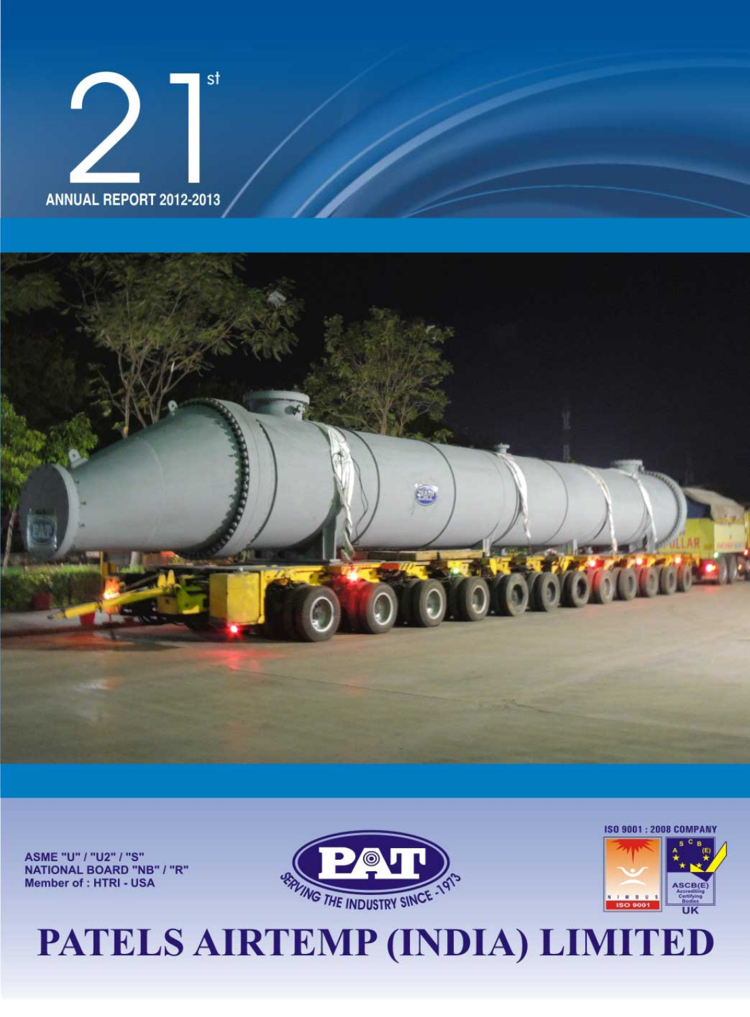



ASME "U" / "U2" / "S" **NATIONAL BOARD "NB" / "R"** Member of : HTRI - USA





# PATELS AIRTEMP (INDIA) LIMITED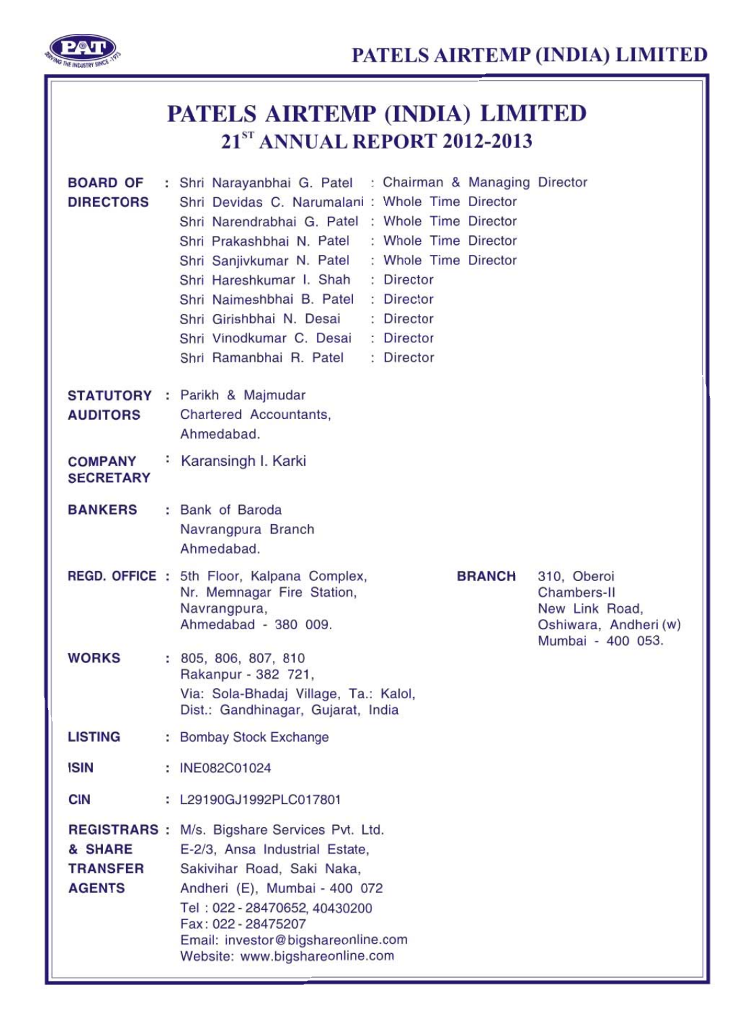

|                                             | PATELS AIRTEMP (INDIA) LIMITED<br>21 <sup>st</sup> ANNUAL REPORT 2012-2013 |                                                                                                                                                                                                                                                                                                                                                                                                                                                                                               |  |  |  |  |
|---------------------------------------------|----------------------------------------------------------------------------|-----------------------------------------------------------------------------------------------------------------------------------------------------------------------------------------------------------------------------------------------------------------------------------------------------------------------------------------------------------------------------------------------------------------------------------------------------------------------------------------------|--|--|--|--|
| <b>BOARD OF</b><br><b>DIRECTORS</b>         |                                                                            | : Shri Narayanbhai G. Patel : Chairman & Managing Director<br>Shri Devidas C. Narumalani : Whole Time Director<br>Shri Narendrabhai G. Patel : Whole Time Director<br>: Whole Time Director<br>Shri Prakashbhai N. Patel<br>Shri Sanjivkumar N. Patel : Whole Time Director<br>Shri Hareshkumar I. Shah<br>: Director<br>Shri Naimeshbhai B. Patel<br>: Director<br>Shri Girishbhai N. Desai<br>: Director<br>Shri Vinodkumar C. Desai<br>: Director<br>Shri Ramanbhai R. Patel<br>: Director |  |  |  |  |
| <b>AUDITORS</b>                             |                                                                            | <b>STATUTORY</b> : Parikh & Majmudar<br>Chartered Accountants,<br>Ahmedabad.                                                                                                                                                                                                                                                                                                                                                                                                                  |  |  |  |  |
| <b>COMPANY</b><br><b>SECRETARY</b>          |                                                                            | : Karansingh I. Karki                                                                                                                                                                                                                                                                                                                                                                                                                                                                         |  |  |  |  |
| <b>BANKERS</b>                              |                                                                            | : Bank of Baroda<br>Navrangpura Branch<br>Ahmedabad.                                                                                                                                                                                                                                                                                                                                                                                                                                          |  |  |  |  |
|                                             |                                                                            | REGD. OFFICE : 5th Floor, Kalpana Complex,<br>310, Oberoi<br><b>BRANCH</b><br>Chambers-II<br>Nr. Memnagar Fire Station,<br>Navrangpura,<br>New Link Road,<br>Ahmedabad - 380 009.<br>Oshiwara, Andheri (w)<br>Mumbai - 400 053.                                                                                                                                                                                                                                                               |  |  |  |  |
| <b>WORKS</b>                                |                                                                            | : 805, 806, 807, 810<br>Rakanpur - 382 721,<br>Via: Sola-Bhadaj Village, Ta.: Kalol,<br>Dist.: Gandhinagar, Gujarat, India                                                                                                                                                                                                                                                                                                                                                                    |  |  |  |  |
| <b>LISTING</b>                              |                                                                            | : Bombay Stock Exchange                                                                                                                                                                                                                                                                                                                                                                                                                                                                       |  |  |  |  |
| <b>ISIN</b>                                 |                                                                            | : INE082C01024                                                                                                                                                                                                                                                                                                                                                                                                                                                                                |  |  |  |  |
| <b>CIN</b>                                  |                                                                            | : L29190GJ1992PLC017801                                                                                                                                                                                                                                                                                                                                                                                                                                                                       |  |  |  |  |
| & SHARE<br><b>TRANSFER</b><br><b>AGENTS</b> |                                                                            | REGISTRARS : M/s. Bigshare Services Pvt. Ltd.<br>E-2/3, Ansa Industrial Estate,<br>Sakivihar Road, Saki Naka,<br>Andheri (E), Mumbai - 400 072<br>Tel: 022 - 28470652, 40430200<br>Fax: 022 - 28475207<br>Email: investor@bigshareonline.com<br>Website: www.bigshareonline.com                                                                                                                                                                                                               |  |  |  |  |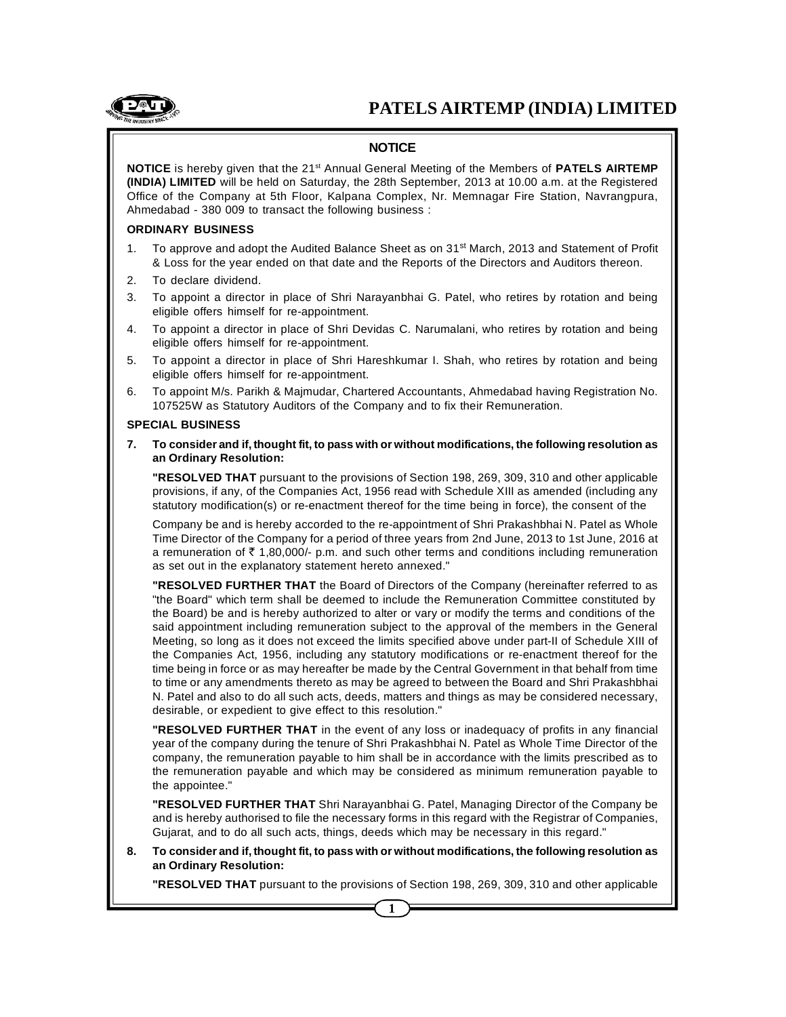

### **NOTICE**

**NOTICE** is hereby given that the 21<sup>st</sup> Annual General Meeting of the Members of **PATELS AIRTEMP (INDIA) LIMITED** will be held on Saturday, the 28th September, 2013 at 10.00 a.m. at the Registered Office of the Company at 5th Floor, Kalpana Complex, Nr. Memnagar Fire Station, Navrangpura, Ahmedabad - 380 009 to transact the following business :

#### **ORDINARY BUSINESS**

- 1. To approve and adopt the Audited Balance Sheet as on 31<sup>st</sup> March, 2013 and Statement of Profit & Loss for the year ended on that date and the Reports of the Directors and Auditors thereon.
- 2. To declare dividend.
- 3. To appoint a director in place of Shri Narayanbhai G. Patel, who retires by rotation and being eligible offers himself for re-appointment.
- 4. To appoint a director in place of Shri Devidas C. Narumalani, who retires by rotation and being eligible offers himself for re-appointment.
- 5. To appoint a director in place of Shri Hareshkumar I. Shah, who retires by rotation and being eligible offers himself for re-appointment.
- 6. To appoint M/s. Parikh & Majmudar, Chartered Accountants, Ahmedabad having Registration No. 107525W as Statutory Auditors of the Company and to fix their Remuneration.

#### **SPECIAL BUSINESS**

**7. To consider and if, thought fit, to pass with or without modifications, the following resolution as an Ordinary Resolution:**

**"RESOLVED THAT** pursuant to the provisions of Section 198, 269, 309, 310 and other applicable provisions, if any, of the Companies Act, 1956 read with Schedule XIII as amended (including any statutory modification(s) or re-enactment thereof for the time being in force), the consent of the

Company be and is hereby accorded to the re-appointment of Shri Prakashbhai N. Patel as Whole Time Director of the Company for a period of three years from 2nd June, 2013 to 1st June, 2016 at a remuneration of  $\bar{\tau}$  1,80,000/- p.m. and such other terms and conditions including remuneration as set out in the explanatory statement hereto annexed."

**"RESOLVED FURTHER THAT** the Board of Directors of the Company (hereinafter referred to as "the Board" which term shall be deemed to include the Remuneration Committee constituted by the Board) be and is hereby authorized to alter or vary or modify the terms and conditions of the said appointment including remuneration subject to the approval of the members in the General Meeting, so long as it does not exceed the limits specified above under part-II of Schedule XIII of the Companies Act, 1956, including any statutory modifications or re-enactment thereof for the time being in force or as may hereafter be made by the Central Government in that behalf from time to time or any amendments thereto as may be agreed to between the Board and Shri Prakashbhai N. Patel and also to do all such acts, deeds, matters and things as may be considered necessary, desirable, or expedient to give effect to this resolution."

**"RESOLVED FURTHER THAT** in the event of any loss or inadequacy of profits in any financial year of the company during the tenure of Shri Prakashbhai N. Patel as Whole Time Director of the company, the remuneration payable to him shall be in accordance with the limits prescribed as to the remuneration payable and which may be considered as minimum remuneration payable to the appointee."

**"RESOLVED FURTHER THAT** Shri Narayanbhai G. Patel, Managing Director of the Company be and is hereby authorised to file the necessary forms in this regard with the Registrar of Companies, Gujarat, and to do all such acts, things, deeds which may be necessary in this regard."

**8. To consider and if, thought fit, to pass with or without modifications, the following resolution as an Ordinary Resolution:**

**"RESOLVED THAT** pursuant to the provisions of Section 198, 269, 309, 310 and other applicable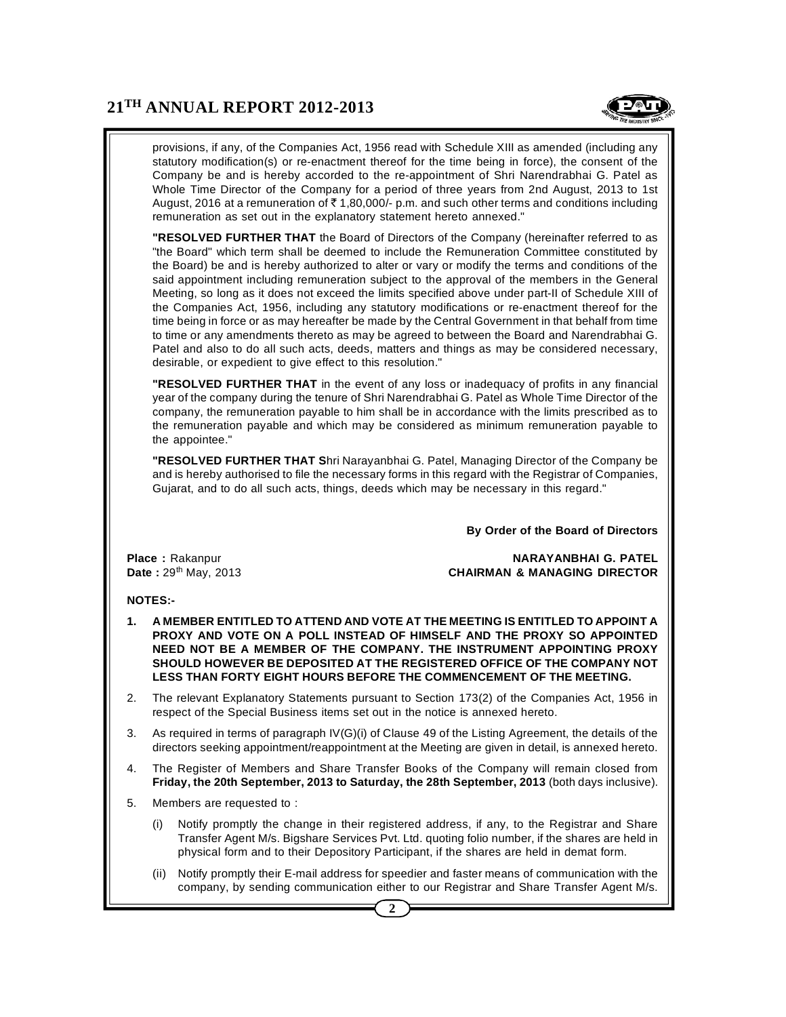

provisions, if any, of the Companies Act, 1956 read with Schedule XIII as amended (including any statutory modification(s) or re-enactment thereof for the time being in force), the consent of the Company be and is hereby accorded to the re-appointment of Shri Narendrabhai G. Patel as Whole Time Director of the Company for a period of three years from 2nd August, 2013 to 1st August, 2016 at a remuneration of  $\bar{\tau}$  1,80,000/- p.m. and such other terms and conditions including remuneration as set out in the explanatory statement hereto annexed."

**"RESOLVED FURTHER THAT** the Board of Directors of the Company (hereinafter referred to as "the Board" which term shall be deemed to include the Remuneration Committee constituted by the Board) be and is hereby authorized to alter or vary or modify the terms and conditions of the said appointment including remuneration subject to the approval of the members in the General Meeting, so long as it does not exceed the limits specified above under part-II of Schedule XIII of the Companies Act, 1956, including any statutory modifications or re-enactment thereof for the time being in force or as may hereafter be made by the Central Government in that behalf from time to time or any amendments thereto as may be agreed to between the Board and Narendrabhai G. Patel and also to do all such acts, deeds, matters and things as may be considered necessary, desirable, or expedient to give effect to this resolution."

**"RESOLVED FURTHER THAT** in the event of any loss or inadequacy of profits in any financial year of the company during the tenure of Shri Narendrabhai G. Patel as Whole Time Director of the company, the remuneration payable to him shall be in accordance with the limits prescribed as to the remuneration payable and which may be considered as minimum remuneration payable to the appointee."

**"RESOLVED FURTHER THAT S**hri Narayanbhai G. Patel, Managing Director of the Company be and is hereby authorised to file the necessary forms in this regard with the Registrar of Companies, Gujarat, and to do all such acts, things, deeds which may be necessary in this regard."

**By Order of the Board of Directors**

**Place :** Rakanpur **NARAYANBHAI G. PATEL Date :**  $29<sup>th</sup>$  May, 2013 **CHAIRMAN & MANAGING DIRECTOR** 

#### **NOTES:-**

- **1. A MEMBER ENTITLED TO ATTEND AND VOTE AT THE MEETING IS ENTITLED TO APPOINT A PROXY AND VOTE ON A POLL INSTEAD OF HIMSELF AND THE PROXY SO APPOINTED NEED NOT BE A MEMBER OF THE COMPANY. THE INSTRUMENT APPOINTING PROXY SHOULD HOWEVER BE DEPOSITED AT THE REGISTERED OFFICE OF THE COMPANY NOT LESS THAN FORTY EIGHT HOURS BEFORE THE COMMENCEMENT OF THE MEETING.**
- 2. The relevant Explanatory Statements pursuant to Section 173(2) of the Companies Act, 1956 in respect of the Special Business items set out in the notice is annexed hereto.
- 3. As required in terms of paragraph IV(G)(i) of Clause 49 of the Listing Agreement, the details of the directors seeking appointment/reappointment at the Meeting are given in detail, is annexed hereto.
- 4. The Register of Members and Share Transfer Books of the Company will remain closed from **Friday, the 20th September, 2013 to Saturday, the 28th September, 2013** (both days inclusive).
- 5. Members are requested to :
	- (i) Notify promptly the change in their registered address, if any, to the Registrar and Share Transfer Agent M/s. Bigshare Services Pvt. Ltd. quoting folio number, if the shares are held in physical form and to their Depository Participant, if the shares are held in demat form.
	- (ii) Notify promptly their E-mail address for speedier and faster means of communication with the company, by sending communication either to our Registrar and Share Transfer Agent M/s.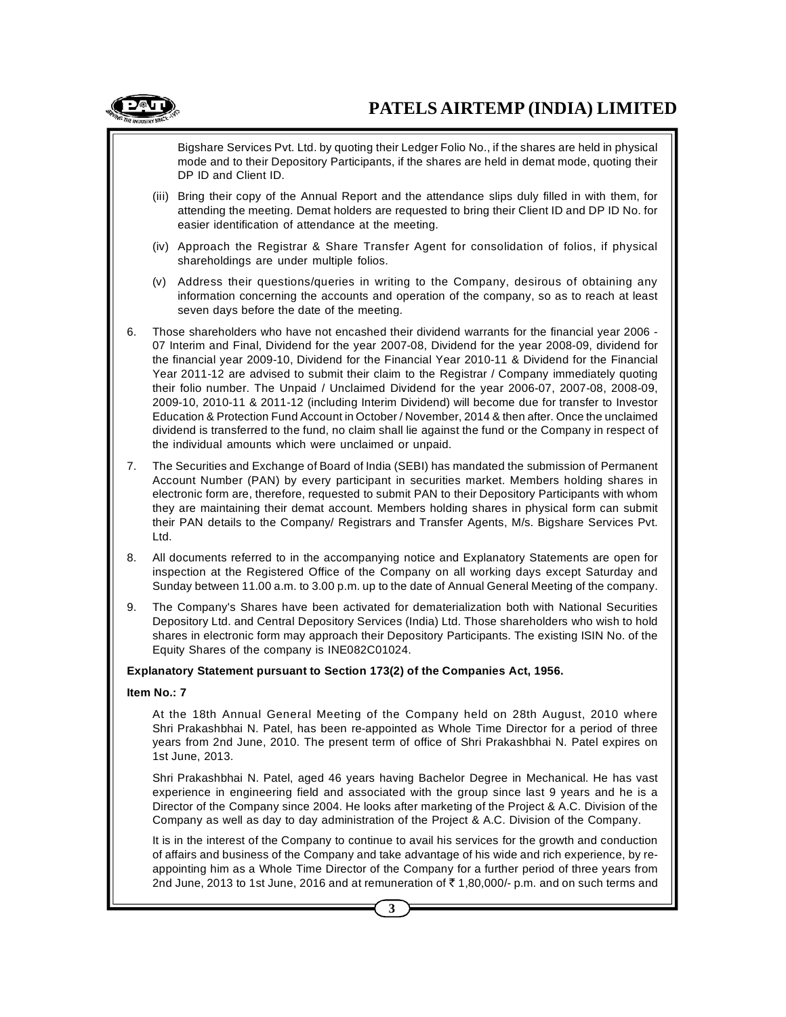

Bigshare Services Pvt. Ltd. by quoting their Ledger Folio No., if the shares are held in physical mode and to their Depository Participants, if the shares are held in demat mode, quoting their DP ID and Client ID.

- (iii) Bring their copy of the Annual Report and the attendance slips duly filled in with them, for attending the meeting. Demat holders are requested to bring their Client ID and DP ID No. for easier identification of attendance at the meeting.
- (iv) Approach the Registrar & Share Transfer Agent for consolidation of folios, if physical shareholdings are under multiple folios.
- (v) Address their questions/queries in writing to the Company, desirous of obtaining any information concerning the accounts and operation of the company, so as to reach at least seven days before the date of the meeting.
- 6. Those shareholders who have not encashed their dividend warrants for the financial year 2006 07 Interim and Final, Dividend for the year 2007-08, Dividend for the year 2008-09, dividend for the financial year 2009-10, Dividend for the Financial Year 2010-11 & Dividend for the Financial Year 2011-12 are advised to submit their claim to the Registrar / Company immediately quoting their folio number. The Unpaid / Unclaimed Dividend for the year 2006-07, 2007-08, 2008-09, 2009-10, 2010-11 & 2011-12 (including Interim Dividend) will become due for transfer to Investor Education & Protection Fund Account in October / November, 2014 & then after. Once the unclaimed dividend is transferred to the fund, no claim shall lie against the fund or the Company in respect of the individual amounts which were unclaimed or unpaid.
- 7. The Securities and Exchange of Board of India (SEBI) has mandated the submission of Permanent Account Number (PAN) by every participant in securities market. Members holding shares in electronic form are, therefore, requested to submit PAN to their Depository Participants with whom they are maintaining their demat account. Members holding shares in physical form can submit their PAN details to the Company/ Registrars and Transfer Agents, M/s. Bigshare Services Pvt. Ltd.
- 8. All documents referred to in the accompanying notice and Explanatory Statements are open for inspection at the Registered Office of the Company on all working days except Saturday and Sunday between 11.00 a.m. to 3.00 p.m. up to the date of Annual General Meeting of the company.
- 9. The Company's Shares have been activated for dematerialization both with National Securities Depository Ltd. and Central Depository Services (India) Ltd. Those shareholders who wish to hold shares in electronic form may approach their Depository Participants. The existing ISIN No. of the Equity Shares of the company is INE082C01024.

#### **Explanatory Statement pursuant to Section 173(2) of the Companies Act, 1956.**

#### **Item No.: 7**

At the 18th Annual General Meeting of the Company held on 28th August, 2010 where Shri Prakashbhai N. Patel, has been re-appointed as Whole Time Director for a period of three years from 2nd June, 2010. The present term of office of Shri Prakashbhai N. Patel expires on 1st June, 2013.

Shri Prakashbhai N. Patel, aged 46 years having Bachelor Degree in Mechanical. He has vast experience in engineering field and associated with the group since last 9 years and he is a Director of the Company since 2004. He looks after marketing of the Project & A.C. Division of the Company as well as day to day administration of the Project & A.C. Division of the Company.

It is in the interest of the Company to continue to avail his services for the growth and conduction of affairs and business of the Company and take advantage of his wide and rich experience, by reappointing him as a Whole Time Director of the Company for a further period of three years from 2nd June, 2013 to 1st June, 2016 and at remuneration of  $\bar{\tau}$  1,80,000/- p.m. and on such terms and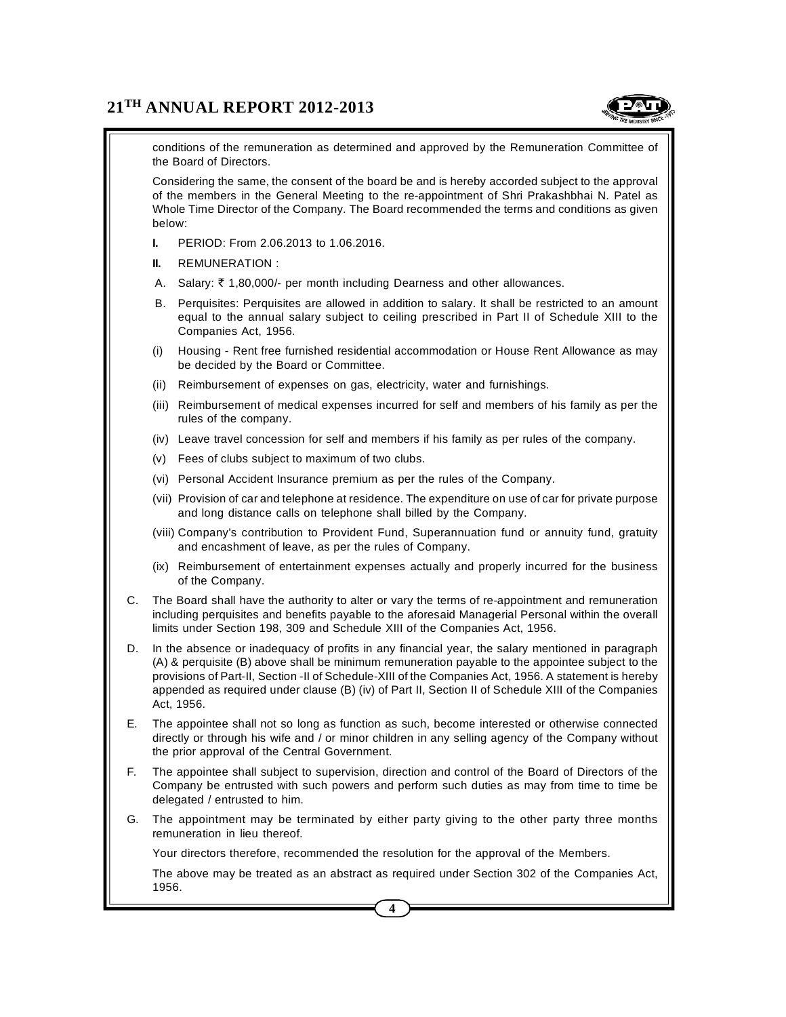

conditions of the remuneration as determined and approved by the Remuneration Committee of the Board of Directors.

Considering the same, the consent of the board be and is hereby accorded subject to the approval of the members in the General Meeting to the re-appointment of Shri Prakashbhai N. Patel as Whole Time Director of the Company. The Board recommended the terms and conditions as given below:

- **I.** PERIOD: From 2.06.2013 to 1.06.2016.
- **II.** REMUNERATION :
- A. Salary:  $\bar{\tau}$  1,80,000/- per month including Dearness and other allowances.
- B. Perquisites: Perquisites are allowed in addition to salary. It shall be restricted to an amount equal to the annual salary subject to ceiling prescribed in Part II of Schedule XIII to the Companies Act, 1956.
- (i) Housing Rent free furnished residential accommodation or House Rent Allowance as may be decided by the Board or Committee.
- (ii) Reimbursement of expenses on gas, electricity, water and furnishings.
- (iii) Reimbursement of medical expenses incurred for self and members of his family as per the rules of the company.
- (iv) Leave travel concession for self and members if his family as per rules of the company.
- (v) Fees of clubs subject to maximum of two clubs.
- (vi) Personal Accident Insurance premium as per the rules of the Company.
- (vii) Provision of car and telephone at residence. The expenditure on use of car for private purpose and long distance calls on telephone shall billed by the Company.
- (viii) Company's contribution to Provident Fund, Superannuation fund or annuity fund, gratuity and encashment of leave, as per the rules of Company.
- (ix) Reimbursement of entertainment expenses actually and properly incurred for the business of the Company.
- C. The Board shall have the authority to alter or vary the terms of re-appointment and remuneration including perquisites and benefits payable to the aforesaid Managerial Personal within the overall limits under Section 198, 309 and Schedule XIII of the Companies Act, 1956.
- D. In the absence or inadequacy of profits in any financial year, the salary mentioned in paragraph (A) & perquisite (B) above shall be minimum remuneration payable to the appointee subject to the provisions of Part-II, Section -II of Schedule-XIII of the Companies Act, 1956. A statement is hereby appended as required under clause (B) (iv) of Part II, Section II of Schedule XIII of the Companies Act, 1956.
- E. The appointee shall not so long as function as such, become interested or otherwise connected directly or through his wife and / or minor children in any selling agency of the Company without the prior approval of the Central Government.
- F. The appointee shall subject to supervision, direction and control of the Board of Directors of the Company be entrusted with such powers and perform such duties as may from time to time be delegated / entrusted to him.
- G. The appointment may be terminated by either party giving to the other party three months remuneration in lieu thereof.

Your directors therefore, recommended the resolution for the approval of the Members.

The above may be treated as an abstract as required under Section 302 of the Companies Act, 1956.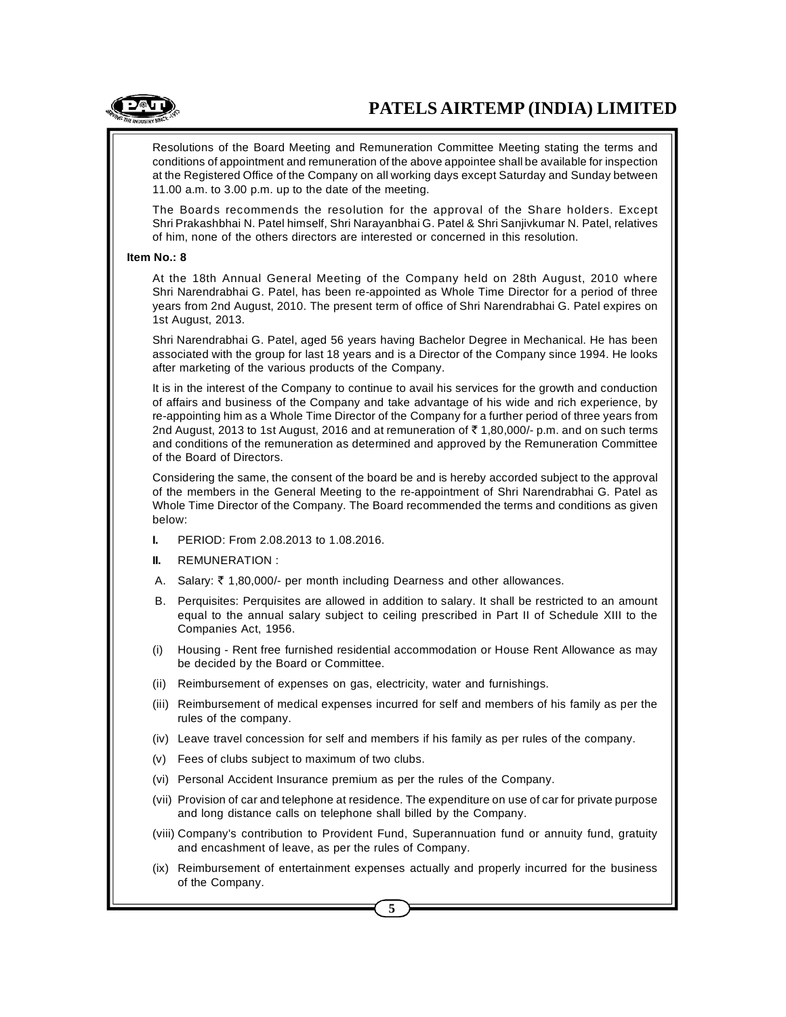Resolutions of the Board Meeting and Remuneration Committee Meeting stating the terms and conditions of appointment and remuneration of the above appointee shall be available for inspection at the Registered Office of the Company on all working days except Saturday and Sunday between 11.00 a.m. to 3.00 p.m. up to the date of the meeting.

The Boards recommends the resolution for the approval of the Share holders. Except Shri Prakashbhai N. Patel himself, Shri Narayanbhai G. Patel & Shri Sanjivkumar N. Patel, relatives of him, none of the others directors are interested or concerned in this resolution.

#### **Item No.: 8**

At the 18th Annual General Meeting of the Company held on 28th August, 2010 where Shri Narendrabhai G. Patel, has been re-appointed as Whole Time Director for a period of three years from 2nd August, 2010. The present term of office of Shri Narendrabhai G. Patel expires on 1st August, 2013.

Shri Narendrabhai G. Patel, aged 56 years having Bachelor Degree in Mechanical. He has been associated with the group for last 18 years and is a Director of the Company since 1994. He looks after marketing of the various products of the Company.

It is in the interest of the Company to continue to avail his services for the growth and conduction of affairs and business of the Company and take advantage of his wide and rich experience, by re-appointing him as a Whole Time Director of the Company for a further period of three years from 2nd August, 2013 to 1st August, 2016 and at remuneration of  $\bar{\tau}$  1,80,000/- p.m. and on such terms and conditions of the remuneration as determined and approved by the Remuneration Committee of the Board of Directors.

Considering the same, the consent of the board be and is hereby accorded subject to the approval of the members in the General Meeting to the re-appointment of Shri Narendrabhai G. Patel as Whole Time Director of the Company. The Board recommended the terms and conditions as given below:

- **I.** PERIOD: From 2.08.2013 to 1.08.2016.
- **II.** REMUNERATION :
- A. Salary:  $\bar{\tau}$  1,80,000/- per month including Dearness and other allowances.
- B. Perquisites: Perquisites are allowed in addition to salary. It shall be restricted to an amount equal to the annual salary subject to ceiling prescribed in Part II of Schedule XIII to the Companies Act, 1956.
- (i) Housing Rent free furnished residential accommodation or House Rent Allowance as may be decided by the Board or Committee.
- (ii) Reimbursement of expenses on gas, electricity, water and furnishings.
- (iii) Reimbursement of medical expenses incurred for self and members of his family as per the rules of the company.
- (iv) Leave travel concession for self and members if his family as per rules of the company.
- (v) Fees of clubs subject to maximum of two clubs.
- (vi) Personal Accident Insurance premium as per the rules of the Company.
- (vii) Provision of car and telephone at residence. The expenditure on use of car for private purpose and long distance calls on telephone shall billed by the Company.
- (viii) Company's contribution to Provident Fund, Superannuation fund or annuity fund, gratuity and encashment of leave, as per the rules of Company.
- (ix) Reimbursement of entertainment expenses actually and properly incurred for the business of the Company.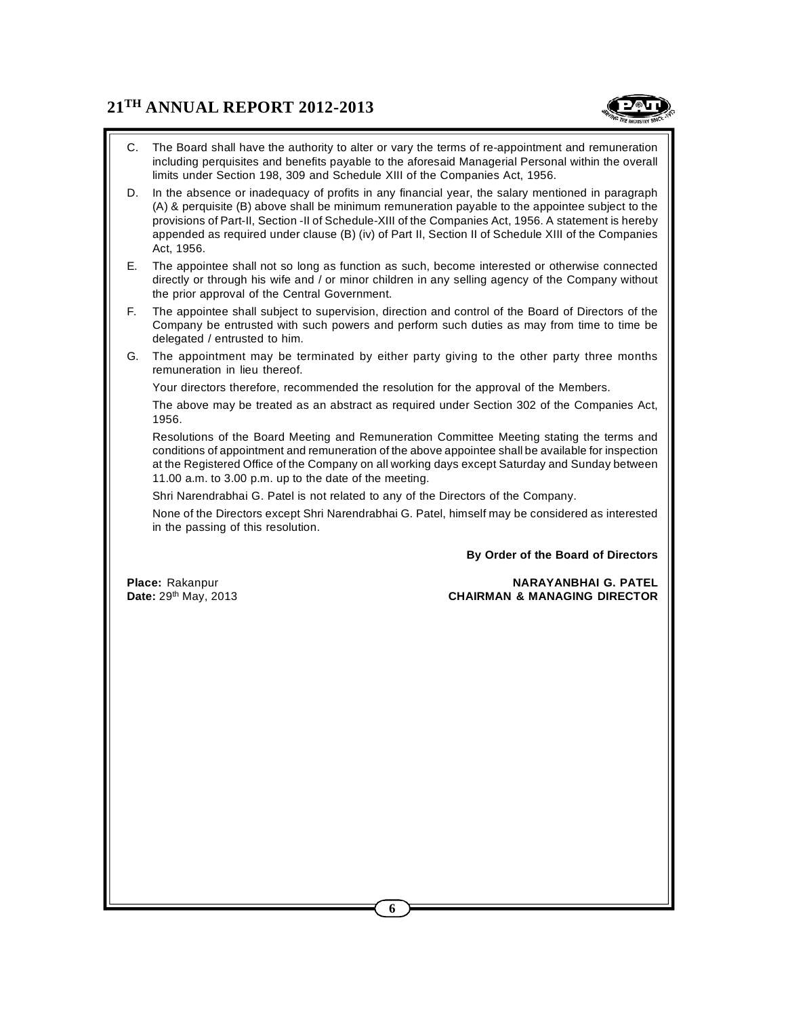

- C. The Board shall have the authority to alter or vary the terms of re-appointment and remuneration including perquisites and benefits payable to the aforesaid Managerial Personal within the overall limits under Section 198, 309 and Schedule XIII of the Companies Act, 1956.
- D. In the absence or inadequacy of profits in any financial year, the salary mentioned in paragraph (A) & perquisite (B) above shall be minimum remuneration payable to the appointee subject to the provisions of Part-II, Section -II of Schedule-XIII of the Companies Act, 1956. A statement is hereby appended as required under clause (B) (iv) of Part II, Section II of Schedule XIII of the Companies Act, 1956.
- E. The appointee shall not so long as function as such, become interested or otherwise connected directly or through his wife and / or minor children in any selling agency of the Company without the prior approval of the Central Government.
- F. The appointee shall subject to supervision, direction and control of the Board of Directors of the Company be entrusted with such powers and perform such duties as may from time to time be delegated / entrusted to him.
- G. The appointment may be terminated by either party giving to the other party three months remuneration in lieu thereof.

Your directors therefore, recommended the resolution for the approval of the Members.

The above may be treated as an abstract as required under Section 302 of the Companies Act, 1956.

Resolutions of the Board Meeting and Remuneration Committee Meeting stating the terms and conditions of appointment and remuneration of the above appointee shall be available for inspection at the Registered Office of the Company on all working days except Saturday and Sunday between 11.00 a.m. to 3.00 p.m. up to the date of the meeting.

Shri Narendrabhai G. Patel is not related to any of the Directors of the Company.

None of the Directors except Shri Narendrabhai G. Patel, himself may be considered as interested in the passing of this resolution.

**By Order of the Board of Directors**

## **Place:** Rakanpur **NARAYANBHAI G. PATEL Date:** 29th May, 2013 **CHAIRMAN & MANAGING DIRECTOR**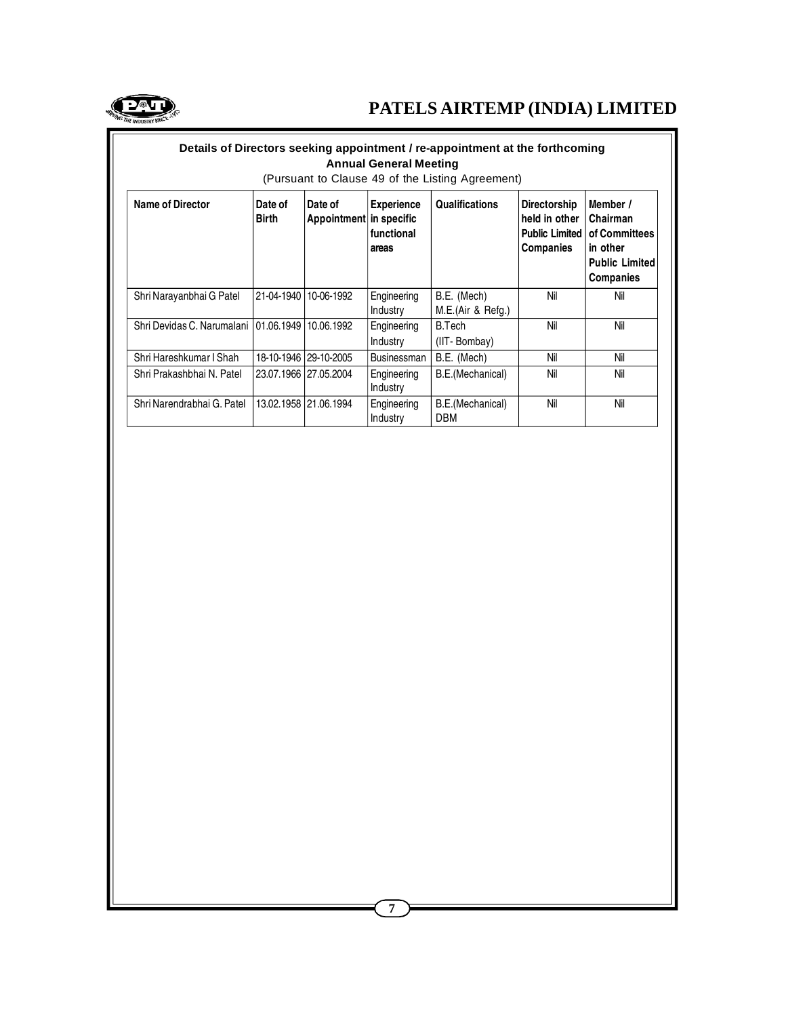

| Details of Directors seeking appointment / re-appointment at the forthcoming<br><b>Annual General Meeting</b><br>(Pursuant to Clause 49 of the Listing Agreement) |                         |                                    |                                          |                                  |                                                                                   |                                                                                         |  |
|-------------------------------------------------------------------------------------------------------------------------------------------------------------------|-------------------------|------------------------------------|------------------------------------------|----------------------------------|-----------------------------------------------------------------------------------|-----------------------------------------------------------------------------------------|--|
| <b>Name of Director</b>                                                                                                                                           | Date of<br><b>Birth</b> | Date of<br>Appointment in specific | <b>Experience</b><br>functional<br>areas | <b>Qualifications</b>            | <b>Directorship</b><br>held in other<br><b>Public Limited</b><br><b>Companies</b> | Member /<br>Chairman<br>of Committees<br>in other<br><b>Public Limited</b><br>Companies |  |
| Shri Narayanbhai G Patel                                                                                                                                          |                         | 21-04-1940   10-06-1992            | Engineering<br>Industry                  | B.E. (Mech)<br>M.E.(Air & Refg.) | Nil                                                                               | Nil                                                                                     |  |
| Shri Devidas C. Narumalani 101.06.1949 10.06.1992                                                                                                                 |                         |                                    | Engineering<br>Industry                  | B.Tech<br>(IIT-Bombay)           | Nil                                                                               | Nil                                                                                     |  |
| Shri Hareshkumar I Shah                                                                                                                                           |                         | 18-10-1946   29-10-2005            | Businessman                              | B.E. (Mech)                      | Nil                                                                               | Nil                                                                                     |  |
| Shri Prakashbhai N. Patel                                                                                                                                         |                         | 23.07.1966 27.05.2004              | Engineering<br>Industry                  | B.E.(Mechanical)                 | Nil                                                                               | Nil                                                                                     |  |
| Shri Narendrabhai G. Patel                                                                                                                                        |                         | 13.02.1958 21.06.1994              | Engineering<br>Industry                  | B.E.(Mechanical)<br>DBM          | Nil                                                                               | Nil                                                                                     |  |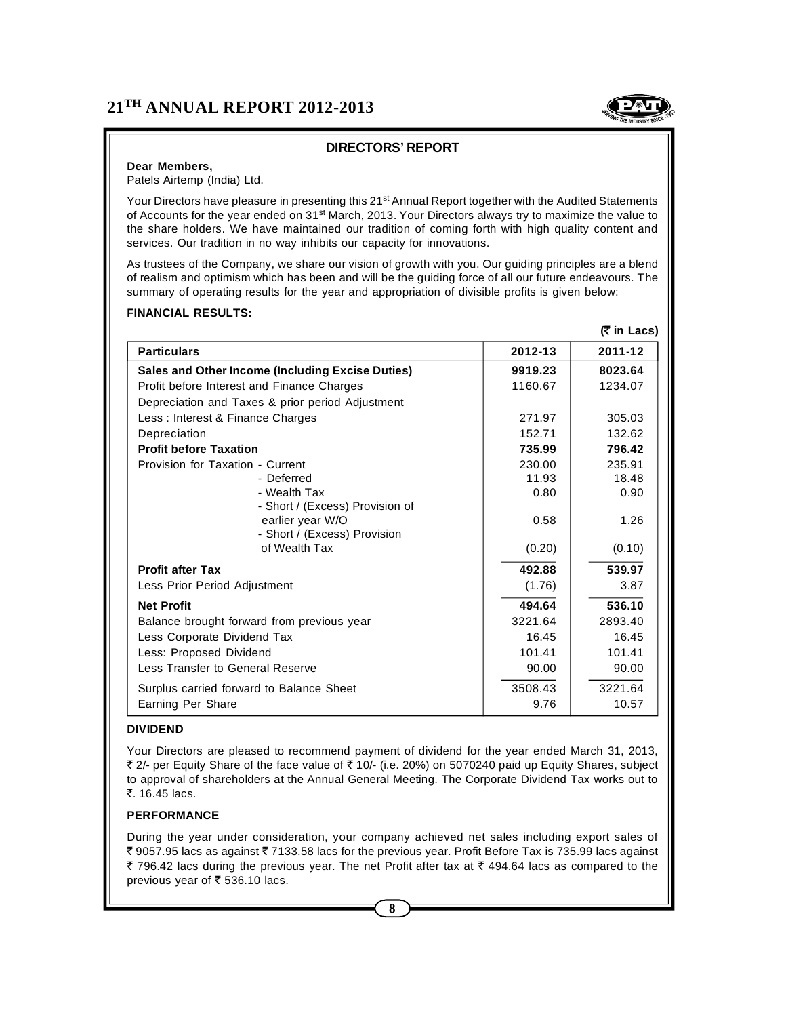

# **DIRECTORS' REPORT**

#### **Dear Members,**

Patels Airtemp (India) Ltd.

Your Directors have pleasure in presenting this 21<sup>st</sup> Annual Report together with the Audited Statements of Accounts for the year ended on 31<sup>st</sup> March, 2013. Your Directors always try to maximize the value to the share holders. We have maintained our tradition of coming forth with high quality content and services. Our tradition in no way inhibits our capacity for innovations.

As trustees of the Company, we share our vision of growth with you. Our guiding principles are a blend of realism and optimism which has been and will be the guiding force of all our future endeavours. The summary of operating results for the year and appropriation of divisible profits is given below:

#### **FINANCIAL RESULTS:**

|                                                  |         | (₹ in Lacs) |
|--------------------------------------------------|---------|-------------|
| <b>Particulars</b>                               | 2012-13 | 2011-12     |
| Sales and Other Income (Including Excise Duties) | 9919.23 | 8023.64     |
| Profit before Interest and Finance Charges       | 1160.67 | 1234.07     |
| Depreciation and Taxes & prior period Adjustment |         |             |
| Less: Interest & Finance Charges                 | 271.97  | 305.03      |
| Depreciation                                     | 152.71  | 132.62      |
| <b>Profit before Taxation</b>                    | 735.99  | 796.42      |
| Provision for Taxation - Current                 | 230.00  | 235.91      |
| - Deferred                                       | 11.93   | 18.48       |
| - Wealth Tax                                     | 0.80    | 0.90        |
| - Short / (Excess) Provision of                  |         |             |
| earlier year W/O<br>- Short / (Excess) Provision | 0.58    | 1.26        |
| of Wealth Tax                                    | (0.20)  | (0.10)      |
| <b>Profit after Tax</b>                          | 492.88  | 539.97      |
| Less Prior Period Adjustment                     | (1.76)  | 3.87        |
| <b>Net Profit</b>                                | 494.64  | 536.10      |
| Balance brought forward from previous year       | 3221.64 | 2893.40     |
| Less Corporate Dividend Tax                      | 16.45   | 16.45       |
| Less: Proposed Dividend                          | 101.41  | 101.41      |
| Less Transfer to General Reserve                 | 90.00   | 90.00       |
| Surplus carried forward to Balance Sheet         | 3508.43 | 3221.64     |
| Earning Per Share                                | 9.76    | 10.57       |

#### **DIVIDEND**

Your Directors are pleased to recommend payment of dividend for the year ended March 31, 2013, ₹ 2/- per Equity Share of the face value of ₹ 10/- (i.e. 20%) on 5070240 paid up Equity Shares, subject to approval of shareholders at the Annual General Meeting. The Corporate Dividend Tax works out to  $\overline{z}$  16.45 lacs.

#### **PERFORMANCE**

During the year under consideration, your company achieved net sales including export sales of ₹ 9057.95 lacs as against ₹ 7133.58 lacs for the previous year. Profit Before Tax is 735.99 lacs against  $\bar{\zeta}$  796.42 lacs during the previous year. The net Profit after tax at  $\bar{\zeta}$  494.64 lacs as compared to the previous year of  $\bar{\tau}$  536.10 lacs.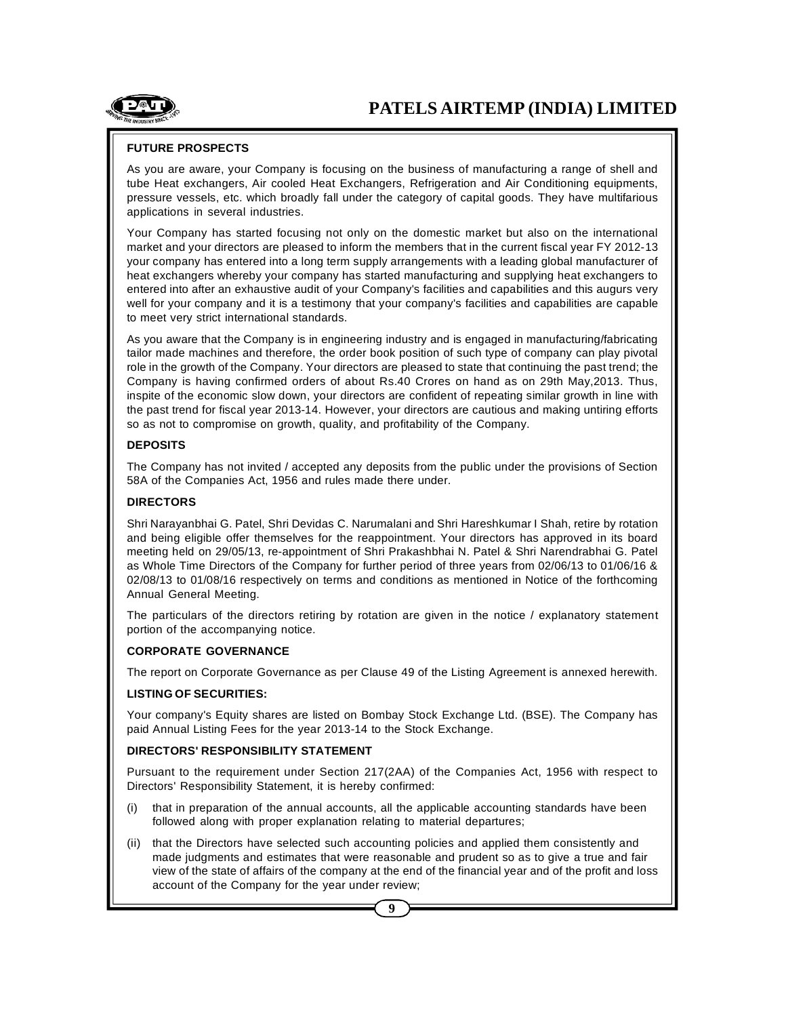

#### **FUTURE PROSPECTS**

As you are aware, your Company is focusing on the business of manufacturing a range of shell and tube Heat exchangers, Air cooled Heat Exchangers, Refrigeration and Air Conditioning equipments, pressure vessels, etc. which broadly fall under the category of capital goods. They have multifarious applications in several industries.

Your Company has started focusing not only on the domestic market but also on the international market and your directors are pleased to inform the members that in the current fiscal year FY 2012-13 your company has entered into a long term supply arrangements with a leading global manufacturer of heat exchangers whereby your company has started manufacturing and supplying heat exchangers to entered into after an exhaustive audit of your Company's facilities and capabilities and this augurs very well for your company and it is a testimony that your company's facilities and capabilities are capable to meet very strict international standards.

As you aware that the Company is in engineering industry and is engaged in manufacturing/fabricating tailor made machines and therefore, the order book position of such type of company can play pivotal role in the growth of the Company. Your directors are pleased to state that continuing the past trend; the Company is having confirmed orders of about Rs.40 Crores on hand as on 29th May,2013. Thus, inspite of the economic slow down, your directors are confident of repeating similar growth in line with the past trend for fiscal year 2013-14. However, your directors are cautious and making untiring efforts so as not to compromise on growth, quality, and profitability of the Company.

#### **DEPOSITS**

The Company has not invited / accepted any deposits from the public under the provisions of Section 58A of the Companies Act, 1956 and rules made there under.

#### **DIRECTORS**

Shri Narayanbhai G. Patel, Shri Devidas C. Narumalani and Shri Hareshkumar I Shah, retire by rotation and being eligible offer themselves for the reappointment. Your directors has approved in its board meeting held on 29/05/13, re-appointment of Shri Prakashbhai N. Patel & Shri Narendrabhai G. Patel as Whole Time Directors of the Company for further period of three years from 02/06/13 to 01/06/16 & 02/08/13 to 01/08/16 respectively on terms and conditions as mentioned in Notice of the forthcoming Annual General Meeting.

The particulars of the directors retiring by rotation are given in the notice / explanatory statement portion of the accompanying notice.

#### **CORPORATE GOVERNANCE**

The report on Corporate Governance as per Clause 49 of the Listing Agreement is annexed herewith.

#### **LISTING OF SECURITIES:**

Your company's Equity shares are listed on Bombay Stock Exchange Ltd. (BSE). The Company has paid Annual Listing Fees for the year 2013-14 to the Stock Exchange.

#### **DIRECTORS' RESPONSIBILITY STATEMENT**

Pursuant to the requirement under Section 217(2AA) of the Companies Act, 1956 with respect to Directors' Responsibility Statement, it is hereby confirmed:

- (i) that in preparation of the annual accounts, all the applicable accounting standards have been followed along with proper explanation relating to material departures;
- (ii) that the Directors have selected such accounting policies and applied them consistently and made judgments and estimates that were reasonable and prudent so as to give a true and fair view of the state of affairs of the company at the end of the financial year and of the profit and loss account of the Company for the year under review;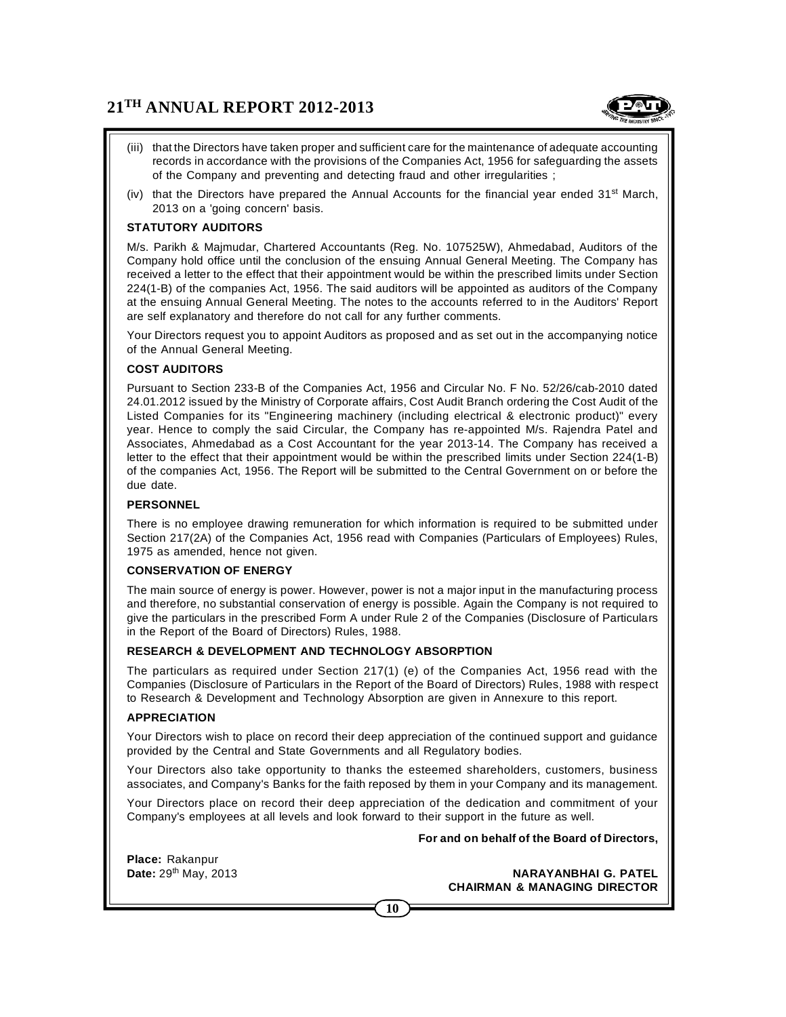

- (iii) that the Directors have taken proper and sufficient care for the maintenance of adequate accounting records in accordance with the provisions of the Companies Act, 1956 for safeguarding the assets of the Company and preventing and detecting fraud and other irregularities ;
- (iv) that the Directors have prepared the Annual Accounts for the financial year ended  $31<sup>st</sup>$  March, 2013 on a 'going concern' basis.

## **STATUTORY AUDITORS**

M/s. Parikh & Majmudar, Chartered Accountants (Reg. No. 107525W), Ahmedabad, Auditors of the Company hold office until the conclusion of the ensuing Annual General Meeting. The Company has received a letter to the effect that their appointment would be within the prescribed limits under Section 224(1-B) of the companies Act, 1956. The said auditors will be appointed as auditors of the Company at the ensuing Annual General Meeting. The notes to the accounts referred to in the Auditors' Report are self explanatory and therefore do not call for any further comments.

Your Directors request you to appoint Auditors as proposed and as set out in the accompanying notice of the Annual General Meeting.

#### **COST AUDITORS**

Pursuant to Section 233-B of the Companies Act, 1956 and Circular No. F No. 52/26/cab-2010 dated 24.01.2012 issued by the Ministry of Corporate affairs, Cost Audit Branch ordering the Cost Audit of the Listed Companies for its "Engineering machinery (including electrical & electronic product)" every year. Hence to comply the said Circular, the Company has re-appointed M/s. Rajendra Patel and Associates, Ahmedabad as a Cost Accountant for the year 2013-14. The Company has received a letter to the effect that their appointment would be within the prescribed limits under Section 224(1-B) of the companies Act, 1956. The Report will be submitted to the Central Government on or before the due date.

#### **PERSONNEL**

There is no employee drawing remuneration for which information is required to be submitted under Section 217(2A) of the Companies Act, 1956 read with Companies (Particulars of Employees) Rules, 1975 as amended, hence not given.

#### **CONSERVATION OF ENERGY**

The main source of energy is power. However, power is not a major input in the manufacturing process and therefore, no substantial conservation of energy is possible. Again the Company is not required to give the particulars in the prescribed Form A under Rule 2 of the Companies (Disclosure of Particulars in the Report of the Board of Directors) Rules, 1988.

#### **RESEARCH & DEVELOPMENT AND TECHNOLOGY ABSORPTION**

The particulars as required under Section 217(1) (e) of the Companies Act, 1956 read with the Companies (Disclosure of Particulars in the Report of the Board of Directors) Rules, 1988 with respect to Research & Development and Technology Absorption are given in Annexure to this report.

#### **APPRECIATION**

Your Directors wish to place on record their deep appreciation of the continued support and guidance provided by the Central and State Governments and all Regulatory bodies.

Your Directors also take opportunity to thanks the esteemed shareholders, customers, business associates, and Company's Banks for the faith reposed by them in your Company and its management.

Your Directors place on record their deep appreciation of the dedication and commitment of your Company's employees at all levels and look forward to their support in the future as well.

#### **For and on behalf of the Board of Directors,**

**Place:** Rakanpur

**Date:** 29th May, 2013 **NARAYANBHAI G. PATEL CHAIRMAN & MANAGING DIRECTOR**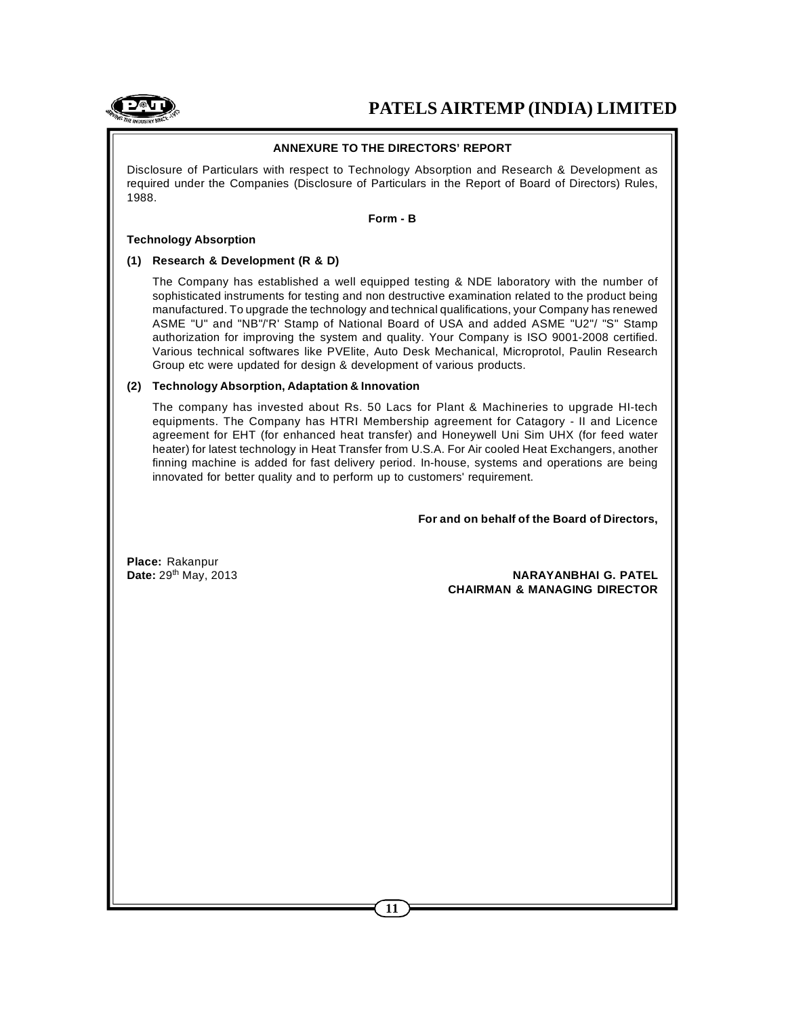

#### **ANNEXURE TO THE DIRECTORS' REPORT**

Disclosure of Particulars with respect to Technology Absorption and Research & Development as required under the Companies (Disclosure of Particulars in the Report of Board of Directors) Rules, 1988.

#### **Form - B**

#### **Technology Absorption**

#### **(1) Research & Development (R & D)**

The Company has established a well equipped testing & NDE laboratory with the number of sophisticated instruments for testing and non destructive examination related to the product being manufactured. To upgrade the technology and technical qualifications, your Company has renewed ASME "U" and "NB"/'R' Stamp of National Board of USA and added ASME "U2"/ "S" Stamp authorization for improving the system and quality. Your Company is ISO 9001-2008 certified. Various technical softwares like PVElite, Auto Desk Mechanical, Microprotol, Paulin Research Group etc were updated for design & development of various products.

#### **(2) Technology Absorption, Adaptation & Innovation**

The company has invested about Rs. 50 Lacs for Plant & Machineries to upgrade HI-tech equipments. The Company has HTRI Membership agreement for Catagory - II and Licence agreement for EHT (for enhanced heat transfer) and Honeywell Uni Sim UHX (for feed water heater) for latest technology in Heat Transfer from U.S.A. For Air cooled Heat Exchangers, another finning machine is added for fast delivery period. In-house, systems and operations are being innovated for better quality and to perform up to customers' requirement.

**For and on behalf of the Board of Directors,**

**Place:** Rakanpur

**Date:** 29th May, 2013 **NARAYANBHAI G. PATEL CHAIRMAN & MANAGING DIRECTOR**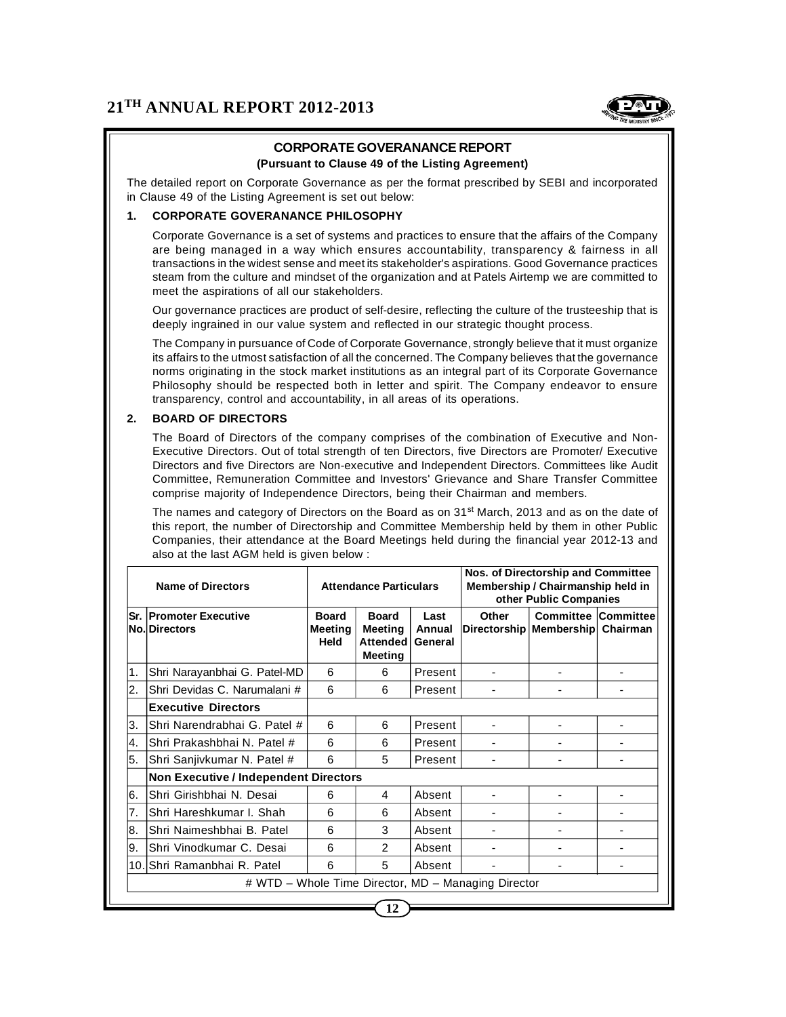

# **CORPORATE GOVERANANCE REPORT**

# **(Pursuant to Clause 49 of the Listing Agreement)**

The detailed report on Corporate Governance as per the format prescribed by SEBI and incorporated in Clause 49 of the Listing Agreement is set out below:

# **1. CORPORATE GOVERANANCE PHILOSOPHY**

Corporate Governance is a set of systems and practices to ensure that the affairs of the Company are being managed in a way which ensures accountability, transparency & fairness in all transactions in the widest sense and meet its stakeholder's aspirations. Good Governance practices steam from the culture and mindset of the organization and at Patels Airtemp we are committed to meet the aspirations of all our stakeholders.

Our governance practices are product of self-desire, reflecting the culture of the trusteeship that is deeply ingrained in our value system and reflected in our strategic thought process.

The Company in pursuance of Code of Corporate Governance, strongly believe that it must organize its affairs to the utmost satisfaction of all the concerned. The Company believes that the governance norms originating in the stock market institutions as an integral part of its Corporate Governance Philosophy should be respected both in letter and spirit. The Company endeavor to ensure transparency, control and accountability, in all areas of its operations.

## **2. BOARD OF DIRECTORS**

The Board of Directors of the company comprises of the combination of Executive and Non-Executive Directors. Out of total strength of ten Directors, five Directors are Promoter/ Executive Directors and five Directors are Non-executive and Independent Directors. Committees like Audit Committee, Remuneration Committee and Investors' Grievance and Share Transfer Committee comprise majority of Independence Directors, being their Chairman and members.

The names and category of Directors on the Board as on  $31<sup>st</sup>$  March, 2013 and as on the date of this report, the number of Directorship and Committee Membership held by them in other Public Companies, their attendance at the Board Meetings held during the financial year 2012-13 and also at the last AGM held is given below :

| <b>Name of Directors</b> |                                                       | <b>Attendance Particulars</b>          |                                                       |                           | Nos. of Directorship and Committee<br>Membership / Chairmanship held in<br>other Public Companies |                            |          |
|--------------------------|-------------------------------------------------------|----------------------------------------|-------------------------------------------------------|---------------------------|---------------------------------------------------------------------------------------------------|----------------------------|----------|
|                          | <b>Sr. Promoter Executive</b><br><b>No. Directors</b> | <b>Board</b><br><b>Meeting</b><br>Held | <b>Board</b><br><b>Meeting</b><br>Attended<br>Meeting | Last<br>Annual<br>General | Other<br>Directorship   Membership                                                                | <b>Committee Committee</b> | Chairman |
| 1.                       | Shri Narayanbhai G. Patel-MD                          | 6                                      | 6                                                     | Present                   |                                                                                                   |                            |          |
| 2.                       | Shri Devidas C. Narumalani #                          | 6                                      | 6                                                     | Present                   |                                                                                                   |                            |          |
|                          | <b>Executive Directors</b>                            |                                        |                                                       |                           |                                                                                                   |                            |          |
| ΙЗ.                      | Shri Narendrabhai G. Patel #                          | 6                                      | 6                                                     | Present                   |                                                                                                   |                            |          |
| Ι4.                      | Shri Prakashbhai N. Patel #                           | 6                                      | 6                                                     | Present                   |                                                                                                   |                            |          |
| l5.                      | Shri Sanjivkumar N. Patel #                           | 6                                      | 5                                                     | Present                   |                                                                                                   |                            |          |
|                          | <b>Non Executive / Independent Directors</b>          |                                        |                                                       |                           |                                                                                                   |                            |          |
| 16.                      | Shri Girishbhai N. Desai                              | 6                                      | 4                                                     | Absent                    |                                                                                                   |                            |          |
| 7.                       | Shri Hareshkumar I. Shah                              | 6                                      | 6                                                     | Absent                    |                                                                                                   |                            |          |
| 8.                       | Shri Naimeshbhai B. Patel                             | 6                                      | 3                                                     | Absent                    |                                                                                                   |                            |          |
| Ι9.                      | Shri Vinodkumar C. Desai                              | 6                                      | $\overline{2}$                                        | Absent                    |                                                                                                   |                            |          |
|                          | 10.IShri Ramanbhai R. Patel                           | 6                                      | 5                                                     | Absent                    |                                                                                                   |                            |          |
|                          |                                                       |                                        |                                                       |                           | # WTD - Whole Time Director, MD - Managing Director                                               |                            |          |
|                          |                                                       |                                        |                                                       |                           |                                                                                                   |                            |          |

**12**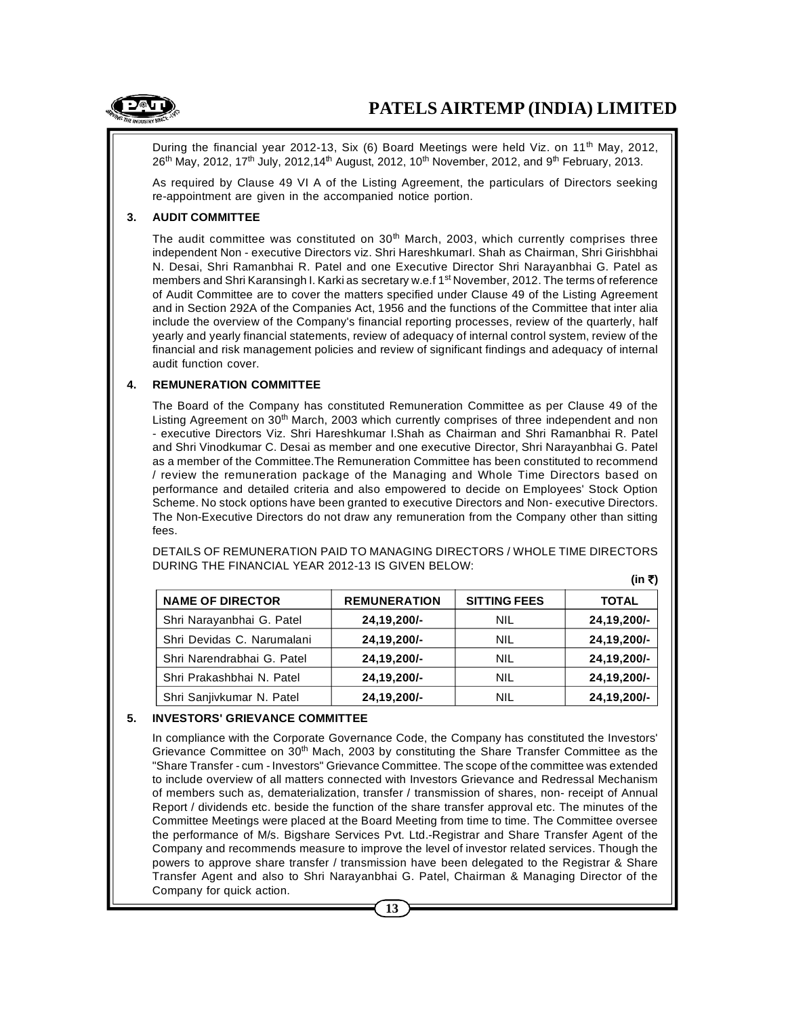

**(in `)**

During the financial year 2012-13, Six (6) Board Meetings were held Viz. on 11<sup>th</sup> May, 2012,  $26<sup>th</sup>$  May, 2012, 17<sup>th</sup> July, 2012,14<sup>th</sup> August, 2012, 10<sup>th</sup> November, 2012, and 9<sup>th</sup> February, 2013.

As required by Clause 49 VI A of the Listing Agreement, the particulars of Directors seeking re-appointment are given in the accompanied notice portion.

#### **3. AUDIT COMMITTEE**

The audit committee was constituted on  $30<sup>th</sup>$  March, 2003, which currently comprises three independent Non - executive Directors viz. Shri HareshkumarI. Shah as Chairman, Shri Girishbhai N. Desai, Shri Ramanbhai R. Patel and one Executive Director Shri Narayanbhai G. Patel as members and Shri Karansingh I. Karki as secretary w.e.f 1<sup>st</sup> November, 2012. The terms of reference of Audit Committee are to cover the matters specified under Clause 49 of the Listing Agreement and in Section 292A of the Companies Act, 1956 and the functions of the Committee that inter alia include the overview of the Company's financial reporting processes, review of the quarterly, half yearly and yearly financial statements, review of adequacy of internal control system, review of the financial and risk management policies and review of significant findings and adequacy of internal audit function cover.

#### **4. REMUNERATION COMMITTEE**

The Board of the Company has constituted Remuneration Committee as per Clause 49 of the Listing Agreement on 30<sup>th</sup> March, 2003 which currently comprises of three independent and non - executive Directors Viz. Shri Hareshkumar I.Shah as Chairman and Shri Ramanbhai R. Patel and Shri Vinodkumar C. Desai as member and one executive Director, Shri Narayanbhai G. Patel as a member of the Committee.The Remuneration Committee has been constituted to recommend / review the remuneration package of the Managing and Whole Time Directors based on performance and detailed criteria and also empowered to decide on Employees' Stock Option Scheme. No stock options have been granted to executive Directors and Non- executive Directors. The Non-Executive Directors do not draw any remuneration from the Company other than sitting fees.

|                            |                     |                     | , . ,        |
|----------------------------|---------------------|---------------------|--------------|
| <b>NAME OF DIRECTOR</b>    | <b>REMUNERATION</b> | <b>SITTING FEES</b> | <b>TOTAL</b> |
| Shri Narayanbhai G. Patel  | 24,19,200/-         | <b>NIL</b>          | 24,19,200/-  |
| Shri Devidas C. Narumalani | 24,19,200/-         | <b>NIL</b>          | 24,19,200/-  |
| Shri Narendrabhai G. Patel | 24,19,200/-         | NIL                 | 24,19,200/-  |
| Shri Prakashbhai N. Patel  | 24,19,200/-         | NIL                 | 24,19,200/-  |
| Shri Sanjivkumar N. Patel  | 24,19,200/-         | NIL                 | 24,19,200/-  |

DETAILS OF REMUNERATION PAID TO MANAGING DIRECTORS / WHOLE TIME DIRECTORS DURING THE FINANCIAL YEAR 2012-13 IS GIVEN BELOW:

#### **5. INVESTORS' GRIEVANCE COMMITTEE**

In compliance with the Corporate Governance Code, the Company has constituted the Investors' Grievance Committee on 30<sup>th</sup> Mach, 2003 by constituting the Share Transfer Committee as the "Share Transfer - cum - Investors" Grievance Committee. The scope of the committee was extended to include overview of all matters connected with Investors Grievance and Redressal Mechanism of members such as, dematerialization, transfer / transmission of shares, non- receipt of Annual Report / dividends etc. beside the function of the share transfer approval etc. The minutes of the Committee Meetings were placed at the Board Meeting from time to time. The Committee oversee the performance of M/s. Bigshare Services Pvt. Ltd.-Registrar and Share Transfer Agent of the Company and recommends measure to improve the level of investor related services. Though the powers to approve share transfer / transmission have been delegated to the Registrar & Share Transfer Agent and also to Shri Narayanbhai G. Patel, Chairman & Managing Director of the Company for quick action.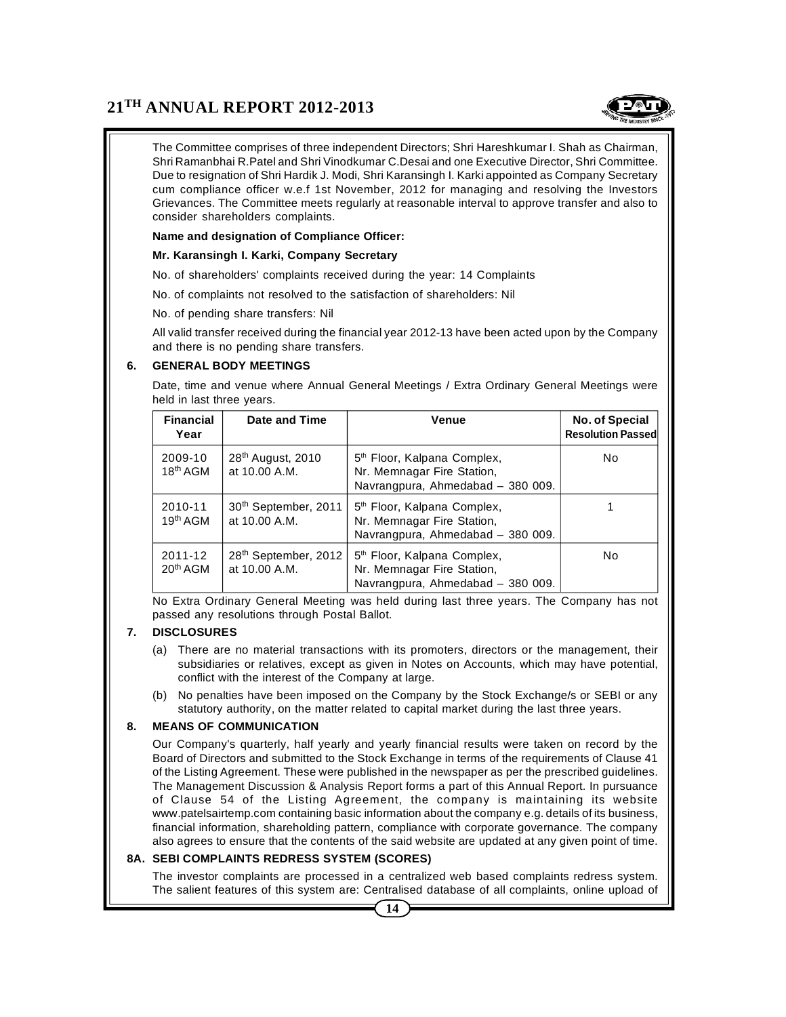

The Committee comprises of three independent Directors; Shri Hareshkumar I. Shah as Chairman, Shri Ramanbhai R.Patel and Shri Vinodkumar C.Desai and one Executive Director, Shri Committee. Due to resignation of Shri Hardik J. Modi, Shri Karansingh I. Karki appointed as Company Secretary cum compliance officer w.e.f 1st November, 2012 for managing and resolving the Investors Grievances. The Committee meets regularly at reasonable interval to approve transfer and also to consider shareholders complaints.

#### **Name and designation of Compliance Officer:**

#### **Mr. Karansingh I. Karki, Company Secretary**

No. of shareholders' complaints received during the year: 14 Complaints

No. of complaints not resolved to the satisfaction of shareholders: Nil

No. of pending share transfers: Nil

All valid transfer received during the financial year 2012-13 have been acted upon by the Company and there is no pending share transfers.

#### **6. GENERAL BODY MEETINGS**

Date, time and venue where Annual General Meetings / Extra Ordinary General Meetings were held in last three years.

| <b>Financial</b><br>Year        | Date and Time                                     | <b>Venue</b>                                                                                               | No. of Special<br><b>Resolution Passed</b> |
|---------------------------------|---------------------------------------------------|------------------------------------------------------------------------------------------------------------|--------------------------------------------|
| 2009-10<br>18 <sup>th</sup> AGM | 28 <sup>th</sup> August, 2010<br>at 10.00 A.M.    | 5 <sup>th</sup> Floor, Kalpana Complex,<br>Nr. Memnagar Fire Station,<br>Navrangpura, Ahmedabad - 380 009. | No.                                        |
| 2010-11<br>19 <sup>th</sup> AGM | 30 <sup>th</sup> September, 2011<br>at 10.00 A.M. | 5 <sup>th</sup> Floor, Kalpana Complex,<br>Nr. Memnagar Fire Station,<br>Navrangpura, Ahmedabad - 380 009. |                                            |
| 2011-12<br>20 <sup>th</sup> AGM | 28 <sup>th</sup> September, 2012<br>at 10.00 A.M. | 5 <sup>th</sup> Floor, Kalpana Complex,<br>Nr. Memnagar Fire Station,<br>Navrangpura, Ahmedabad - 380 009. | No.                                        |

No Extra Ordinary General Meeting was held during last three years. The Company has not passed any resolutions through Postal Ballot.

#### **7. DISCLOSURES**

- (a) There are no material transactions with its promoters, directors or the management, their subsidiaries or relatives, except as given in Notes on Accounts, which may have potential, conflict with the interest of the Company at large.
- (b) No penalties have been imposed on the Company by the Stock Exchange/s or SEBI or any statutory authority, on the matter related to capital market during the last three years.

#### **8. MEANS OF COMMUNICATION**

Our Company's quarterly, half yearly and yearly financial results were taken on record by the Board of Directors and submitted to the Stock Exchange in terms of the requirements of Clause 41 of the Listing Agreement. These were published in the newspaper as per the prescribed guidelines. The Management Discussion & Analysis Report forms a part of this Annual Report. In pursuance of Clause 54 of the Listing Agreement, the company is maintaining its website www.patelsairtemp.com containing basic information about the company e.g. details of its business, financial information, shareholding pattern, compliance with corporate governance. The company also agrees to ensure that the contents of the said website are updated at any given point of time.

#### **8A. SEBI COMPLAINTS REDRESS SYSTEM (SCORES)**

The investor complaints are processed in a centralized web based complaints redress system. The salient features of this system are: Centralised database of all complaints, online upload of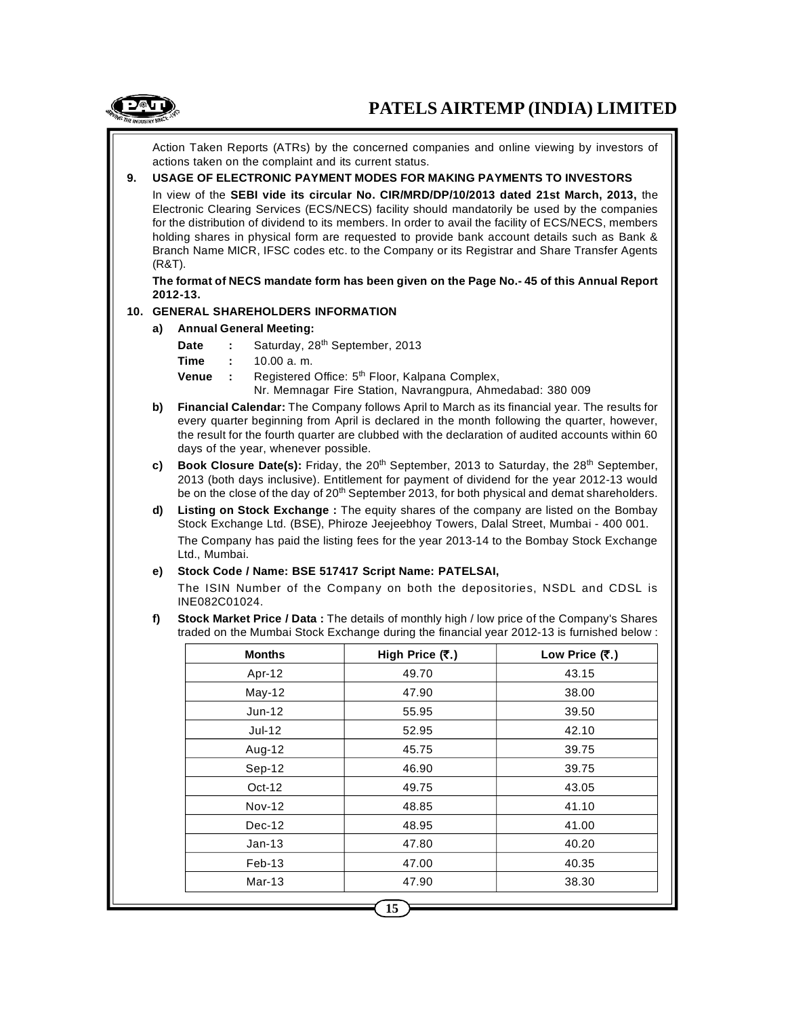

Action Taken Reports (ATRs) by the concerned companies and online viewing by investors of actions taken on the complaint and its current status.

# **9. USAGE OF ELECTRONIC PAYMENT MODES FOR MAKING PAYMENTS TO INVESTORS**

In view of the **SEBI vide its circular No. CIR/MRD/DP/10/2013 dated 21st March, 2013,** the Electronic Clearing Services (ECS/NECS) facility should mandatorily be used by the companies for the distribution of dividend to its members. In order to avail the facility of ECS/NECS, members holding shares in physical form are requested to provide bank account details such as Bank & Branch Name MICR, IFSC codes etc. to the Company or its Registrar and Share Transfer Agents (R&T).

**The format of NECS mandate form has been given on the Page No.- 45 of this Annual Report 2012-13.**

#### **10. GENERAL SHAREHOLDERS INFORMATION**

- **a) Annual General Meeting:**
	- **Date :** Saturday, 28th September, 2013
	- **Time :** 10.00 a. m.
	- **Venue** : Registered Office: 5<sup>th</sup> Floor, Kalpana Complex,

Nr. Memnagar Fire Station, Navrangpura, Ahmedabad: 380 009

- **b) Financial Calendar:** The Company follows April to March as its financial year. The results for every quarter beginning from April is declared in the month following the quarter, however, the result for the fourth quarter are clubbed with the declaration of audited accounts within 60 days of the year, whenever possible.
- **c) Book Closure Date(s):** Friday, the 20<sup>th</sup> September, 2013 to Saturday, the 28<sup>th</sup> September, 2013 (both days inclusive). Entitlement for payment of dividend for the year 2012-13 would be on the close of the day of  $20<sup>th</sup>$  September 2013, for both physical and demat shareholders.
- **d) Listing on Stock Exchange :** The equity shares of the company are listed on the Bombay Stock Exchange Ltd. (BSE), Phiroze Jeejeebhoy Towers, Dalal Street, Mumbai - 400 001. The Company has paid the listing fees for the year 2013-14 to the Bombay Stock Exchange Ltd., Mumbai.

#### **e) Stock Code / Name: BSE 517417 Script Name: PATELSAI,**

The ISIN Number of the Company on both the depositories, NSDL and CDSL is INE082C01024.

**f) Stock Market Price / Data :** The details of monthly high / low price of the Company's Shares traded on the Mumbai Stock Exchange during the financial year 2012-13 is furnished below :

| <b>Months</b> | High Price (₹.) | Low Price $(\overline{\mathbf{z}}_n)$ |
|---------------|-----------------|---------------------------------------|
| Apr-12        | 49.70           | 43.15                                 |
| $May-12$      | 47.90           | 38.00                                 |
| $Jun-12$      | 55.95           | 39.50                                 |
| $Jul-12$      | 52.95           | 42.10                                 |
| Aug-12        | 45.75           | 39.75                                 |
| Sep-12        | 46.90           | 39.75                                 |
| $Oct-12$      | 49.75           | 43.05                                 |
| <b>Nov-12</b> | 48.85           | 41.10                                 |
| $Dec-12$      | 48.95           | 41.00                                 |
| $Jan-13$      | 47.80           | 40.20                                 |
| $Feb-13$      | 47.00           | 40.35                                 |
| $Mar-13$      | 47.90           | 38.30                                 |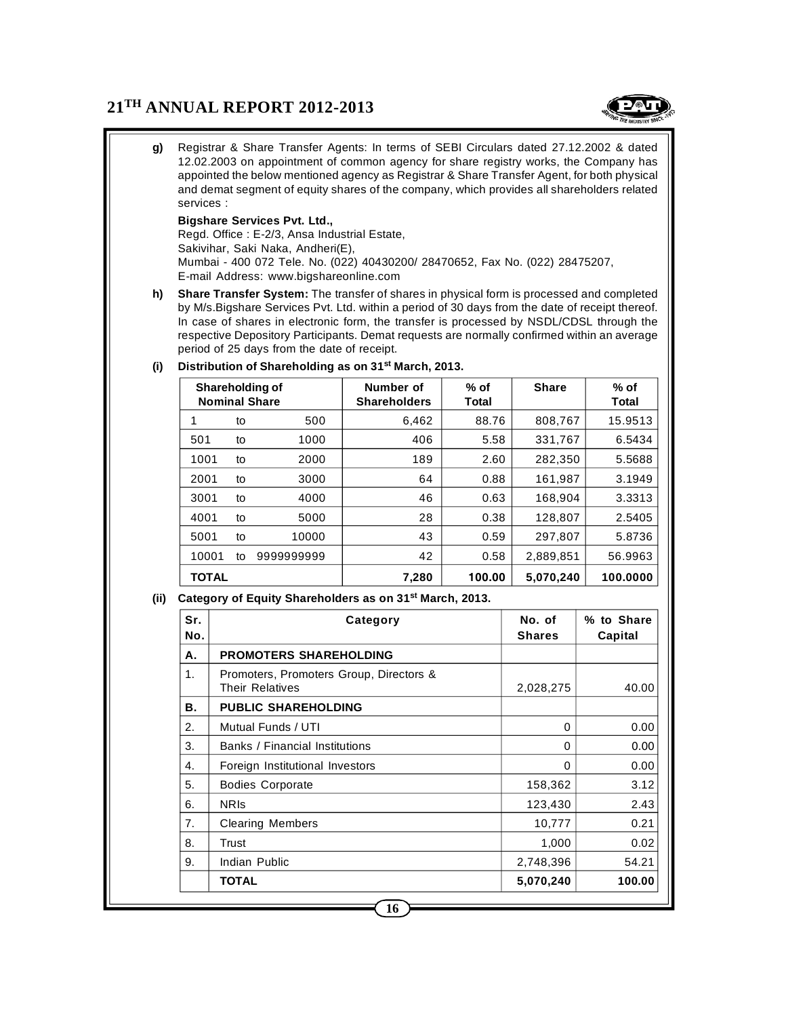

**g)** Registrar & Share Transfer Agents: In terms of SEBI Circulars dated 27.12.2002 & dated 12.02.2003 on appointment of common agency for share registry works, the Company has appointed the below mentioned agency as Registrar & Share Transfer Agent, for both physical and demat segment of equity shares of the company, which provides all shareholders related services :

#### **Bigshare Services Pvt. Ltd.,**

Regd. Office : E-2/3, Ansa Industrial Estate, Sakivihar, Saki Naka, Andheri(E), Mumbai - 400 072 Tele. No. (022) 40430200/ 28470652, Fax No. (022) 28475207, E-mail Address: www.bigshareonline.com

**h) Share Transfer System:** The transfer of shares in physical form is processed and completed by M/s.Bigshare Services Pvt. Ltd. within a period of 30 days from the date of receipt thereof. In case of shares in electronic form, the transfer is processed by NSDL/CDSL through the respective Depository Participants. Demat requests are normally confirmed within an average period of 25 days from the date of receipt.

| Shareholding of<br><b>Nominal Share</b> |    |            | Number of<br><b>Shareholders</b> | $%$ of<br>Total | <b>Share</b> | $%$ of<br>Total |
|-----------------------------------------|----|------------|----------------------------------|-----------------|--------------|-----------------|
| 1                                       | to | 500        | 6,462                            | 88.76           | 808,767      | 15.9513         |
| 501                                     | to | 1000       | 406                              | 5.58            | 331,767      | 6.5434          |
| 1001                                    | to | 2000       | 189                              | 2.60            | 282,350      | 5.5688          |
| 2001                                    | to | 3000       | 64                               | 0.88            | 161,987      | 3.1949          |
| 3001                                    | to | 4000       | 46                               | 0.63            | 168,904      | 3.3313          |
| 4001                                    | to | 5000       | 28                               | 0.38            | 128,807      | 2.5405          |
| 5001                                    | to | 10000      | 43                               | 0.59            | 297,807      | 5.8736          |
| 10001                                   | to | 9999999999 | 42                               | 0.58            | 2.889.851    | 56.9963         |
| <b>TOTAL</b>                            |    |            | 7,280                            | 100.00          | 5.070.240    | 100.0000        |

## **(i) Distribution of Shareholding as on 31st March, 2013.**

#### **(ii) Category of Equity Shareholders as on 31st March, 2013.**

| Sr.<br>No. | Category                                                   | No. of<br><b>Shares</b> | % to Share<br>Capital |
|------------|------------------------------------------------------------|-------------------------|-----------------------|
| А.         | <b>PROMOTERS SHAREHOLDING</b>                              |                         |                       |
| 1.         | Promoters, Promoters Group, Directors &<br>Their Relatives | 2,028,275               | 40.00                 |
| В.         | <b>PUBLIC SHAREHOLDING</b>                                 |                         |                       |
| 2.         | Mutual Funds / UTI                                         | 0                       | 0.00                  |
| 3.         | Banks / Financial Institutions                             | 0                       | 0.00                  |
| 4.         | Foreign Institutional Investors                            | $\Omega$                | 0.00                  |
| 5.         | <b>Bodies Corporate</b>                                    | 158,362                 | 3.12                  |
| 6.         | <b>NRIS</b>                                                | 123,430                 | 2.43                  |
| 7.         | <b>Clearing Members</b>                                    | 10,777                  | 0.21                  |
| 8.         | Trust                                                      | 1,000                   | 0.02                  |
| 9.         | Indian Public                                              | 2,748,396               | 54.21                 |
|            | <b>TOTAL</b>                                               | 5,070,240               | 100.00                |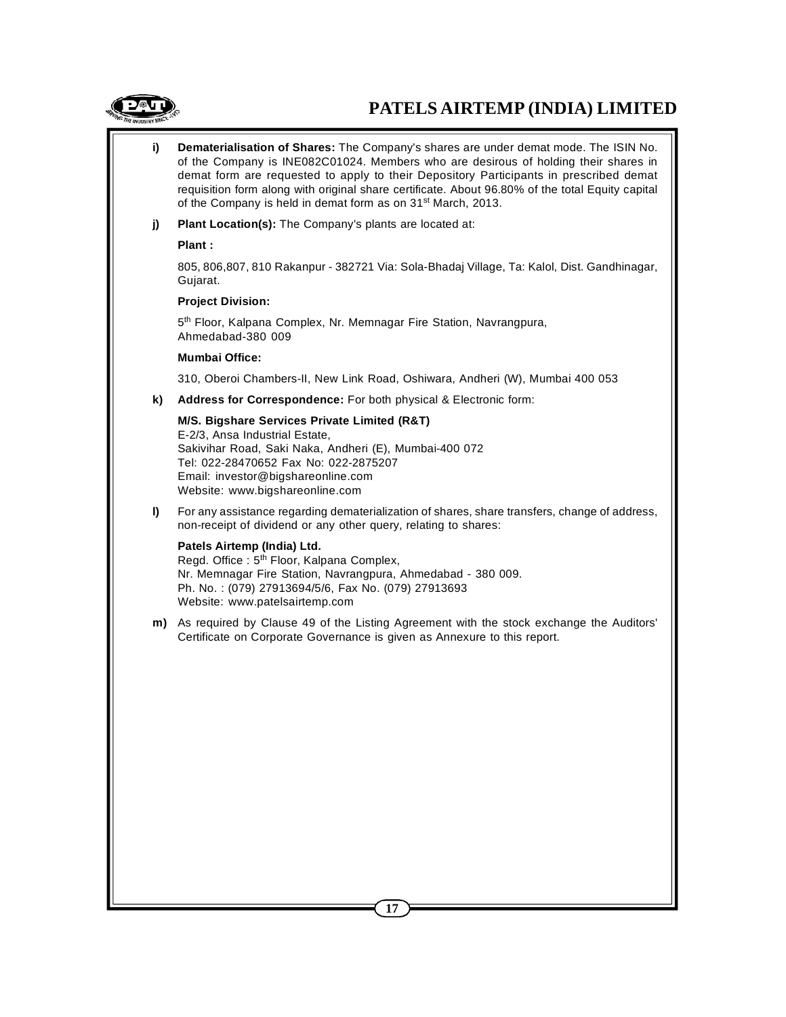

# **PATELS AIRTEMP (INDIA) LIMITED**

- **i) Dematerialisation of Shares:** The Company's shares are under demat mode. The ISIN No. of the Company is INE082C01024. Members who are desirous of holding their shares in demat form are requested to apply to their Depository Participants in prescribed demat requisition form along with original share certificate. About 96.80% of the total Equity capital of the Company is held in demat form as on 31<sup>st</sup> March, 2013.
- **j) Plant Location(s):** The Company's plants are located at:

**Plant :**

805, 806,807, 810 Rakanpur - 382721 Via: Sola-Bhadaj Village, Ta: Kalol, Dist. Gandhinagar, Gujarat.

#### **Project Division:**

5<sup>th</sup> Floor, Kalpana Complex, Nr. Memnagar Fire Station, Navrangpura, Ahmedabad-380 009

#### **Mumbai Office:**

310, Oberoi Chambers-II, New Link Road, Oshiwara, Andheri (W), Mumbai 400 053

**k) Address for Correspondence:** For both physical & Electronic form:

#### **M/S. Bigshare Services Private Limited (R&T)**

E-2/3, Ansa Industrial Estate, Sakivihar Road, Saki Naka, Andheri (E), Mumbai-400 072 Tel: 022-28470652 Fax No: 022-2875207 Email: investor@bigshareonline.com Website: www.bigshareonline.com

**l)** For any assistance regarding dematerialization of shares, share transfers, change of address, non-receipt of dividend or any other query, relating to shares:

#### **Patels Airtemp (India) Ltd.**

Regd. Office : 5<sup>th</sup> Floor, Kalpana Complex, Nr. Memnagar Fire Station, Navrangpura, Ahmedabad - 380 009. Ph. No. : (079) 27913694/5/6, Fax No. (079) 27913693 Website: www.patelsairtemp.com

**m)** As required by Clause 49 of the Listing Agreement with the stock exchange the Auditors' Certificate on Corporate Governance is given as Annexure to this report.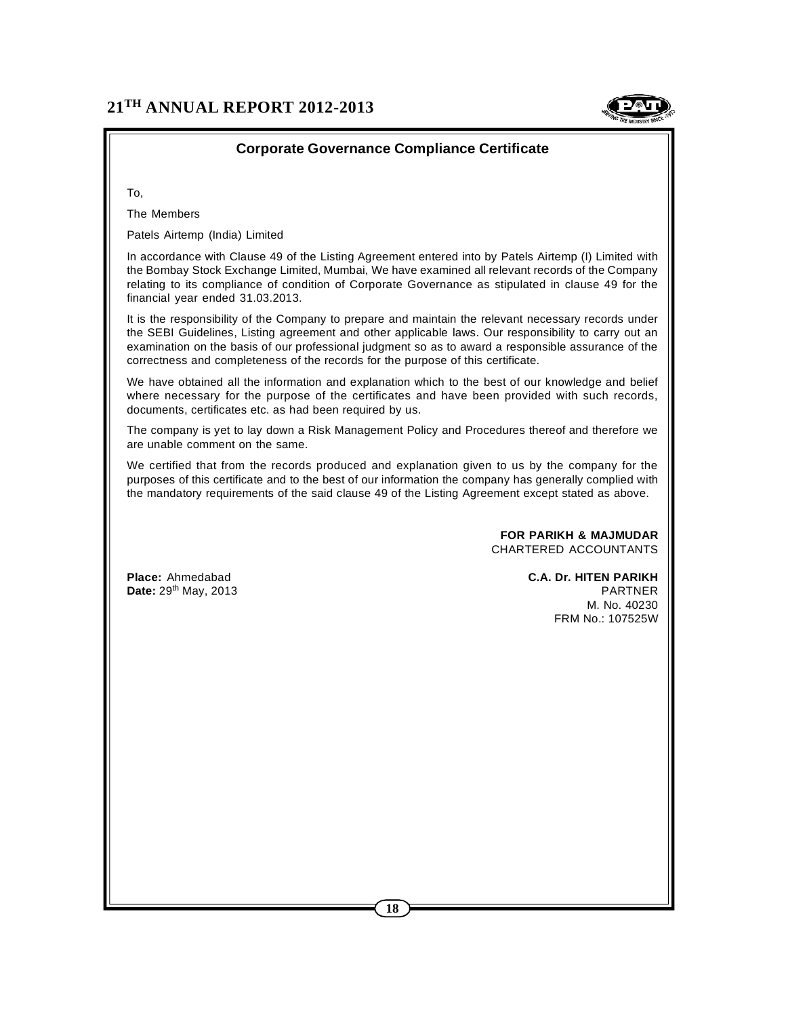

# **Corporate Governance Compliance Certificate**

To,

The Members

Patels Airtemp (India) Limited

In accordance with Clause 49 of the Listing Agreement entered into by Patels Airtemp (I) Limited with the Bombay Stock Exchange Limited, Mumbai, We have examined all relevant records of the Company relating to its compliance of condition of Corporate Governance as stipulated in clause 49 for the financial year ended 31.03.2013.

It is the responsibility of the Company to prepare and maintain the relevant necessary records under the SEBI Guidelines, Listing agreement and other applicable laws. Our responsibility to carry out an examination on the basis of our professional judgment so as to award a responsible assurance of the correctness and completeness of the records for the purpose of this certificate.

We have obtained all the information and explanation which to the best of our knowledge and belief where necessary for the purpose of the certificates and have been provided with such records, documents, certificates etc. as had been required by us.

The company is yet to lay down a Risk Management Policy and Procedures thereof and therefore we are unable comment on the same.

We certified that from the records produced and explanation given to us by the company for the purposes of this certificate and to the best of our information the company has generally complied with the mandatory requirements of the said clause 49 of the Listing Agreement except stated as above.

> **FOR PARIKH & MAJMUDAR** CHARTERED ACCOUNTANTS

**Place:** Ahmedabad **C.A. Dr. HITEN PARIKH Date:** 29th May, 2013 PARTNER M. No. 40230 FRM No.: 107525W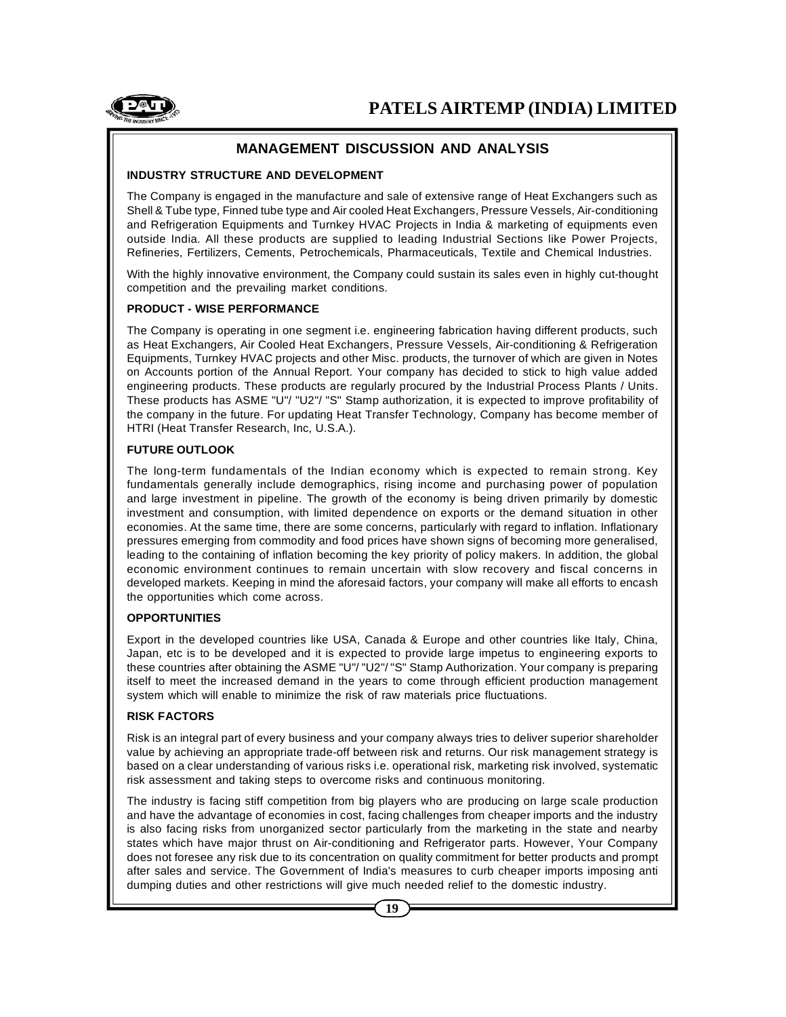

# **MANAGEMENT DISCUSSION AND ANALYSIS**

#### **INDUSTRY STRUCTURE AND DEVELOPMENT**

The Company is engaged in the manufacture and sale of extensive range of Heat Exchangers such as Shell & Tube type, Finned tube type and Air cooled Heat Exchangers, Pressure Vessels, Air-conditioning and Refrigeration Equipments and Turnkey HVAC Projects in India & marketing of equipments even outside India. All these products are supplied to leading Industrial Sections like Power Projects, Refineries, Fertilizers, Cements, Petrochemicals, Pharmaceuticals, Textile and Chemical Industries.

With the highly innovative environment, the Company could sustain its sales even in highly cut-thought competition and the prevailing market conditions.

#### **PRODUCT - WISE PERFORMANCE**

The Company is operating in one segment i.e. engineering fabrication having different products, such as Heat Exchangers, Air Cooled Heat Exchangers, Pressure Vessels, Air-conditioning & Refrigeration Equipments, Turnkey HVAC projects and other Misc. products, the turnover of which are given in Notes on Accounts portion of the Annual Report. Your company has decided to stick to high value added engineering products. These products are regularly procured by the Industrial Process Plants / Units. These products has ASME "U"/ "U2"/ "S" Stamp authorization, it is expected to improve profitability of the company in the future. For updating Heat Transfer Technology, Company has become member of HTRI (Heat Transfer Research, Inc, U.S.A.).

#### **FUTURE OUTLOOK**

The long-term fundamentals of the Indian economy which is expected to remain strong. Key fundamentals generally include demographics, rising income and purchasing power of population and large investment in pipeline. The growth of the economy is being driven primarily by domestic investment and consumption, with limited dependence on exports or the demand situation in other economies. At the same time, there are some concerns, particularly with regard to inflation. Inflationary pressures emerging from commodity and food prices have shown signs of becoming more generalised, leading to the containing of inflation becoming the key priority of policy makers. In addition, the global economic environment continues to remain uncertain with slow recovery and fiscal concerns in developed markets. Keeping in mind the aforesaid factors, your company will make all efforts to encash the opportunities which come across.

#### **OPPORTUNITIES**

Export in the developed countries like USA, Canada & Europe and other countries like Italy, China, Japan, etc is to be developed and it is expected to provide large impetus to engineering exports to these countries after obtaining the ASME "U"/ "U2"/ "S" Stamp Authorization. Your company is preparing itself to meet the increased demand in the years to come through efficient production management system which will enable to minimize the risk of raw materials price fluctuations.

#### **RISK FACTORS**

Risk is an integral part of every business and your company always tries to deliver superior shareholder value by achieving an appropriate trade-off between risk and returns. Our risk management strategy is based on a clear understanding of various risks i.e. operational risk, marketing risk involved, systematic risk assessment and taking steps to overcome risks and continuous monitoring.

The industry is facing stiff competition from big players who are producing on large scale production and have the advantage of economies in cost, facing challenges from cheaper imports and the industry is also facing risks from unorganized sector particularly from the marketing in the state and nearby states which have major thrust on Air-conditioning and Refrigerator parts. However, Your Company does not foresee any risk due to its concentration on quality commitment for better products and prompt after sales and service. The Government of India's measures to curb cheaper imports imposing anti dumping duties and other restrictions will give much needed relief to the domestic industry.

**19**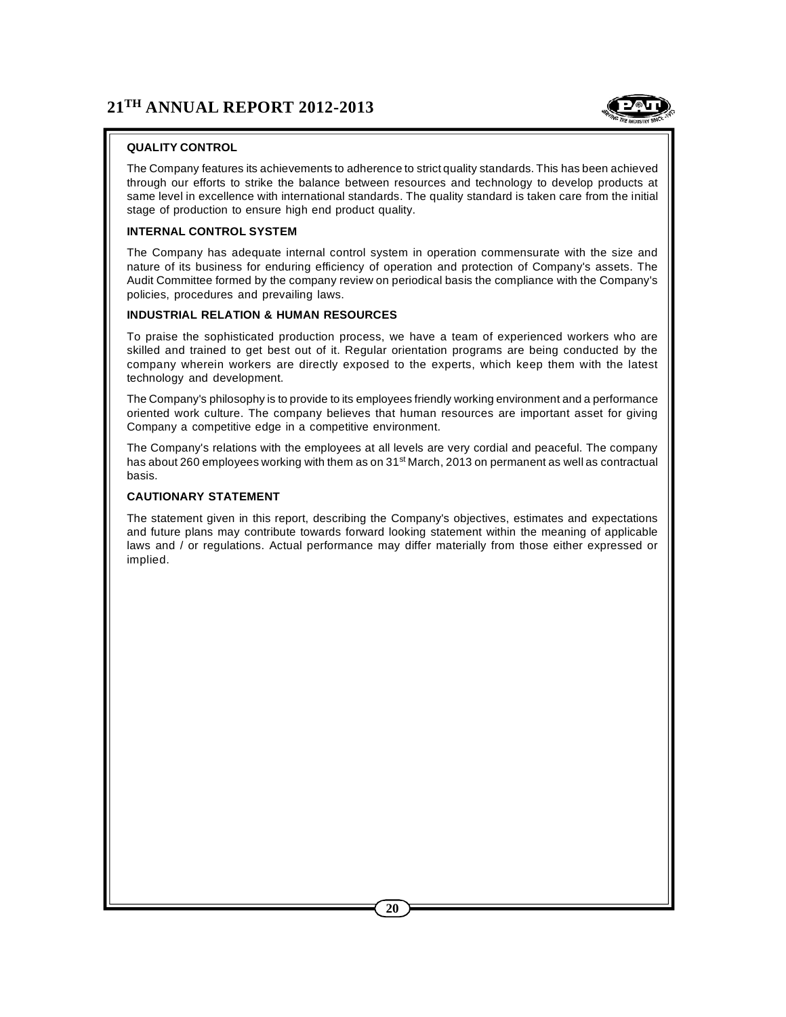

# **QUALITY CONTROL**

The Company features its achievements to adherence to strict quality standards. This has been achieved through our efforts to strike the balance between resources and technology to develop products at same level in excellence with international standards. The quality standard is taken care from the initial stage of production to ensure high end product quality.

#### **INTERNAL CONTROL SYSTEM**

The Company has adequate internal control system in operation commensurate with the size and nature of its business for enduring efficiency of operation and protection of Company's assets. The Audit Committee formed by the company review on periodical basis the compliance with the Company's policies, procedures and prevailing laws.

#### **INDUSTRIAL RELATION & HUMAN RESOURCES**

To praise the sophisticated production process, we have a team of experienced workers who are skilled and trained to get best out of it. Regular orientation programs are being conducted by the company wherein workers are directly exposed to the experts, which keep them with the latest technology and development.

The Company's philosophy is to provide to its employees friendly working environment and a performance oriented work culture. The company believes that human resources are important asset for giving Company a competitive edge in a competitive environment.

The Company's relations with the employees at all levels are very cordial and peaceful. The company has about 260 employees working with them as on 31<sup>st</sup> March, 2013 on permanent as well as contractual basis.

#### **CAUTIONARY STATEMENT**

The statement given in this report, describing the Company's objectives, estimates and expectations and future plans may contribute towards forward looking statement within the meaning of applicable laws and / or regulations. Actual performance may differ materially from those either expressed or implied.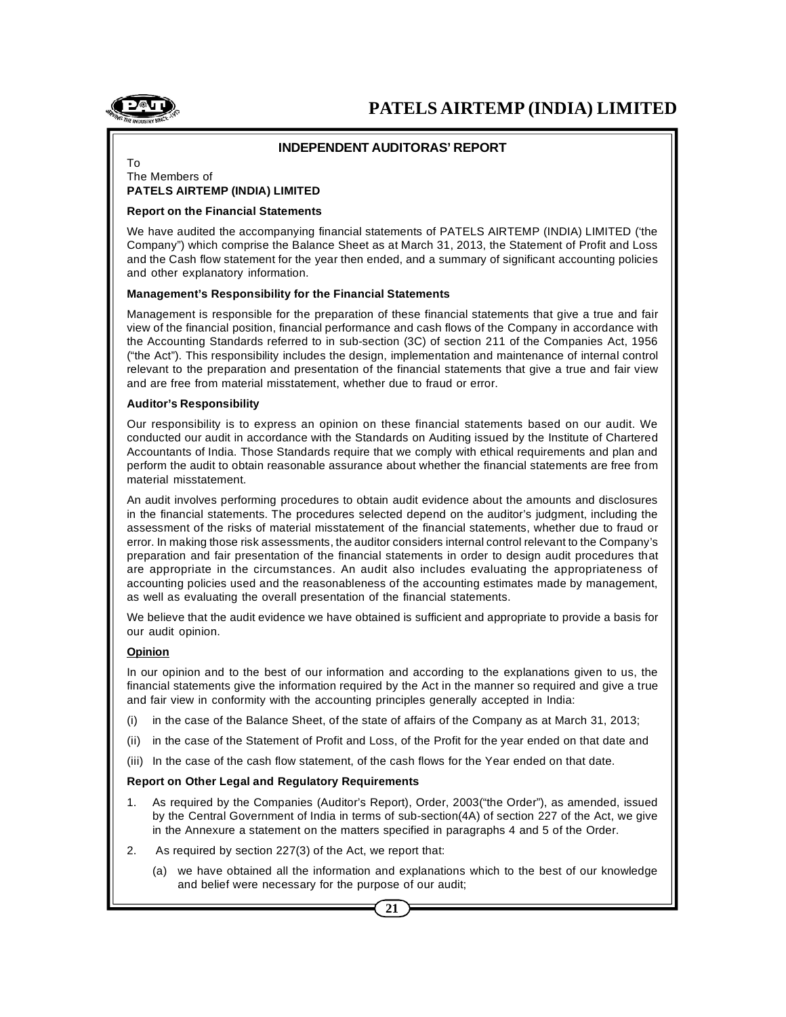

# **INDEPENDENT AUDITORAS' REPORT**

#### To The Members of **PATELS AIRTEMP (INDIA) LIMITED**

#### **Report on the Financial Statements**

We have audited the accompanying financial statements of PATELS AIRTEMP (INDIA) LIMITED ('the Company") which comprise the Balance Sheet as at March 31, 2013, the Statement of Profit and Loss and the Cash flow statement for the year then ended, and a summary of significant accounting policies and other explanatory information.

#### **Management's Responsibility for the Financial Statements**

Management is responsible for the preparation of these financial statements that give a true and fair view of the financial position, financial performance and cash flows of the Company in accordance with the Accounting Standards referred to in sub-section (3C) of section 211 of the Companies Act, 1956 ("the Act"). This responsibility includes the design, implementation and maintenance of internal control relevant to the preparation and presentation of the financial statements that give a true and fair view and are free from material misstatement, whether due to fraud or error.

#### **Auditor's Responsibility**

Our responsibility is to express an opinion on these financial statements based on our audit. We conducted our audit in accordance with the Standards on Auditing issued by the Institute of Chartered Accountants of India. Those Standards require that we comply with ethical requirements and plan and perform the audit to obtain reasonable assurance about whether the financial statements are free from material misstatement.

An audit involves performing procedures to obtain audit evidence about the amounts and disclosures in the financial statements. The procedures selected depend on the auditor's judgment, including the assessment of the risks of material misstatement of the financial statements, whether due to fraud or error. In making those risk assessments, the auditor considers internal control relevant to the Company's preparation and fair presentation of the financial statements in order to design audit procedures that are appropriate in the circumstances. An audit also includes evaluating the appropriateness of accounting policies used and the reasonableness of the accounting estimates made by management, as well as evaluating the overall presentation of the financial statements.

We believe that the audit evidence we have obtained is sufficient and appropriate to provide a basis for our audit opinion.

#### **Opinion**

In our opinion and to the best of our information and according to the explanations given to us, the financial statements give the information required by the Act in the manner so required and give a true and fair view in conformity with the accounting principles generally accepted in India:

- (i) in the case of the Balance Sheet, of the state of affairs of the Company as at March 31, 2013;
- (ii) in the case of the Statement of Profit and Loss, of the Profit for the year ended on that date and
- (iii) In the case of the cash flow statement, of the cash flows for the Year ended on that date.

#### **Report on Other Legal and Regulatory Requirements**

- 1. As required by the Companies (Auditor's Report), Order, 2003("the Order"), as amended, issued by the Central Government of India in terms of sub-section(4A) of section 227 of the Act, we give in the Annexure a statement on the matters specified in paragraphs 4 and 5 of the Order.
- 2. As required by section 227(3) of the Act, we report that:
	- (a) we have obtained all the information and explanations which to the best of our knowledge and belief were necessary for the purpose of our audit;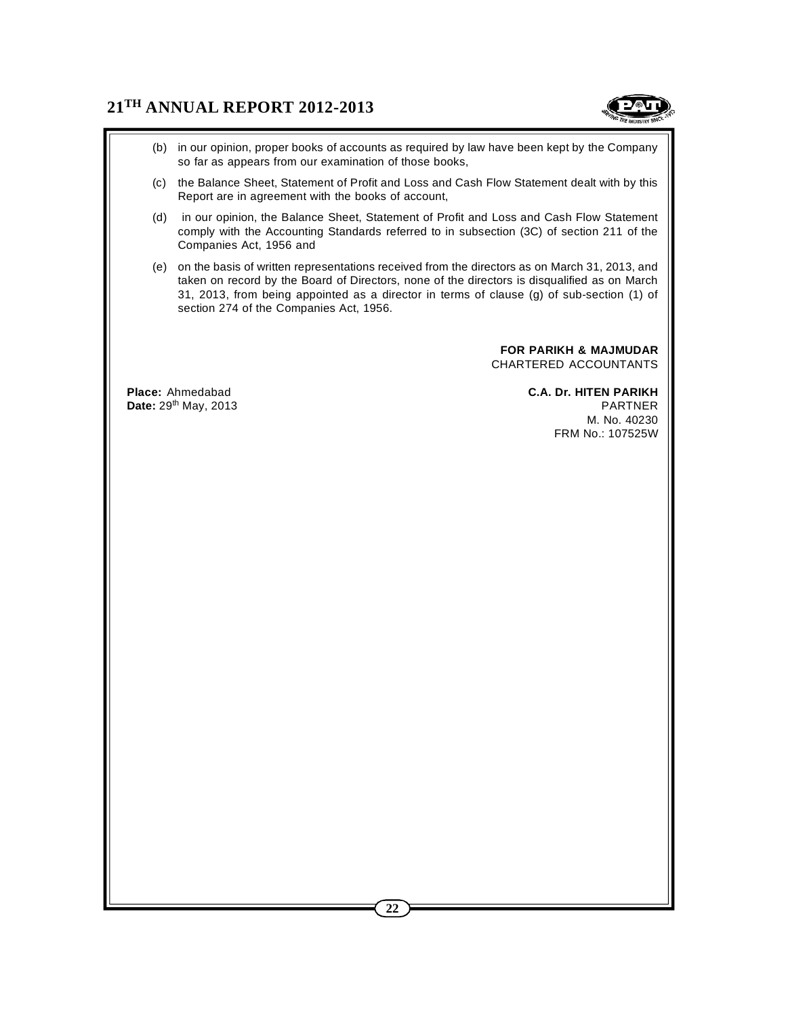

- (b) in our opinion, proper books of accounts as required by law have been kept by the Company so far as appears from our examination of those books,
- (c) the Balance Sheet, Statement of Profit and Loss and Cash Flow Statement dealt with by this Report are in agreement with the books of account,
- (d) in our opinion, the Balance Sheet, Statement of Profit and Loss and Cash Flow Statement comply with the Accounting Standards referred to in subsection (3C) of section 211 of the Companies Act, 1956 and
- (e) on the basis of written representations received from the directors as on March 31, 2013, and taken on record by the Board of Directors, none of the directors is disqualified as on March 31, 2013, from being appointed as a director in terms of clause (g) of sub-section (1) of section 274 of the Companies Act, 1956.

**FOR PARIKH & MAJMUDAR** CHARTERED ACCOUNTANTS

**Place:** Ahmedabad **C.A. Dr. HITEN PARIKH**

**Date:** 29<sup>th</sup> May, 2013 **PARTNER** M. No. 40230 FRM No.: 107525W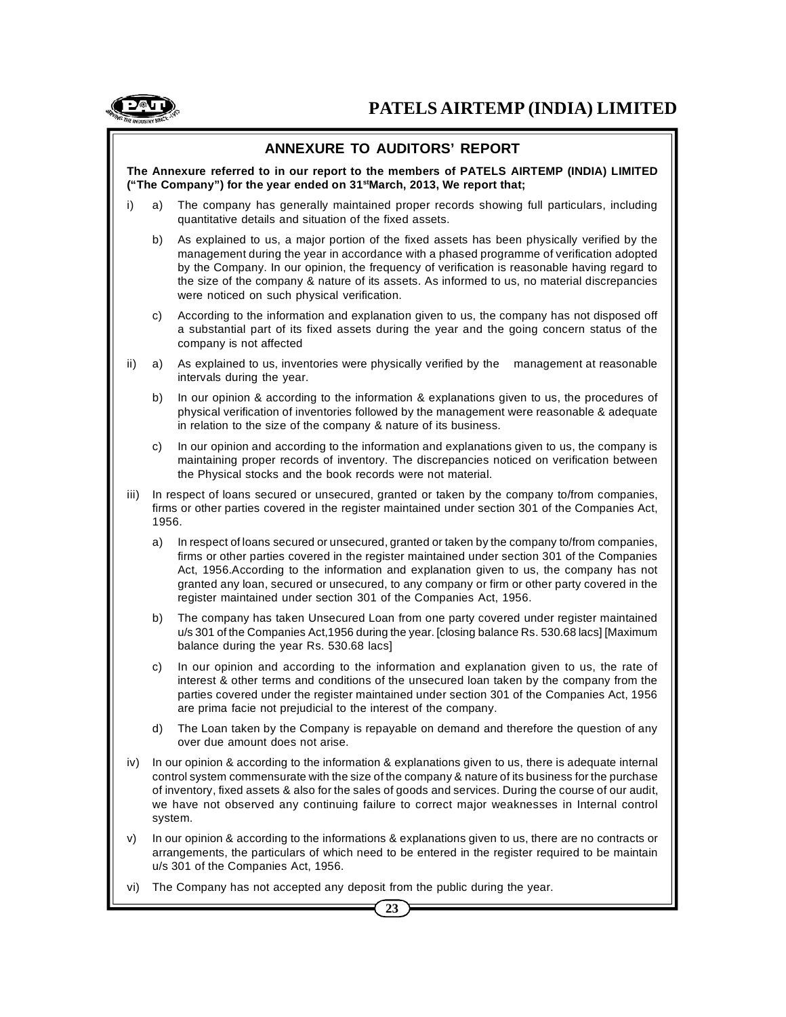

# **ANNEXURE TO AUDITORS' REPORT**

**The Annexure referred to in our report to the members of PATELS AIRTEMP (INDIA) LIMITED ("The Company") for the year ended on 31stMarch, 2013, We report that;**

- i) a) The company has generally maintained proper records showing full particulars, including quantitative details and situation of the fixed assets.
	- b) As explained to us, a major portion of the fixed assets has been physically verified by the management during the year in accordance with a phased programme of verification adopted by the Company. In our opinion, the frequency of verification is reasonable having regard to the size of the company & nature of its assets. As informed to us, no material discrepancies were noticed on such physical verification.
	- c) According to the information and explanation given to us, the company has not disposed off a substantial part of its fixed assets during the year and the going concern status of the company is not affected
- ii) a) As explained to us, inventories were physically verified by the management at reasonable intervals during the year.
	- b) In our opinion & according to the information & explanations given to us, the procedures of physical verification of inventories followed by the management were reasonable & adequate in relation to the size of the company & nature of its business.
	- c) In our opinion and according to the information and explanations given to us, the company is maintaining proper records of inventory. The discrepancies noticed on verification between the Physical stocks and the book records were not material.
- iii) In respect of loans secured or unsecured, granted or taken by the company to/from companies, firms or other parties covered in the register maintained under section 301 of the Companies Act, 1956.
	- a) In respect of loans secured or unsecured, granted or taken by the company to/from companies, firms or other parties covered in the register maintained under section 301 of the Companies Act, 1956.According to the information and explanation given to us, the company has not granted any loan, secured or unsecured, to any company or firm or other party covered in the register maintained under section 301 of the Companies Act, 1956.
	- b) The company has taken Unsecured Loan from one party covered under register maintained u/s 301 of the Companies Act,1956 during the year. [closing balance Rs. 530.68 lacs] [Maximum balance during the year Rs. 530.68 lacs]
	- c) In our opinion and according to the information and explanation given to us, the rate of interest & other terms and conditions of the unsecured loan taken by the company from the parties covered under the register maintained under section 301 of the Companies Act, 1956 are prima facie not prejudicial to the interest of the company.
	- d) The Loan taken by the Company is repayable on demand and therefore the question of any over due amount does not arise.
- iv) In our opinion & according to the information & explanations given to us, there is adequate internal control system commensurate with the size of the company & nature of its business for the purchase of inventory, fixed assets & also for the sales of goods and services. During the course of our audit, we have not observed any continuing failure to correct major weaknesses in Internal control system.
- v) In our opinion & according to the informations & explanations given to us, there are no contracts or arrangements, the particulars of which need to be entered in the register required to be maintain u/s 301 of the Companies Act, 1956.
- vi) The Company has not accepted any deposit from the public during the year.

**23**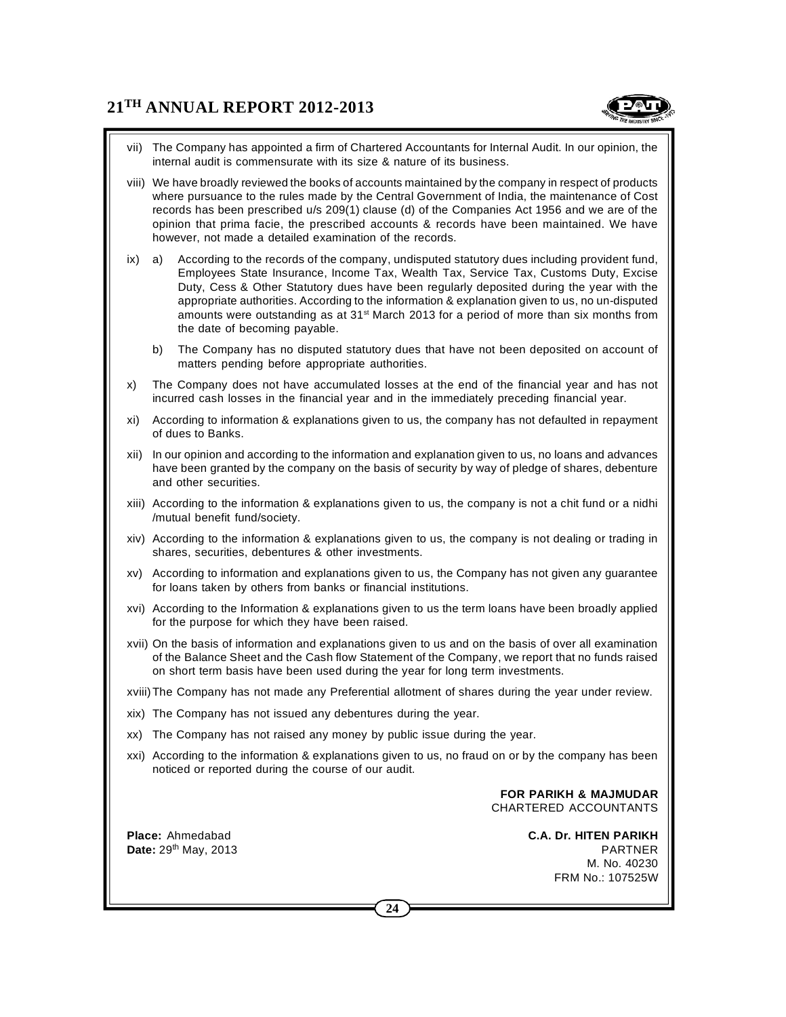

- vii) The Company has appointed a firm of Chartered Accountants for Internal Audit. In our opinion, the internal audit is commensurate with its size & nature of its business.
- viii) We have broadly reviewed the books of accounts maintained by the company in respect of products where pursuance to the rules made by the Central Government of India, the maintenance of Cost records has been prescribed u/s 209(1) clause (d) of the Companies Act 1956 and we are of the opinion that prima facie, the prescribed accounts & records have been maintained. We have however, not made a detailed examination of the records.
- ix) a) According to the records of the company, undisputed statutory dues including provident fund, Employees State Insurance, Income Tax, Wealth Tax, Service Tax, Customs Duty, Excise Duty, Cess & Other Statutory dues have been regularly deposited during the year with the appropriate authorities. According to the information & explanation given to us, no un-disputed amounts were outstanding as at  $31^{st}$  March 2013 for a period of more than six months from the date of becoming payable.
	- b) The Company has no disputed statutory dues that have not been deposited on account of matters pending before appropriate authorities.
- x) The Company does not have accumulated losses at the end of the financial year and has not incurred cash losses in the financial year and in the immediately preceding financial year.
- xi) According to information & explanations given to us, the company has not defaulted in repayment of dues to Banks.
- xii) In our opinion and according to the information and explanation given to us, no loans and advances have been granted by the company on the basis of security by way of pledge of shares, debenture and other securities.
- xiii) According to the information & explanations given to us, the company is not a chit fund or a nidhi /mutual benefit fund/society.
- xiv) According to the information & explanations given to us, the company is not dealing or trading in shares, securities, debentures & other investments.
- xv) According to information and explanations given to us, the Company has not given any guarantee for loans taken by others from banks or financial institutions.
- xvi) According to the Information & explanations given to us the term loans have been broadly applied for the purpose for which they have been raised.
- xvii) On the basis of information and explanations given to us and on the basis of over all examination of the Balance Sheet and the Cash flow Statement of the Company, we report that no funds raised on short term basis have been used during the year for long term investments.
- xviii)The Company has not made any Preferential allotment of shares during the year under review.
- xix) The Company has not issued any debentures during the year.
- xx) The Company has not raised any money by public issue during the year.
- xxi) According to the information & explanations given to us, no fraud on or by the company has been noticed or reported during the course of our audit.

**FOR PARIKH & MAJMUDAR** CHARTERED ACCOUNTANTS

**Place:** Ahmedabad **C.A. Dr. HITEN PARIKH Date:** 29th May, 2013 PARTNER M. No. 40230 FRM No.: 107525W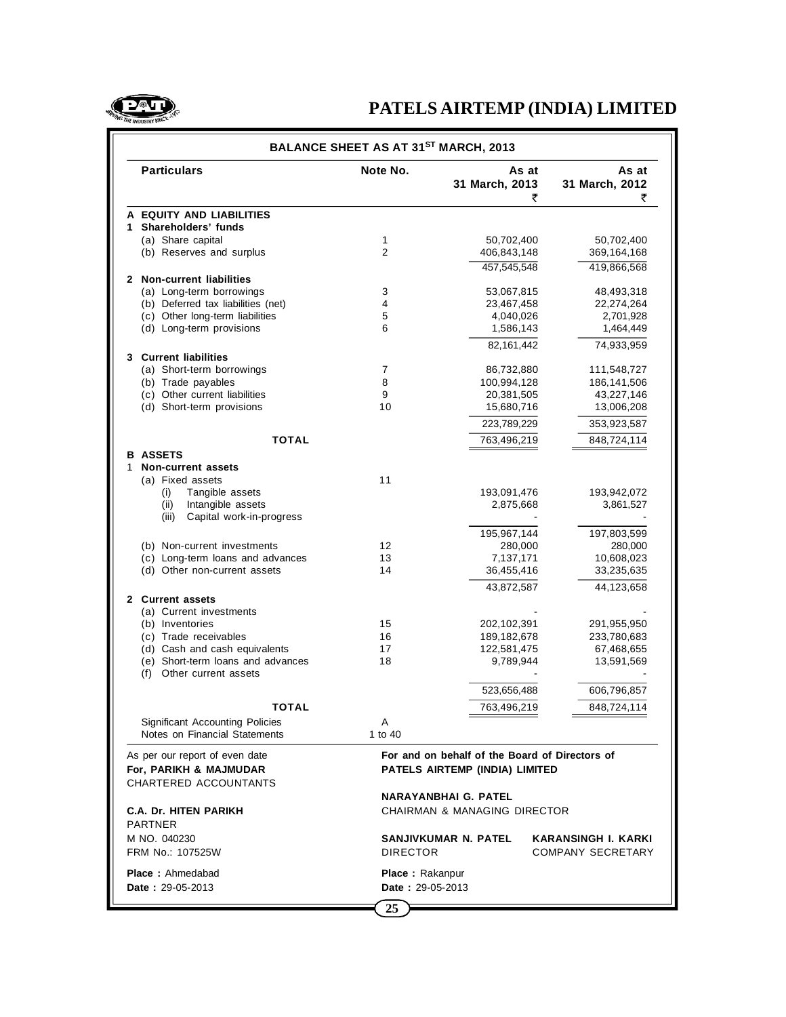

| <b>Particulars</b><br>Note No.<br>As at<br>As at<br>31 March, 2012<br>31 March, 2013<br>₹<br>₹<br>A EQUITY AND LIABILITIES<br>1 Shareholders' funds<br>(a) Share capital<br>1<br>50,702,400<br>50,702,400<br>$\overline{2}$<br>(b) Reserves and surplus<br>406,843,148<br>369,164,168<br>457,545,548<br>419.866.568<br>2 Non-current liabilities<br>3<br>(a) Long-term borrowings<br>53,067,815<br>48,493,318<br>(b) Deferred tax liabilities (net)<br>4<br>23,467,458<br>22,274,264<br>(c) Other long-term liabilities<br>5<br>4,040,026<br>2,701,928<br>(d) Long-term provisions<br>6<br>1,586,143<br>1,464,449<br>82, 161, 442<br>74,933,959<br>3 Current liabilities<br>(a) Short-term borrowings<br>7<br>86,732,880<br>111,548,727<br>(b) Trade payables<br>8<br>100,994,128<br>186, 141, 506<br>(c) Other current liabilities<br>9<br>20,381,505<br>43,227,146<br>(d) Short-term provisions<br>10<br>15,680,716<br>13,006,208<br>223,789,229<br>353,923,587<br><b>TOTAL</b><br>763,496,219<br>848,724,114<br><b>B ASSETS</b><br>Non-current assets<br>1<br>11<br>(a) Fixed assets<br>(i)<br>Tangible assets<br>193,091,476<br>193,942,072<br>Intangible assets<br>(ii)<br>2,875,668<br>3,861,527<br>Capital work-in-progress<br>(iii)<br>195,967,144<br>197,803,599<br>12<br>(b) Non-current investments<br>280,000<br>280,000<br>(c) Long-term loans and advances<br>13<br>7,137,171<br>10,608,023<br>(d) Other non-current assets<br>14<br>36,455,416<br>33,235,635<br>43,872,587<br>44,123,658<br>2 Current assets<br>(a) Current investments<br>(b) Inventories<br>15<br>202,102,391<br>291,955,950<br>(c) Trade receivables<br>16<br>189, 182, 678<br>233,780,683<br>(d) Cash and cash equivalents<br>17<br>122,581,475<br>67,468,655<br>(e) Short-term loans and advances<br>18<br>9,789,944<br>13,591,569<br>Other current assets<br>(f)<br>523,656,488<br>606,796,857<br>763,496,219<br>848,724,114<br>ΤΟΤΑΙ<br><b>Significant Accounting Policies</b><br>Α<br>Notes on Financial Statements<br>1 to 40<br>For and on behalf of the Board of Directors of<br>As per our report of even date<br>For, PARIKH & MAJMUDAR<br>PATELS AIRTEMP (INDIA) LIMITED<br>CHARTERED ACCOUNTANTS<br>NARAYANBHAI G. PATEL<br><b>C.A. Dr. HITEN PARIKH</b><br><b>CHAIRMAN &amp; MANAGING DIRECTOR</b><br><b>PARTNER</b><br>SANJIVKUMAR N. PATEL<br>M NO. 040230<br><b>KARANSINGH I. KARKI</b> | BALANCE SHEET AS AT 31 <sup>ST</sup> MARCH, 2013 |  |  |  |  |
|-------------------------------------------------------------------------------------------------------------------------------------------------------------------------------------------------------------------------------------------------------------------------------------------------------------------------------------------------------------------------------------------------------------------------------------------------------------------------------------------------------------------------------------------------------------------------------------------------------------------------------------------------------------------------------------------------------------------------------------------------------------------------------------------------------------------------------------------------------------------------------------------------------------------------------------------------------------------------------------------------------------------------------------------------------------------------------------------------------------------------------------------------------------------------------------------------------------------------------------------------------------------------------------------------------------------------------------------------------------------------------------------------------------------------------------------------------------------------------------------------------------------------------------------------------------------------------------------------------------------------------------------------------------------------------------------------------------------------------------------------------------------------------------------------------------------------------------------------------------------------------------------------------------------------------------------------------------------------------------------------------------------------------------------------------------------------------------------------------------------------------------------------------------------------------------------------------------------------------------------------------------------------------------------------------------------------------------------------------------------------------------------|--------------------------------------------------|--|--|--|--|
|                                                                                                                                                                                                                                                                                                                                                                                                                                                                                                                                                                                                                                                                                                                                                                                                                                                                                                                                                                                                                                                                                                                                                                                                                                                                                                                                                                                                                                                                                                                                                                                                                                                                                                                                                                                                                                                                                                                                                                                                                                                                                                                                                                                                                                                                                                                                                                                           |                                                  |  |  |  |  |
|                                                                                                                                                                                                                                                                                                                                                                                                                                                                                                                                                                                                                                                                                                                                                                                                                                                                                                                                                                                                                                                                                                                                                                                                                                                                                                                                                                                                                                                                                                                                                                                                                                                                                                                                                                                                                                                                                                                                                                                                                                                                                                                                                                                                                                                                                                                                                                                           |                                                  |  |  |  |  |
|                                                                                                                                                                                                                                                                                                                                                                                                                                                                                                                                                                                                                                                                                                                                                                                                                                                                                                                                                                                                                                                                                                                                                                                                                                                                                                                                                                                                                                                                                                                                                                                                                                                                                                                                                                                                                                                                                                                                                                                                                                                                                                                                                                                                                                                                                                                                                                                           |                                                  |  |  |  |  |
|                                                                                                                                                                                                                                                                                                                                                                                                                                                                                                                                                                                                                                                                                                                                                                                                                                                                                                                                                                                                                                                                                                                                                                                                                                                                                                                                                                                                                                                                                                                                                                                                                                                                                                                                                                                                                                                                                                                                                                                                                                                                                                                                                                                                                                                                                                                                                                                           |                                                  |  |  |  |  |
|                                                                                                                                                                                                                                                                                                                                                                                                                                                                                                                                                                                                                                                                                                                                                                                                                                                                                                                                                                                                                                                                                                                                                                                                                                                                                                                                                                                                                                                                                                                                                                                                                                                                                                                                                                                                                                                                                                                                                                                                                                                                                                                                                                                                                                                                                                                                                                                           |                                                  |  |  |  |  |
|                                                                                                                                                                                                                                                                                                                                                                                                                                                                                                                                                                                                                                                                                                                                                                                                                                                                                                                                                                                                                                                                                                                                                                                                                                                                                                                                                                                                                                                                                                                                                                                                                                                                                                                                                                                                                                                                                                                                                                                                                                                                                                                                                                                                                                                                                                                                                                                           |                                                  |  |  |  |  |
|                                                                                                                                                                                                                                                                                                                                                                                                                                                                                                                                                                                                                                                                                                                                                                                                                                                                                                                                                                                                                                                                                                                                                                                                                                                                                                                                                                                                                                                                                                                                                                                                                                                                                                                                                                                                                                                                                                                                                                                                                                                                                                                                                                                                                                                                                                                                                                                           |                                                  |  |  |  |  |
|                                                                                                                                                                                                                                                                                                                                                                                                                                                                                                                                                                                                                                                                                                                                                                                                                                                                                                                                                                                                                                                                                                                                                                                                                                                                                                                                                                                                                                                                                                                                                                                                                                                                                                                                                                                                                                                                                                                                                                                                                                                                                                                                                                                                                                                                                                                                                                                           |                                                  |  |  |  |  |
|                                                                                                                                                                                                                                                                                                                                                                                                                                                                                                                                                                                                                                                                                                                                                                                                                                                                                                                                                                                                                                                                                                                                                                                                                                                                                                                                                                                                                                                                                                                                                                                                                                                                                                                                                                                                                                                                                                                                                                                                                                                                                                                                                                                                                                                                                                                                                                                           |                                                  |  |  |  |  |
|                                                                                                                                                                                                                                                                                                                                                                                                                                                                                                                                                                                                                                                                                                                                                                                                                                                                                                                                                                                                                                                                                                                                                                                                                                                                                                                                                                                                                                                                                                                                                                                                                                                                                                                                                                                                                                                                                                                                                                                                                                                                                                                                                                                                                                                                                                                                                                                           |                                                  |  |  |  |  |
|                                                                                                                                                                                                                                                                                                                                                                                                                                                                                                                                                                                                                                                                                                                                                                                                                                                                                                                                                                                                                                                                                                                                                                                                                                                                                                                                                                                                                                                                                                                                                                                                                                                                                                                                                                                                                                                                                                                                                                                                                                                                                                                                                                                                                                                                                                                                                                                           |                                                  |  |  |  |  |
|                                                                                                                                                                                                                                                                                                                                                                                                                                                                                                                                                                                                                                                                                                                                                                                                                                                                                                                                                                                                                                                                                                                                                                                                                                                                                                                                                                                                                                                                                                                                                                                                                                                                                                                                                                                                                                                                                                                                                                                                                                                                                                                                                                                                                                                                                                                                                                                           |                                                  |  |  |  |  |
|                                                                                                                                                                                                                                                                                                                                                                                                                                                                                                                                                                                                                                                                                                                                                                                                                                                                                                                                                                                                                                                                                                                                                                                                                                                                                                                                                                                                                                                                                                                                                                                                                                                                                                                                                                                                                                                                                                                                                                                                                                                                                                                                                                                                                                                                                                                                                                                           |                                                  |  |  |  |  |
|                                                                                                                                                                                                                                                                                                                                                                                                                                                                                                                                                                                                                                                                                                                                                                                                                                                                                                                                                                                                                                                                                                                                                                                                                                                                                                                                                                                                                                                                                                                                                                                                                                                                                                                                                                                                                                                                                                                                                                                                                                                                                                                                                                                                                                                                                                                                                                                           |                                                  |  |  |  |  |
|                                                                                                                                                                                                                                                                                                                                                                                                                                                                                                                                                                                                                                                                                                                                                                                                                                                                                                                                                                                                                                                                                                                                                                                                                                                                                                                                                                                                                                                                                                                                                                                                                                                                                                                                                                                                                                                                                                                                                                                                                                                                                                                                                                                                                                                                                                                                                                                           |                                                  |  |  |  |  |
|                                                                                                                                                                                                                                                                                                                                                                                                                                                                                                                                                                                                                                                                                                                                                                                                                                                                                                                                                                                                                                                                                                                                                                                                                                                                                                                                                                                                                                                                                                                                                                                                                                                                                                                                                                                                                                                                                                                                                                                                                                                                                                                                                                                                                                                                                                                                                                                           |                                                  |  |  |  |  |
|                                                                                                                                                                                                                                                                                                                                                                                                                                                                                                                                                                                                                                                                                                                                                                                                                                                                                                                                                                                                                                                                                                                                                                                                                                                                                                                                                                                                                                                                                                                                                                                                                                                                                                                                                                                                                                                                                                                                                                                                                                                                                                                                                                                                                                                                                                                                                                                           |                                                  |  |  |  |  |
|                                                                                                                                                                                                                                                                                                                                                                                                                                                                                                                                                                                                                                                                                                                                                                                                                                                                                                                                                                                                                                                                                                                                                                                                                                                                                                                                                                                                                                                                                                                                                                                                                                                                                                                                                                                                                                                                                                                                                                                                                                                                                                                                                                                                                                                                                                                                                                                           |                                                  |  |  |  |  |
|                                                                                                                                                                                                                                                                                                                                                                                                                                                                                                                                                                                                                                                                                                                                                                                                                                                                                                                                                                                                                                                                                                                                                                                                                                                                                                                                                                                                                                                                                                                                                                                                                                                                                                                                                                                                                                                                                                                                                                                                                                                                                                                                                                                                                                                                                                                                                                                           |                                                  |  |  |  |  |
|                                                                                                                                                                                                                                                                                                                                                                                                                                                                                                                                                                                                                                                                                                                                                                                                                                                                                                                                                                                                                                                                                                                                                                                                                                                                                                                                                                                                                                                                                                                                                                                                                                                                                                                                                                                                                                                                                                                                                                                                                                                                                                                                                                                                                                                                                                                                                                                           |                                                  |  |  |  |  |
|                                                                                                                                                                                                                                                                                                                                                                                                                                                                                                                                                                                                                                                                                                                                                                                                                                                                                                                                                                                                                                                                                                                                                                                                                                                                                                                                                                                                                                                                                                                                                                                                                                                                                                                                                                                                                                                                                                                                                                                                                                                                                                                                                                                                                                                                                                                                                                                           |                                                  |  |  |  |  |
|                                                                                                                                                                                                                                                                                                                                                                                                                                                                                                                                                                                                                                                                                                                                                                                                                                                                                                                                                                                                                                                                                                                                                                                                                                                                                                                                                                                                                                                                                                                                                                                                                                                                                                                                                                                                                                                                                                                                                                                                                                                                                                                                                                                                                                                                                                                                                                                           |                                                  |  |  |  |  |
|                                                                                                                                                                                                                                                                                                                                                                                                                                                                                                                                                                                                                                                                                                                                                                                                                                                                                                                                                                                                                                                                                                                                                                                                                                                                                                                                                                                                                                                                                                                                                                                                                                                                                                                                                                                                                                                                                                                                                                                                                                                                                                                                                                                                                                                                                                                                                                                           |                                                  |  |  |  |  |
|                                                                                                                                                                                                                                                                                                                                                                                                                                                                                                                                                                                                                                                                                                                                                                                                                                                                                                                                                                                                                                                                                                                                                                                                                                                                                                                                                                                                                                                                                                                                                                                                                                                                                                                                                                                                                                                                                                                                                                                                                                                                                                                                                                                                                                                                                                                                                                                           |                                                  |  |  |  |  |
|                                                                                                                                                                                                                                                                                                                                                                                                                                                                                                                                                                                                                                                                                                                                                                                                                                                                                                                                                                                                                                                                                                                                                                                                                                                                                                                                                                                                                                                                                                                                                                                                                                                                                                                                                                                                                                                                                                                                                                                                                                                                                                                                                                                                                                                                                                                                                                                           |                                                  |  |  |  |  |
|                                                                                                                                                                                                                                                                                                                                                                                                                                                                                                                                                                                                                                                                                                                                                                                                                                                                                                                                                                                                                                                                                                                                                                                                                                                                                                                                                                                                                                                                                                                                                                                                                                                                                                                                                                                                                                                                                                                                                                                                                                                                                                                                                                                                                                                                                                                                                                                           |                                                  |  |  |  |  |
|                                                                                                                                                                                                                                                                                                                                                                                                                                                                                                                                                                                                                                                                                                                                                                                                                                                                                                                                                                                                                                                                                                                                                                                                                                                                                                                                                                                                                                                                                                                                                                                                                                                                                                                                                                                                                                                                                                                                                                                                                                                                                                                                                                                                                                                                                                                                                                                           |                                                  |  |  |  |  |
|                                                                                                                                                                                                                                                                                                                                                                                                                                                                                                                                                                                                                                                                                                                                                                                                                                                                                                                                                                                                                                                                                                                                                                                                                                                                                                                                                                                                                                                                                                                                                                                                                                                                                                                                                                                                                                                                                                                                                                                                                                                                                                                                                                                                                                                                                                                                                                                           |                                                  |  |  |  |  |
|                                                                                                                                                                                                                                                                                                                                                                                                                                                                                                                                                                                                                                                                                                                                                                                                                                                                                                                                                                                                                                                                                                                                                                                                                                                                                                                                                                                                                                                                                                                                                                                                                                                                                                                                                                                                                                                                                                                                                                                                                                                                                                                                                                                                                                                                                                                                                                                           |                                                  |  |  |  |  |
|                                                                                                                                                                                                                                                                                                                                                                                                                                                                                                                                                                                                                                                                                                                                                                                                                                                                                                                                                                                                                                                                                                                                                                                                                                                                                                                                                                                                                                                                                                                                                                                                                                                                                                                                                                                                                                                                                                                                                                                                                                                                                                                                                                                                                                                                                                                                                                                           |                                                  |  |  |  |  |
|                                                                                                                                                                                                                                                                                                                                                                                                                                                                                                                                                                                                                                                                                                                                                                                                                                                                                                                                                                                                                                                                                                                                                                                                                                                                                                                                                                                                                                                                                                                                                                                                                                                                                                                                                                                                                                                                                                                                                                                                                                                                                                                                                                                                                                                                                                                                                                                           |                                                  |  |  |  |  |
|                                                                                                                                                                                                                                                                                                                                                                                                                                                                                                                                                                                                                                                                                                                                                                                                                                                                                                                                                                                                                                                                                                                                                                                                                                                                                                                                                                                                                                                                                                                                                                                                                                                                                                                                                                                                                                                                                                                                                                                                                                                                                                                                                                                                                                                                                                                                                                                           |                                                  |  |  |  |  |
|                                                                                                                                                                                                                                                                                                                                                                                                                                                                                                                                                                                                                                                                                                                                                                                                                                                                                                                                                                                                                                                                                                                                                                                                                                                                                                                                                                                                                                                                                                                                                                                                                                                                                                                                                                                                                                                                                                                                                                                                                                                                                                                                                                                                                                                                                                                                                                                           |                                                  |  |  |  |  |
|                                                                                                                                                                                                                                                                                                                                                                                                                                                                                                                                                                                                                                                                                                                                                                                                                                                                                                                                                                                                                                                                                                                                                                                                                                                                                                                                                                                                                                                                                                                                                                                                                                                                                                                                                                                                                                                                                                                                                                                                                                                                                                                                                                                                                                                                                                                                                                                           |                                                  |  |  |  |  |
|                                                                                                                                                                                                                                                                                                                                                                                                                                                                                                                                                                                                                                                                                                                                                                                                                                                                                                                                                                                                                                                                                                                                                                                                                                                                                                                                                                                                                                                                                                                                                                                                                                                                                                                                                                                                                                                                                                                                                                                                                                                                                                                                                                                                                                                                                                                                                                                           |                                                  |  |  |  |  |
|                                                                                                                                                                                                                                                                                                                                                                                                                                                                                                                                                                                                                                                                                                                                                                                                                                                                                                                                                                                                                                                                                                                                                                                                                                                                                                                                                                                                                                                                                                                                                                                                                                                                                                                                                                                                                                                                                                                                                                                                                                                                                                                                                                                                                                                                                                                                                                                           |                                                  |  |  |  |  |
|                                                                                                                                                                                                                                                                                                                                                                                                                                                                                                                                                                                                                                                                                                                                                                                                                                                                                                                                                                                                                                                                                                                                                                                                                                                                                                                                                                                                                                                                                                                                                                                                                                                                                                                                                                                                                                                                                                                                                                                                                                                                                                                                                                                                                                                                                                                                                                                           |                                                  |  |  |  |  |
|                                                                                                                                                                                                                                                                                                                                                                                                                                                                                                                                                                                                                                                                                                                                                                                                                                                                                                                                                                                                                                                                                                                                                                                                                                                                                                                                                                                                                                                                                                                                                                                                                                                                                                                                                                                                                                                                                                                                                                                                                                                                                                                                                                                                                                                                                                                                                                                           |                                                  |  |  |  |  |
|                                                                                                                                                                                                                                                                                                                                                                                                                                                                                                                                                                                                                                                                                                                                                                                                                                                                                                                                                                                                                                                                                                                                                                                                                                                                                                                                                                                                                                                                                                                                                                                                                                                                                                                                                                                                                                                                                                                                                                                                                                                                                                                                                                                                                                                                                                                                                                                           |                                                  |  |  |  |  |
|                                                                                                                                                                                                                                                                                                                                                                                                                                                                                                                                                                                                                                                                                                                                                                                                                                                                                                                                                                                                                                                                                                                                                                                                                                                                                                                                                                                                                                                                                                                                                                                                                                                                                                                                                                                                                                                                                                                                                                                                                                                                                                                                                                                                                                                                                                                                                                                           |                                                  |  |  |  |  |
|                                                                                                                                                                                                                                                                                                                                                                                                                                                                                                                                                                                                                                                                                                                                                                                                                                                                                                                                                                                                                                                                                                                                                                                                                                                                                                                                                                                                                                                                                                                                                                                                                                                                                                                                                                                                                                                                                                                                                                                                                                                                                                                                                                                                                                                                                                                                                                                           |                                                  |  |  |  |  |
|                                                                                                                                                                                                                                                                                                                                                                                                                                                                                                                                                                                                                                                                                                                                                                                                                                                                                                                                                                                                                                                                                                                                                                                                                                                                                                                                                                                                                                                                                                                                                                                                                                                                                                                                                                                                                                                                                                                                                                                                                                                                                                                                                                                                                                                                                                                                                                                           |                                                  |  |  |  |  |
|                                                                                                                                                                                                                                                                                                                                                                                                                                                                                                                                                                                                                                                                                                                                                                                                                                                                                                                                                                                                                                                                                                                                                                                                                                                                                                                                                                                                                                                                                                                                                                                                                                                                                                                                                                                                                                                                                                                                                                                                                                                                                                                                                                                                                                                                                                                                                                                           |                                                  |  |  |  |  |
|                                                                                                                                                                                                                                                                                                                                                                                                                                                                                                                                                                                                                                                                                                                                                                                                                                                                                                                                                                                                                                                                                                                                                                                                                                                                                                                                                                                                                                                                                                                                                                                                                                                                                                                                                                                                                                                                                                                                                                                                                                                                                                                                                                                                                                                                                                                                                                                           |                                                  |  |  |  |  |
|                                                                                                                                                                                                                                                                                                                                                                                                                                                                                                                                                                                                                                                                                                                                                                                                                                                                                                                                                                                                                                                                                                                                                                                                                                                                                                                                                                                                                                                                                                                                                                                                                                                                                                                                                                                                                                                                                                                                                                                                                                                                                                                                                                                                                                                                                                                                                                                           |                                                  |  |  |  |  |
| <b>DIRECTOR</b><br><b>COMPANY SECRETARY</b><br>FRM No.: 107525W                                                                                                                                                                                                                                                                                                                                                                                                                                                                                                                                                                                                                                                                                                                                                                                                                                                                                                                                                                                                                                                                                                                                                                                                                                                                                                                                                                                                                                                                                                                                                                                                                                                                                                                                                                                                                                                                                                                                                                                                                                                                                                                                                                                                                                                                                                                           |                                                  |  |  |  |  |

**Place :** Ahmedabad **Place :** Rakanpur **Date :** 29-05-2013 **Date :** 29-05-2013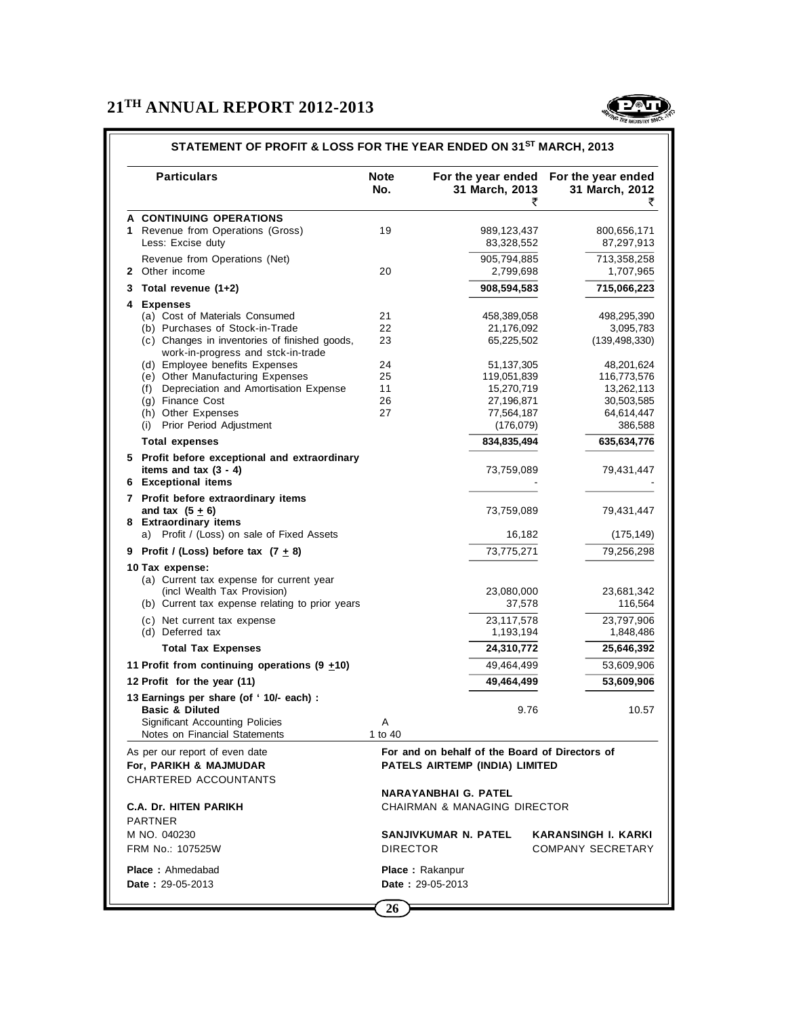

|   | <b>Particulars</b>                                                                              | <b>Note</b><br>No. | For the year ended<br>31 March, 2013<br>₹                                        | For the year ended<br>31 March, 2012<br>₹ |
|---|-------------------------------------------------------------------------------------------------|--------------------|----------------------------------------------------------------------------------|-------------------------------------------|
|   | A CONTINUING OPERATIONS                                                                         |                    |                                                                                  |                                           |
|   | 1 Revenue from Operations (Gross)                                                               | 19                 | 989,123,437                                                                      | 800,656,171                               |
|   | Less: Excise duty                                                                               |                    | 83,328,552                                                                       | 87,297,913                                |
|   | Revenue from Operations (Net)                                                                   |                    | 905,794,885                                                                      | 713,358,258                               |
|   | 2 Other income                                                                                  | 20                 | 2,799,698                                                                        | 1,707,965                                 |
| 3 | Total revenue (1+2)                                                                             |                    | 908,594,583                                                                      | 715,066,223                               |
| 4 | <b>Expenses</b>                                                                                 |                    |                                                                                  |                                           |
|   | (a) Cost of Materials Consumed                                                                  | 21                 | 458,389,058                                                                      | 498,295,390                               |
|   | (b) Purchases of Stock-in-Trade                                                                 | 22                 | 21,176,092                                                                       | 3,095,783                                 |
|   | (c) Changes in inventories of finished goods,<br>work-in-progress and stck-in-trade             | 23                 | 65,225,502                                                                       | (139, 498, 330)                           |
|   | (d) Employee benefits Expenses                                                                  | 24                 | 51,137,305                                                                       | 48,201,624                                |
|   | (e) Other Manufacturing Expenses                                                                | 25                 | 119,051,839                                                                      | 116,773,576                               |
|   | (f) Depreciation and Amortisation Expense                                                       | 11                 | 15,270,719                                                                       | 13,262,113                                |
|   | (g) Finance Cost                                                                                | 26                 | 27,196,871                                                                       | 30,503,585                                |
|   | (h) Other Expenses                                                                              | 27                 | 77,564,187                                                                       | 64,614,447                                |
|   | (i) Prior Period Adjustment                                                                     |                    | (176,079)                                                                        | 386,588                                   |
|   | <b>Total expenses</b>                                                                           |                    | 834,835,494                                                                      | 635,634,776                               |
|   | 5 Profit before exceptional and extraordinary<br>items and tax $(3 - 4)$<br>6 Exceptional items |                    | 73,759,089                                                                       | 79,431,447                                |
|   | 7 Profit before extraordinary items                                                             |                    |                                                                                  |                                           |
|   | and tax $(5 + 6)$<br>8 Extraordinary items                                                      |                    | 73,759,089                                                                       | 79,431,447                                |
|   | a) Profit / (Loss) on sale of Fixed Assets                                                      |                    | 16,182                                                                           | (175, 149)                                |
| 9 | Profit / (Loss) before tax $(7 + 8)$                                                            |                    | 73,775,271                                                                       | 79,256,298                                |
|   | 10 Tax expense:<br>(a) Current tax expense for current year                                     |                    |                                                                                  |                                           |
|   | (incl Wealth Tax Provision)                                                                     |                    | 23,080,000                                                                       | 23,681,342                                |
|   | (b) Current tax expense relating to prior years                                                 |                    | 37,578                                                                           | 116,564                                   |
|   |                                                                                                 |                    |                                                                                  |                                           |
|   | (c) Net current tax expense<br>(d) Deferred tax                                                 |                    | 23,117,578<br>1,193,194                                                          | 23,797,906<br>1,848,486                   |
|   | <b>Total Tax Expenses</b>                                                                       |                    | 24,310,772                                                                       | 25,646,392                                |
|   | 11 Profit from continuing operations $(9 + 10)$                                                 |                    | 49,464,499                                                                       | 53,609,906                                |
|   | 12 Profit for the year (11)                                                                     |                    | 49,464,499                                                                       | 53,609,906                                |
|   | 13 Earnings per share (of '10/- each) :                                                         |                    |                                                                                  |                                           |
|   | <b>Basic &amp; Diluted</b>                                                                      |                    | 9.76                                                                             | 10.57                                     |
|   | <b>Significant Accounting Policies</b>                                                          | Α                  |                                                                                  |                                           |
|   | Notes on Financial Statements                                                                   | 1 to 40            |                                                                                  |                                           |
|   | As per our report of even date<br>For, PARIKH & MAJMUDAR                                        |                    | For and on behalf of the Board of Directors of<br>PATELS AIRTEMP (INDIA) LIMITED |                                           |
|   | CHARTERED ACCOUNTANTS                                                                           |                    |                                                                                  |                                           |
|   |                                                                                                 |                    | <b>NARAYANBHAI G. PATEL</b>                                                      |                                           |
|   | <b>C.A. Dr. HITEN PARIKH</b>                                                                    |                    | CHAIRMAN & MANAGING DIRECTOR                                                     |                                           |
|   | <b>PARTNER</b>                                                                                  |                    |                                                                                  |                                           |
|   | M NO. 040230                                                                                    |                    | SANJIVKUMAR N. PATEL                                                             | <b>KARANSINGH I. KARKI</b>                |
|   | FRM No.: 107525W                                                                                | <b>DIRECTOR</b>    |                                                                                  | <b>COMPANY SECRETARY</b>                  |
|   |                                                                                                 |                    |                                                                                  |                                           |
|   | <b>Place:</b> Ahmedabad                                                                         |                    | <b>Place: Rakanpur</b>                                                           |                                           |

#### **STATEMENT OF PROFIT & LOSS FOR THE YEAR ENDED ON 31ST MARCH, 2013**

**26**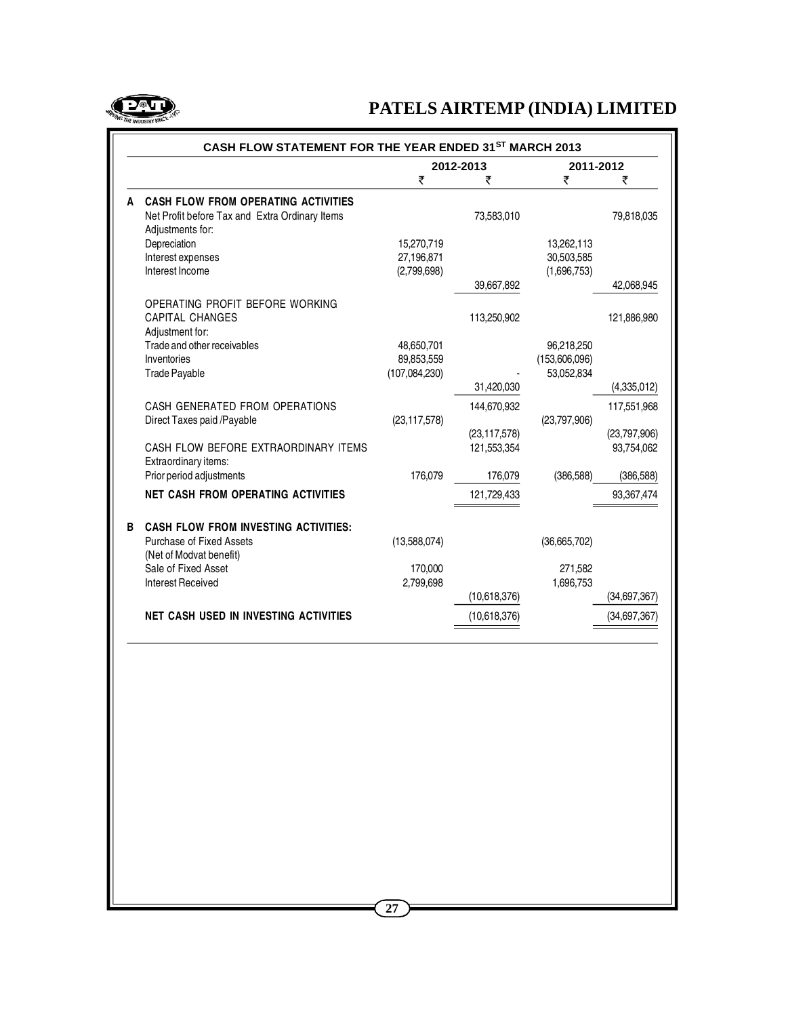

|   | CASH FLOW STATEMENT FOR THE YEAR ENDED 31ST MARCH 2013 |                |                |               |              |  |
|---|--------------------------------------------------------|----------------|----------------|---------------|--------------|--|
|   |                                                        |                | 2012-2013      | 2011-2012     |              |  |
|   |                                                        | ₹              | ₹              | ₹             | ₹            |  |
|   | <b>CASH FLOW FROM OPERATING ACTIVITIES</b>             |                |                |               |              |  |
|   | Net Profit before Tax and Extra Ordinary Items         |                | 73,583,010     |               | 79,818,035   |  |
|   | Adjustments for:                                       |                |                |               |              |  |
|   | Depreciation                                           | 15,270,719     |                | 13,262,113    |              |  |
|   | Interest expenses                                      | 27,196,871     |                | 30,503,585    |              |  |
|   | Interest Income                                        | (2,799,698)    |                | (1,696,753)   |              |  |
|   |                                                        |                | 39,667,892     |               | 42,068,945   |  |
|   | OPERATING PROFIT BEFORE WORKING                        |                |                |               |              |  |
|   | <b>CAPITAL CHANGES</b>                                 |                | 113,250,902    |               | 121,886,980  |  |
|   | Adjustment for:                                        |                |                |               |              |  |
|   | Trade and other receivables                            | 48,650,701     |                | 96,218,250    |              |  |
|   | Inventories                                            | 89,853,559     |                | (153,606,096) |              |  |
|   | <b>Trade Payable</b>                                   | (107,084,230)  |                | 53,052,834    |              |  |
|   |                                                        |                | 31,420,030     |               | (4,335,012)  |  |
|   | CASH GENERATED FROM OPERATIONS                         |                | 144,670,932    |               | 117,551,968  |  |
|   | Direct Taxes paid /Payable                             | (23, 117, 578) |                | (23,797,906)  |              |  |
|   |                                                        |                | (23, 117, 578) |               | (23,797,906) |  |
|   | CASH FLOW BEFORE EXTRAORDINARY ITEMS                   |                | 121,553,354    |               | 93,754,062   |  |
|   | Extraordinary items:                                   |                |                |               |              |  |
|   | Prior period adjustments                               | 176,079        | 176,079        | (386, 588)    | (386, 588)   |  |
|   | NET CASH FROM OPERATING ACTIVITIES                     |                | 121,729,433    |               | 93,367,474   |  |
|   |                                                        |                |                |               |              |  |
| В | <b>CASH FLOW FROM INVESTING ACTIVITIES:</b>            |                |                |               |              |  |
|   | <b>Purchase of Fixed Assets</b>                        | (13,588,074)   |                | (36,665,702)  |              |  |
|   | (Net of Modvat benefit)                                |                |                |               |              |  |
|   | Sale of Fixed Asset                                    | 170,000        |                | 271,582       |              |  |
|   | <b>Interest Received</b>                               | 2,799,698      |                | 1,696,753     |              |  |
|   |                                                        |                | (10,618,376)   |               | (34,697,367) |  |
|   | <b>NET CASH USED IN INVESTING ACTIVITIES</b>           |                | (10,618,376)   |               | (34,697,367) |  |
|   |                                                        |                |                |               |              |  |
|   |                                                        |                |                |               |              |  |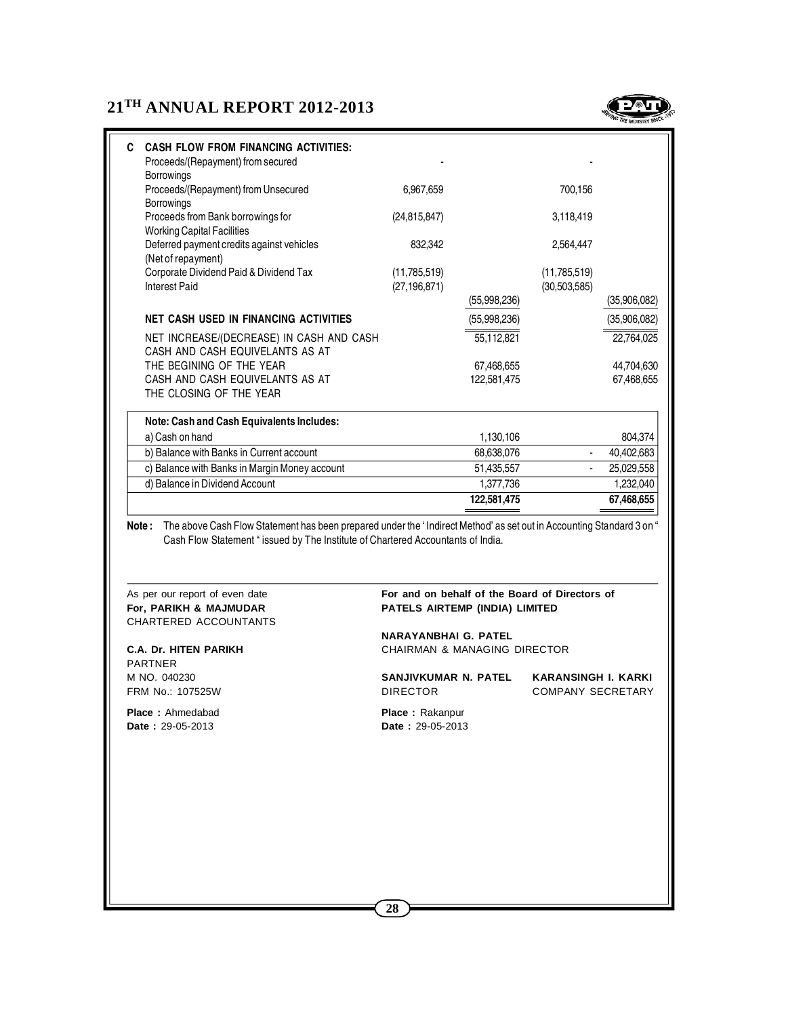

| <b>CASH FLOW FROM FINANCING ACTIVITIES:</b><br>C.<br>Proceeds/(Repayment) from secured<br><b>Borrowings</b> |                                |              |                                |              |
|-------------------------------------------------------------------------------------------------------------|--------------------------------|--------------|--------------------------------|--------------|
| Proceeds/(Repayment) from Unsecured<br><b>Borrowings</b>                                                    | 6.967.659                      |              | 700.156                        |              |
| Proceeds from Bank borrowings for<br><b>Working Capital Facilities</b>                                      | (24, 815, 847)                 |              | 3,118,419                      |              |
| Deferred payment credits against vehicles<br>(Net of repayment)                                             | 832,342                        |              | 2,564,447                      |              |
| Corporate Dividend Paid & Dividend Tax<br><b>Interest Paid</b>                                              | (11,785,519)<br>(27, 196, 871) |              | (11,785,519)<br>(30, 503, 585) |              |
|                                                                                                             |                                | (55,998,236) |                                | (35,906,082) |
| <b>NET CASH USED IN FINANCING ACTIVITIES</b>                                                                |                                | (55,998,236) |                                | (35,906,082) |
| NET INCREASE/(DECREASE) IN CASH AND CASH<br>CASH AND CASH EQUIVELANTS AS AT                                 |                                | 55,112,821   |                                | 22,764,025   |
| THE BEGINING OF THE YEAR                                                                                    |                                | 67,468,655   |                                | 44,704,630   |
| CASH AND CASH EQUIVELANTS AS AT<br>THE CLOSING OF THE YEAR                                                  |                                | 122,581,475  |                                | 67,468,655   |
| Note: Cash and Cash Equivalents Includes:                                                                   |                                |              |                                |              |
| a) Cash on hand                                                                                             |                                | 1,130,106    |                                | 804,374      |
| b) Balance with Banks in Current account                                                                    |                                | 68,638,076   |                                | 40,402,683   |
| c) Balance with Banks in Margin Money account                                                               |                                | 51,435,557   |                                | 25,029,558   |
| d) Balance in Dividend Account                                                                              |                                | 1,377,736    |                                | 1,232,040    |
|                                                                                                             |                                | 122,581,475  |                                | 67,468,655   |

**Note :** The above Cash Flow Statement has been prepared under the ' Indirect Method' as set out in Accounting Standard 3 on " Cash Flow Statement " issued by The Institute of Chartered Accountants of India.

CHARTERED ACCOUNTANTS

PARTNER M NO. 040230 **SANJIVKUMAR N. PATEL KARANSINGH I. KARKI**

**Place :** Ahmedabad **Place : Rakanpur Date :** 29-05-2013 **Date :** 29-05-2013

#### As per our report of even date **For and on behalf of the Board of Directors of For, PARIKH & MAJMUDAR PATELS AIRTEMP (INDIA) LIMITED**

**NARAYANBHAI G. PATEL C.A. Dr. HITEN PARIKH** CHAIRMAN & MANAGING DIRECTOR

FRM No.: 107525W **DIRECTOR** DIRECTOR COMPANY SECRETARY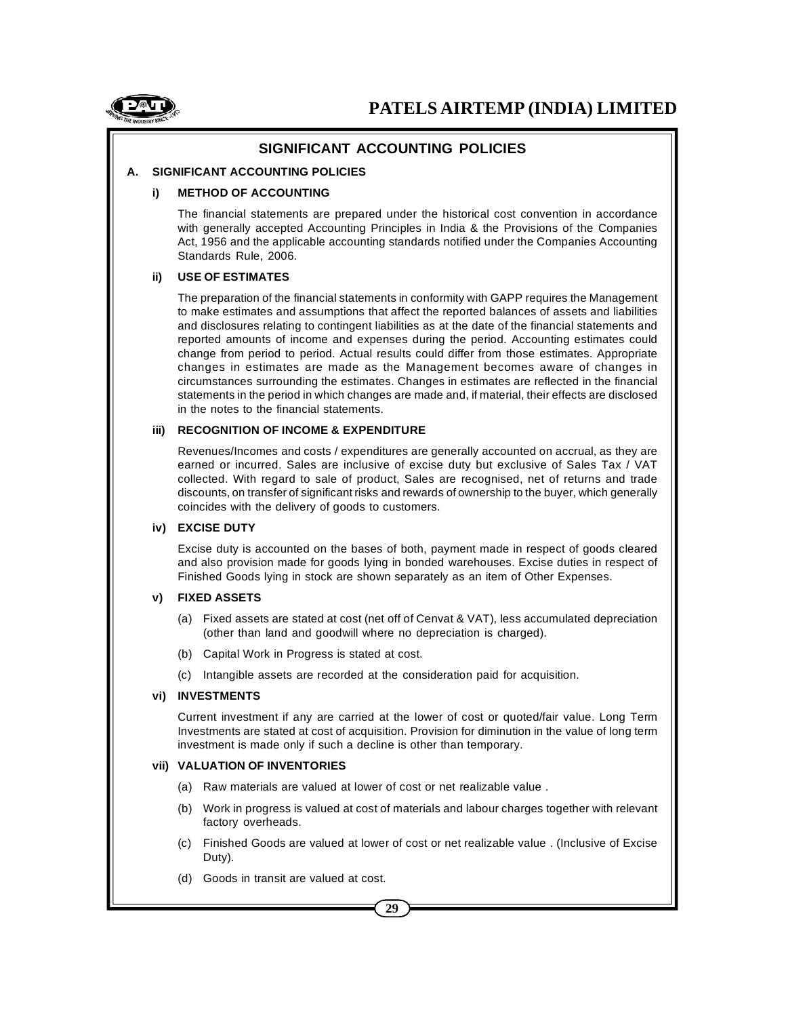

# **SIGNIFICANT ACCOUNTING POLICIES**

### **A. SIGNIFICANT ACCOUNTING POLICIES**

#### **i) METHOD OF ACCOUNTING**

The financial statements are prepared under the historical cost convention in accordance with generally accepted Accounting Principles in India & the Provisions of the Companies Act, 1956 and the applicable accounting standards notified under the Companies Accounting Standards Rule, 2006.

#### **ii) USE OF ESTIMATES**

The preparation of the financial statements in conformity with GAPP requires the Management to make estimates and assumptions that affect the reported balances of assets and liabilities and disclosures relating to contingent liabilities as at the date of the financial statements and reported amounts of income and expenses during the period. Accounting estimates could change from period to period. Actual results could differ from those estimates. Appropriate changes in estimates are made as the Management becomes aware of changes in circumstances surrounding the estimates. Changes in estimates are reflected in the financial statements in the period in which changes are made and, if material, their effects are disclosed in the notes to the financial statements.

#### **iii) RECOGNITION OF INCOME & EXPENDITURE**

Revenues/Incomes and costs / expenditures are generally accounted on accrual, as they are earned or incurred. Sales are inclusive of excise duty but exclusive of Sales Tax / VAT collected. With regard to sale of product, Sales are recognised, net of returns and trade discounts, on transfer of significant risks and rewards of ownership to the buyer, which generally coincides with the delivery of goods to customers.

#### **iv) EXCISE DUTY**

Excise duty is accounted on the bases of both, payment made in respect of goods cleared and also provision made for goods lying in bonded warehouses. Excise duties in respect of Finished Goods lying in stock are shown separately as an item of Other Expenses.

### **v) FIXED ASSETS**

- (a) Fixed assets are stated at cost (net off of Cenvat & VAT), less accumulated depreciation (other than land and goodwill where no depreciation is charged).
- (b) Capital Work in Progress is stated at cost.
- (c) Intangible assets are recorded at the consideration paid for acquisition.

#### **vi) INVESTMENTS**

Current investment if any are carried at the lower of cost or quoted/fair value. Long Term Investments are stated at cost of acquisition. Provision for diminution in the value of long term investment is made only if such a decline is other than temporary.

#### **vii) VALUATION OF INVENTORIES**

- (a) Raw materials are valued at lower of cost or net realizable value .
- (b) Work in progress is valued at cost of materials and labour charges together with relevant factory overheads.
- (c) Finished Goods are valued at lower of cost or net realizable value . (Inclusive of Excise Duty).
- (d) Goods in transit are valued at cost.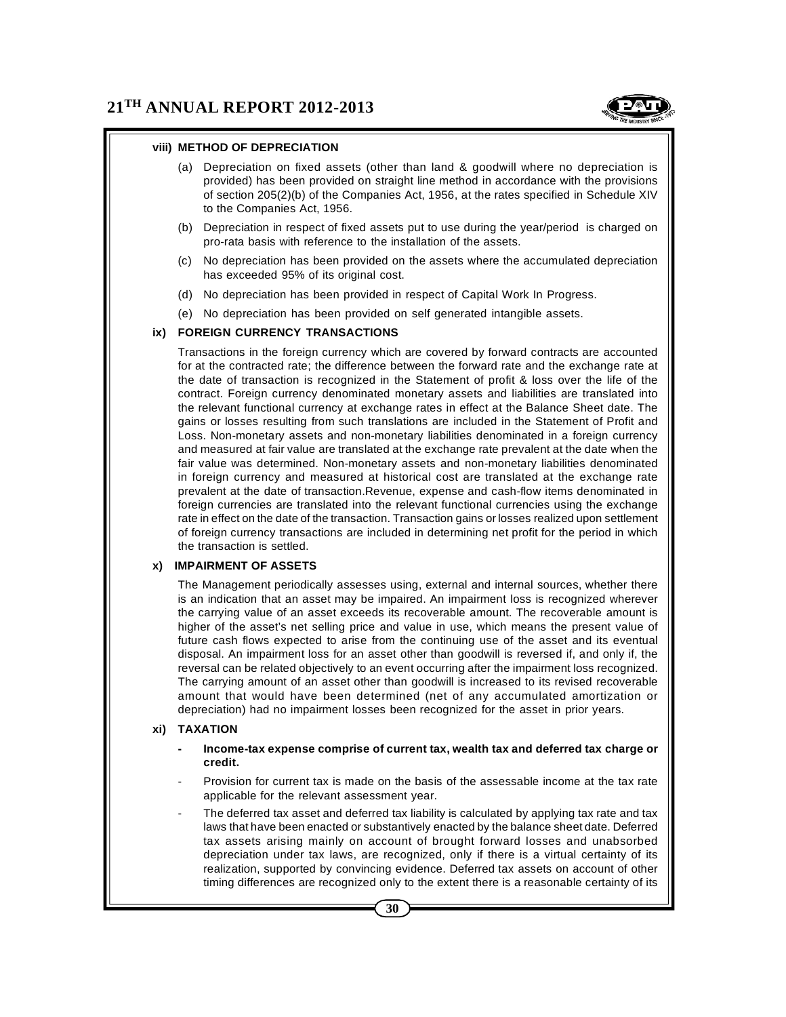

- (a) Depreciation on fixed assets (other than land & goodwill where no depreciation is provided) has been provided on straight line method in accordance with the provisions of section 205(2)(b) of the Companies Act, 1956, at the rates specified in Schedule XIV to the Companies Act, 1956.
- (b) Depreciation in respect of fixed assets put to use during the year/period is charged on pro-rata basis with reference to the installation of the assets.
- (c) No depreciation has been provided on the assets where the accumulated depreciation has exceeded 95% of its original cost.
- (d) No depreciation has been provided in respect of Capital Work In Progress.
- (e) No depreciation has been provided on self generated intangible assets.

#### **ix) FOREIGN CURRENCY TRANSACTIONS**

Transactions in the foreign currency which are covered by forward contracts are accounted for at the contracted rate; the difference between the forward rate and the exchange rate at the date of transaction is recognized in the Statement of profit & loss over the life of the contract. Foreign currency denominated monetary assets and liabilities are translated into the relevant functional currency at exchange rates in effect at the Balance Sheet date. The gains or losses resulting from such translations are included in the Statement of Profit and Loss. Non-monetary assets and non-monetary liabilities denominated in a foreign currency and measured at fair value are translated at the exchange rate prevalent at the date when the fair value was determined. Non-monetary assets and non-monetary liabilities denominated in foreign currency and measured at historical cost are translated at the exchange rate prevalent at the date of transaction.Revenue, expense and cash-flow items denominated in foreign currencies are translated into the relevant functional currencies using the exchange rate in effect on the date of the transaction. Transaction gains or losses realized upon settlement of foreign currency transactions are included in determining net profit for the period in which the transaction is settled.

#### **x) IMPAIRMENT OF ASSETS**

The Management periodically assesses using, external and internal sources, whether there is an indication that an asset may be impaired. An impairment loss is recognized wherever the carrying value of an asset exceeds its recoverable amount. The recoverable amount is higher of the asset's net selling price and value in use, which means the present value of future cash flows expected to arise from the continuing use of the asset and its eventual disposal. An impairment loss for an asset other than goodwill is reversed if, and only if, the reversal can be related objectively to an event occurring after the impairment loss recognized. The carrying amount of an asset other than goodwill is increased to its revised recoverable amount that would have been determined (net of any accumulated amortization or depreciation) had no impairment losses been recognized for the asset in prior years.

#### **xi) TAXATION**

- **- Income-tax expense comprise of current tax, wealth tax and deferred tax charge or credit.**
- Provision for current tax is made on the basis of the assessable income at the tax rate applicable for the relevant assessment year.
- The deferred tax asset and deferred tax liability is calculated by applying tax rate and tax laws that have been enacted or substantively enacted by the balance sheet date. Deferred tax assets arising mainly on account of brought forward losses and unabsorbed depreciation under tax laws, are recognized, only if there is a virtual certainty of its realization, supported by convincing evidence. Deferred tax assets on account of other timing differences are recognized only to the extent there is a reasonable certainty of its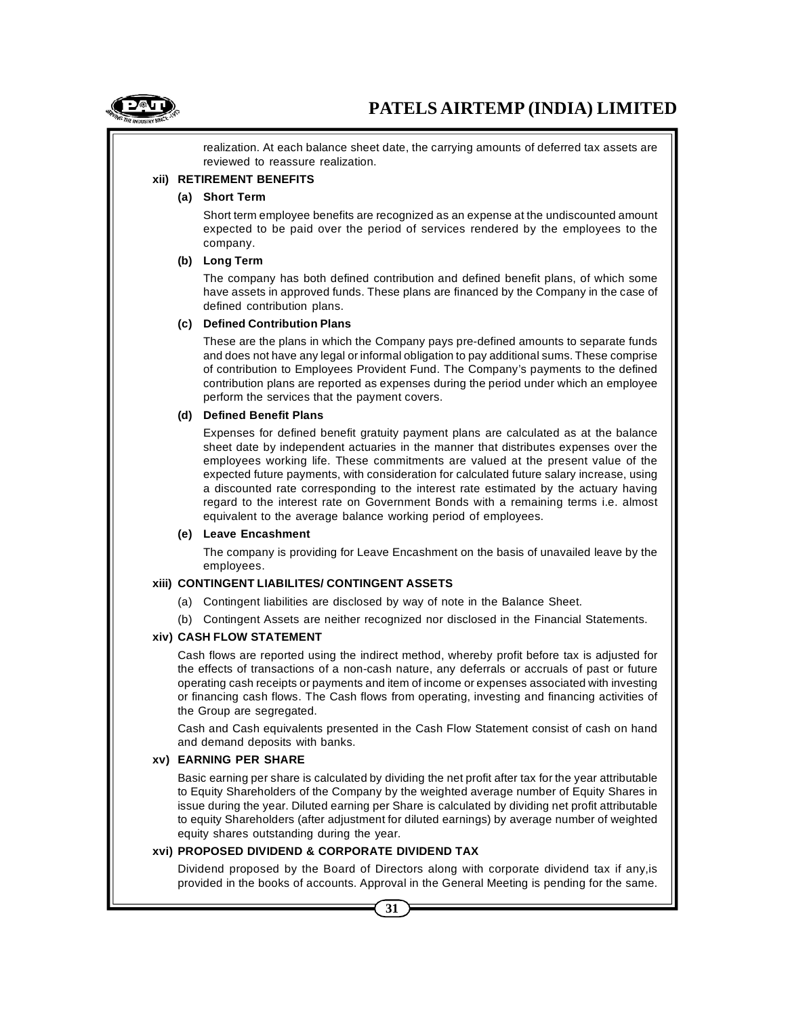

realization. At each balance sheet date, the carrying amounts of deferred tax assets are reviewed to reassure realization.

#### **xii) RETIREMENT BENEFITS**

#### **(a) Short Term**

Short term employee benefits are recognized as an expense at the undiscounted amount expected to be paid over the period of services rendered by the employees to the company.

#### **(b) Long Term**

The company has both defined contribution and defined benefit plans, of which some have assets in approved funds. These plans are financed by the Company in the case of defined contribution plans.

#### **(c) Defined Contribution Plans**

These are the plans in which the Company pays pre-defined amounts to separate funds and does not have any legal or informal obligation to pay additional sums. These comprise of contribution to Employees Provident Fund. The Company's payments to the defined contribution plans are reported as expenses during the period under which an employee perform the services that the payment covers.

#### **(d) Defined Benefit Plans**

Expenses for defined benefit gratuity payment plans are calculated as at the balance sheet date by independent actuaries in the manner that distributes expenses over the employees working life. These commitments are valued at the present value of the expected future payments, with consideration for calculated future salary increase, using a discounted rate corresponding to the interest rate estimated by the actuary having regard to the interest rate on Government Bonds with a remaining terms i.e. almost equivalent to the average balance working period of employees.

#### **(e) Leave Encashment**

The company is providing for Leave Encashment on the basis of unavailed leave by the employees.

#### **xiii) CONTINGENT LIABILITES/ CONTINGENT ASSETS**

- (a) Contingent liabilities are disclosed by way of note in the Balance Sheet.
- (b) Contingent Assets are neither recognized nor disclosed in the Financial Statements.

#### **xiv) CASH FLOW STATEMENT**

Cash flows are reported using the indirect method, whereby profit before tax is adjusted for the effects of transactions of a non-cash nature, any deferrals or accruals of past or future operating cash receipts or payments and item of income or expenses associated with investing or financing cash flows. The Cash flows from operating, investing and financing activities of the Group are segregated.

Cash and Cash equivalents presented in the Cash Flow Statement consist of cash on hand and demand deposits with banks.

#### **xv) EARNING PER SHARE**

Basic earning per share is calculated by dividing the net profit after tax for the year attributable to Equity Shareholders of the Company by the weighted average number of Equity Shares in issue during the year. Diluted earning per Share is calculated by dividing net profit attributable to equity Shareholders (after adjustment for diluted earnings) by average number of weighted equity shares outstanding during the year.

#### **xvi) PROPOSED DIVIDEND & CORPORATE DIVIDEND TAX**

Dividend proposed by the Board of Directors along with corporate dividend tax if any,is provided in the books of accounts. Approval in the General Meeting is pending for the same.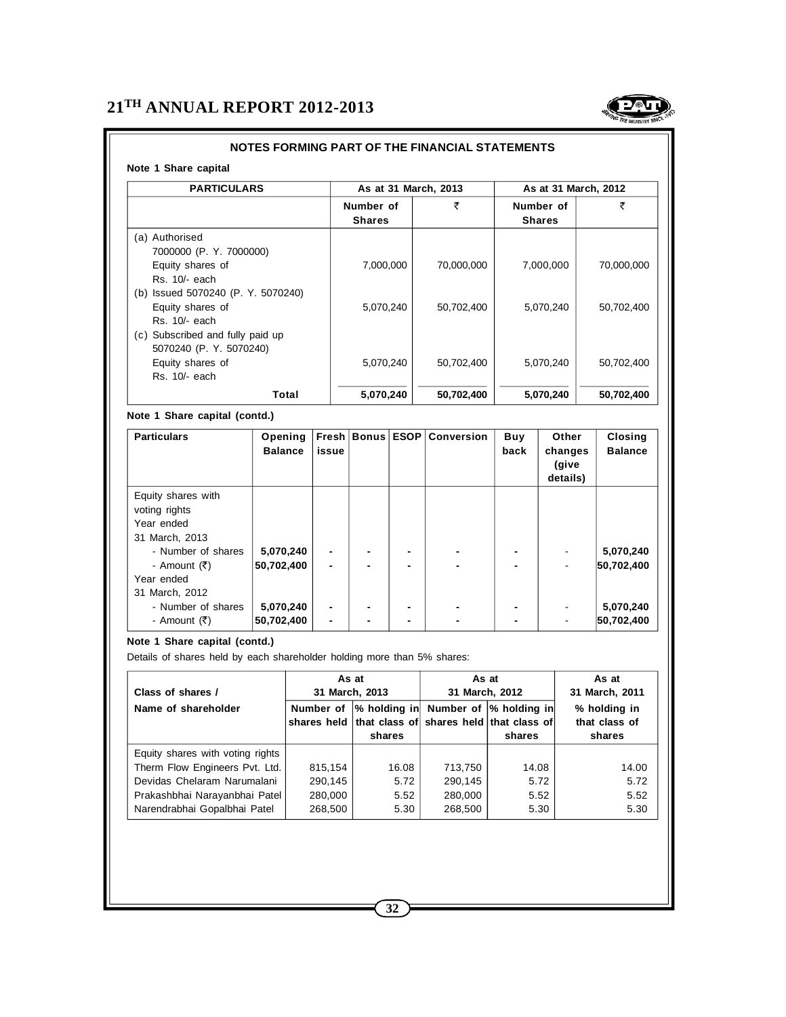

### **NOTES FORMING PART OF THE FINANCIAL STATEMENTS**

#### **Note 1 Share capital**

| <b>PARTICULARS</b>                                                                                          | As at 31 March, 2013       |            | As at 31 March, 2012       |            |
|-------------------------------------------------------------------------------------------------------------|----------------------------|------------|----------------------------|------------|
|                                                                                                             | Number of<br><b>Shares</b> | ₹          | Number of<br><b>Shares</b> | ₹          |
| (a) Authorised<br>7000000 (P. Y. 7000000)<br>Equity shares of<br>Rs. 10/- each                              | 7,000,000                  | 70,000,000 | 7,000,000                  | 70,000,000 |
| (b) Issued 5070240 (P. Y. 5070240)<br>Equity shares of<br>Rs. 10/- each<br>(c) Subscribed and fully paid up | 5,070,240                  | 50,702,400 | 5,070,240                  | 50,702,400 |
| 5070240 (P. Y. 5070240)<br>Equity shares of<br>Rs. 10/- each                                                | 5,070,240                  | 50,702,400 | 5,070,240                  | 50,702,400 |
| Total                                                                                                       | 5,070,240                  | 50,702,400 | 5,070,240                  | 50,702,400 |

#### **Note 1 Share capital (contd.)**

| <b>Particulars</b>                                                                                                                        | Opening<br><b>Balance</b> | issue                            |  | Fresh   Bonus   ESOP   Conversion | Buy<br>back | Other<br>changes<br>(give<br>details) | <b>Closing</b><br><b>Balance</b> |
|-------------------------------------------------------------------------------------------------------------------------------------------|---------------------------|----------------------------------|--|-----------------------------------|-------------|---------------------------------------|----------------------------------|
| Equity shares with<br>voting rights<br>Year ended<br>31 March, 2013<br>- Number of shares<br>- Amount (₹)<br>Year ended<br>31 March, 2012 | 5,070,240<br>50,702,400   | $\blacksquare$<br>$\blacksquare$ |  | $\blacksquare$                    |             |                                       | 5,070,240<br>50,702,400          |
| - Number of shares<br>- Amount (₹)                                                                                                        | 5,070,240<br>50,702,400   | $\blacksquare$                   |  | $\blacksquare$                    | ۰           |                                       | 5,070,240<br>50,702,400          |

#### **Note 1 Share capital (contd.)**

Details of shares held by each shareholder holding more than 5% shares:

| Class of shares /                | As at<br>31 March, 2013 |                                                                                                       | As at<br>31 March, 2012 |        | As at<br>31 March, 2011                 |
|----------------------------------|-------------------------|-------------------------------------------------------------------------------------------------------|-------------------------|--------|-----------------------------------------|
| Name of shareholder              | Number of               | % holding in Number of  % holding in<br>shares held that class of shares held that class of<br>shares |                         | shares | % holding in<br>that class of<br>shares |
| Equity shares with voting rights |                         |                                                                                                       |                         |        |                                         |
| Therm Flow Engineers Pvt. Ltd.   | 815,154                 | 16.08                                                                                                 | 713,750                 | 14.08  | 14.00                                   |
| Devidas Chelaram Narumalani      | 290,145                 | 5.72                                                                                                  | 290,145                 | 5.72   | 5.72                                    |
| Prakashbhai Narayanbhai Patel    | 280,000                 | 5.52                                                                                                  | 280.000                 | 5.52   | 5.52                                    |
| Narendrabhai Gopalbhai Patel     | 268,500                 | 5.30                                                                                                  | 268,500                 | 5.30   | 5.30                                    |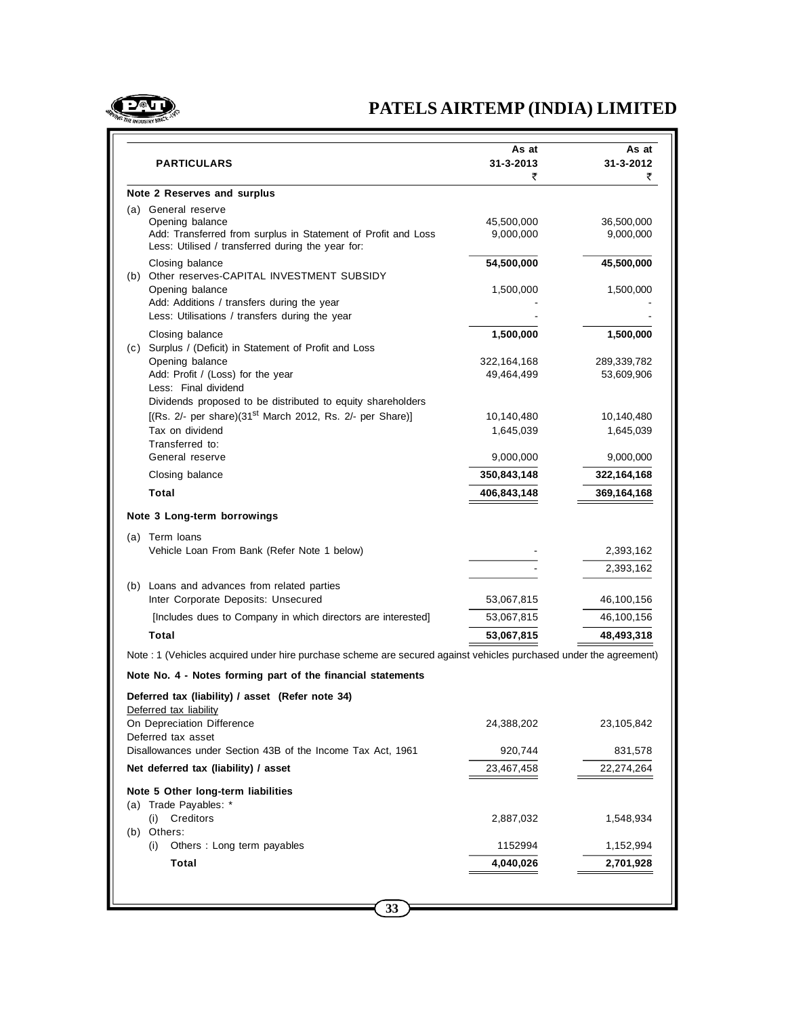

# **PATELS AIRTEMP (INDIA) LIMITED**

| <b>PARTICULARS</b>                                                                                                                                           | As at<br>31-3-2013<br>₹   | As at<br>31-3-2012<br>₹   |
|--------------------------------------------------------------------------------------------------------------------------------------------------------------|---------------------------|---------------------------|
| Note 2 Reserves and surplus                                                                                                                                  |                           |                           |
| (a) General reserve<br>Opening balance<br>Add: Transferred from surplus in Statement of Profit and Loss<br>Less: Utilised / transferred during the year for: | 45,500,000<br>9,000,000   | 36,500,000<br>9,000,000   |
| Closing balance<br>(b) Other reserves-CAPITAL INVESTMENT SUBSIDY                                                                                             | 54,500,000                | 45,500,000                |
| Opening balance<br>Add: Additions / transfers during the year<br>Less: Utilisations / transfers during the year                                              | 1,500,000                 | 1,500,000                 |
| Closing balance<br>(c) Surplus / (Deficit) in Statement of Profit and Loss                                                                                   | 1,500,000                 | 1,500,000                 |
| Opening balance<br>Add: Profit / (Loss) for the year<br>Less: Final dividend                                                                                 | 322,164,168<br>49,464,499 | 289,339,782<br>53,609,906 |
| Dividends proposed to be distributed to equity shareholders                                                                                                  |                           |                           |
| [(Rs. 2/- per share) $(31^{st}$ March 2012, Rs. 2/- per Share)]                                                                                              | 10,140,480                | 10,140,480                |
| Tax on dividend<br>Transferred to:                                                                                                                           | 1,645,039                 | 1,645,039                 |
| General reserve                                                                                                                                              | 9,000,000                 | 9,000,000                 |
| Closing balance                                                                                                                                              | 350,843,148               | 322,164,168               |
| Total                                                                                                                                                        | 406,843,148               | 369,164,168               |
| Note 3 Long-term borrowings                                                                                                                                  |                           |                           |
| (a) Term loans                                                                                                                                               |                           |                           |
| Vehicle Loan From Bank (Refer Note 1 below)                                                                                                                  |                           | 2,393,162                 |
|                                                                                                                                                              |                           | 2,393,162                 |
| (b) Loans and advances from related parties<br>Inter Corporate Deposits: Unsecured                                                                           | 53,067,815                | 46,100,156                |
| [Includes dues to Company in which directors are interested]                                                                                                 | 53,067,815                | 46,100,156                |
| Total                                                                                                                                                        | 53,067,815                | 48,493,318                |
| Note : 1 (Vehicles acquired under hire purchase scheme are secured against vehicles purchased under the agreement)                                           |                           |                           |
| Note No. 4 - Notes forming part of the financial statements                                                                                                  |                           |                           |
| Deferred tax (liability) / asset (Refer note 34)<br>Deferred tax liability                                                                                   |                           |                           |
| On Depreciation Difference<br>Deferred tax asset                                                                                                             | 24,388,202                | 23,105,842                |
| Disallowances under Section 43B of the Income Tax Act, 1961                                                                                                  | 920,744                   | 831,578                   |
| Net deferred tax (liability) / asset                                                                                                                         | 23,467,458                | 22,274,264                |
| Note 5 Other long-term liabilities<br>(a) Trade Payables: *                                                                                                  |                           |                           |
| Creditors<br>(i)                                                                                                                                             | 2,887,032                 | 1,548,934                 |
| (b) Others:<br>(i)<br>Others: Long term payables                                                                                                             | 1152994                   | 1,152,994                 |
| Total                                                                                                                                                        | 4,040,026                 | 2,701,928                 |
|                                                                                                                                                              |                           |                           |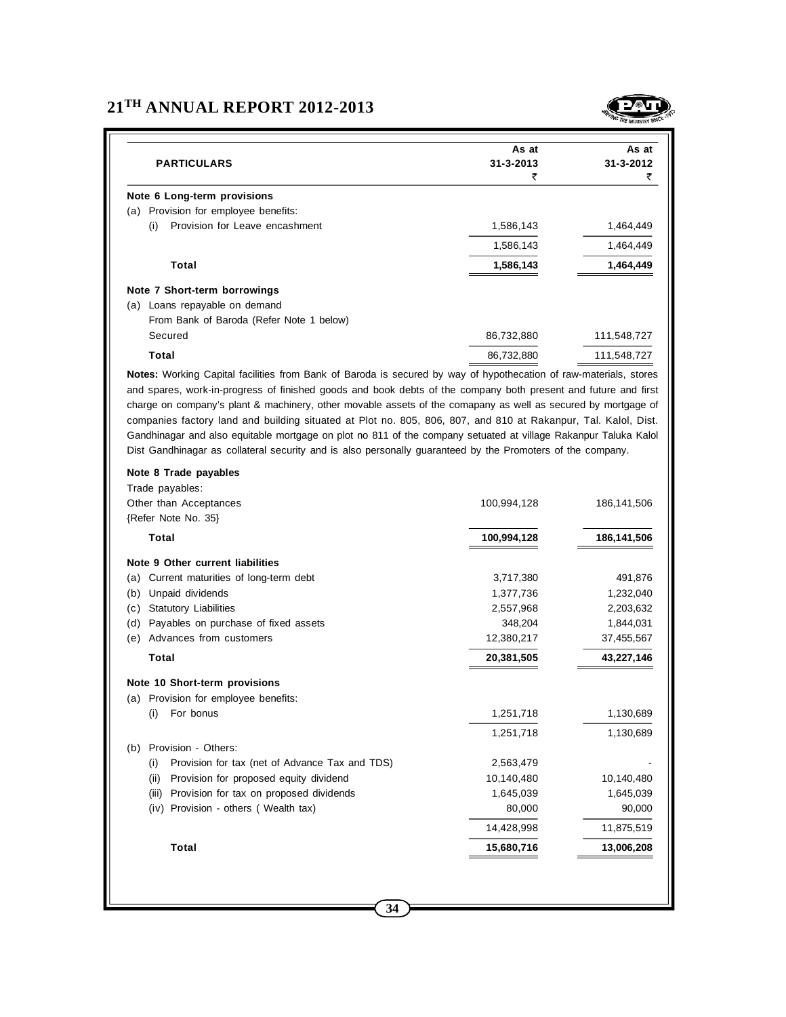# **21TH ANNUAL REPORT 2012-2013**



|                                          | As at           | As at       |
|------------------------------------------|-----------------|-------------|
| <b>PARTICULARS</b>                       | $31 - 3 - 2013$ | 31-3-2012   |
|                                          | ₹               | ₹           |
| Note 6 Long-term provisions              |                 |             |
| Provision for employee benefits:<br>(a)  |                 |             |
| Provision for Leave encashment<br>(i)    | 1,586,143       | 1,464,449   |
|                                          | 1,586,143       | 1,464,449   |
| Total                                    | 1,586,143       | 1,464,449   |
| Note 7 Short-term borrowings             |                 |             |
| Loans repayable on demand<br>(a)         |                 |             |
| From Bank of Baroda (Refer Note 1 below) |                 |             |
| Secured                                  | 86,732,880      | 111,548,727 |
| Total                                    | 86,732,880      | 111,548,727 |

**Notes:** Working Capital facilities from Bank of Baroda is secured by way of hypothecation of raw-materials, stores and spares, work-in-progress of finished goods and book debts of the company both present and future and first charge on company's plant & machinery, other movable assets of the comapany as well as secured by mortgage of companies factory land and building situated at Plot no. 805, 806, 807, and 810 at Rakanpur, Tal. Kalol, Dist. Gandhinagar and also equitable mortgage on plot no 811 of the company setuated at village Rakanpur Taluka Kalol Dist Gandhinagar as collateral security and is also personally guaranteed by the Promoters of the company.

| Note 8 Trade payables                                 |             |             |
|-------------------------------------------------------|-------------|-------------|
| Trade payables:                                       |             |             |
| Other than Acceptances                                | 100,994,128 | 186,141,506 |
| {Refer Note No. 35}                                   |             |             |
| <b>Total</b>                                          | 100,994,128 | 186,141,506 |
| Note 9 Other current liabilities                      |             |             |
| Current maturities of long-term debt<br>(a)           | 3,717,380   | 491,876     |
| Unpaid dividends<br>(b)                               | 1,377,736   | 1,232,040   |
| <b>Statutory Liabilities</b><br>(c)                   | 2,557,968   | 2,203,632   |
| Payables on purchase of fixed assets<br>(d)           | 348,204     | 1,844,031   |
| Advances from customers<br>(e)                        | 12,380,217  | 37,455,567  |
| <b>Total</b>                                          | 20,381,505  | 43,227,146  |
| Note 10 Short-term provisions                         |             |             |
| Provision for employee benefits:<br>(a)               |             |             |
| For bonus<br>(i)                                      | 1,251,718   | 1,130,689   |
|                                                       | 1,251,718   | 1,130,689   |
| Provision - Others:<br>(b)                            |             |             |
| (i)<br>Provision for tax (net of Advance Tax and TDS) | 2,563,479   |             |
| (ii)<br>Provision for proposed equity dividend        | 10.140.480  | 10,140,480  |
| (iii)<br>Provision for tax on proposed dividends      | 1,645,039   | 1,645,039   |
| (iv)<br>Provision - others (Wealth tax)               | 80,000      | 90,000      |
|                                                       | 14,428,998  | 11,875,519  |
| <b>Total</b>                                          | 15,680,716  | 13,006,208  |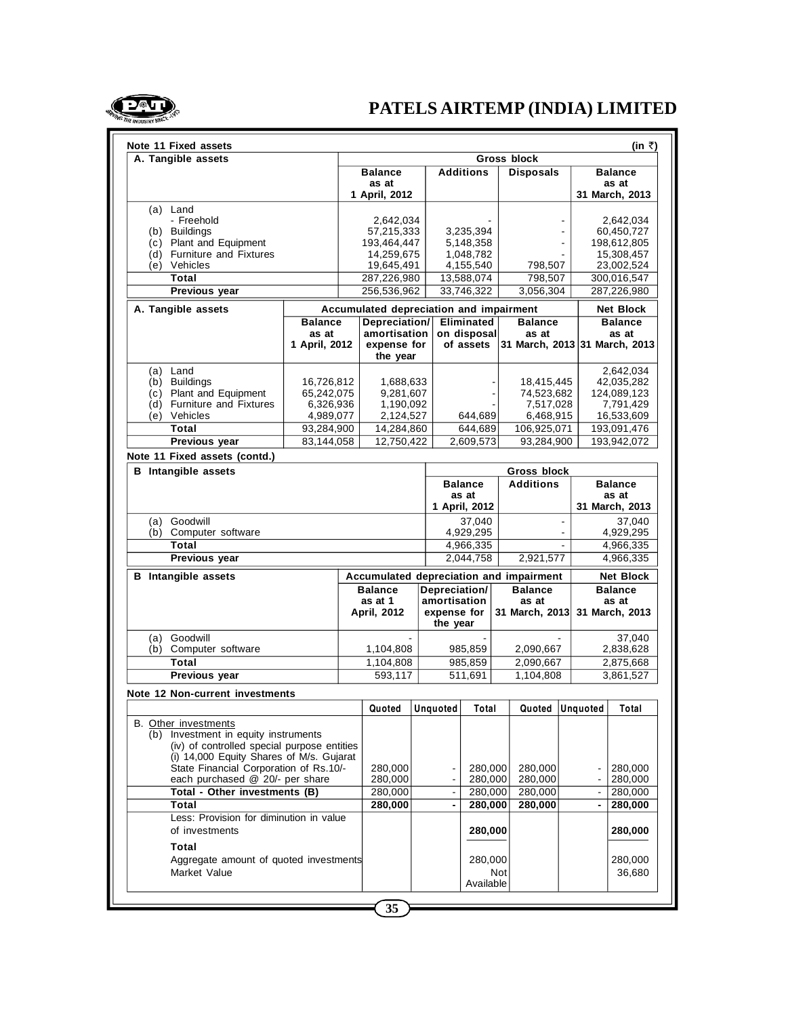

| Note 11 Fixed assets                        |               |                                         |                          |             |                |                               |                |                | (in ₹)                  |
|---------------------------------------------|---------------|-----------------------------------------|--------------------------|-------------|----------------|-------------------------------|----------------|----------------|-------------------------|
| A. Tangible assets                          |               |                                         |                          |             |                | Gross block                   |                |                |                         |
|                                             |               | <b>Balance</b><br>as at                 | <b>Additions</b>         |             |                | <b>Disposals</b>              |                |                | <b>Balance</b><br>as at |
|                                             |               | 1 April, 2012                           |                          |             |                |                               |                |                | 31 March, 2013          |
| (a) Land                                    |               |                                         |                          |             |                |                               |                |                |                         |
| - Freehold                                  |               | 2,642,034                               |                          |             |                |                               |                |                | 2,642,034               |
| (b) Buildings                               |               | 57,215,333                              |                          | 3,235,394   |                |                               |                |                | 60,450,727              |
| (c) Plant and Equipment                     |               | 193,464,447                             |                          | 5,148,358   |                |                               | $\blacksquare$ |                | 198,612,805             |
| (d) Furniture and Fixtures                  |               | 14,259,675                              |                          | 1,048,782   |                |                               |                |                | 15,308,457              |
| (e) Vehicles                                |               | 19,645,491                              |                          | 4,155,540   |                | 798,507                       |                |                | 23,002,524              |
| Total                                       |               | 287,226,980                             |                          | 13,588,074  |                | 798,507                       |                |                | 300,016,547             |
| Previous year                               |               | 256,536,962                             |                          | 33,746,322  |                | 3.056.304                     |                |                | 287,226,980             |
| A. Tangible assets                          |               | Accumulated depreciation and impairment |                          |             |                |                               |                |                | <b>Net Block</b>        |
| <b>Balance</b>                              |               | Depreciation/                           |                          | Eliminated  |                | <b>Balance</b>                |                |                | <b>Balance</b>          |
|                                             | as at         | amortisation                            |                          | on disposal |                | as at                         |                |                | as at                   |
|                                             | 1 April, 2012 | expense for                             |                          | of assets   |                | 31 March, 2013 31 March, 2013 |                |                |                         |
|                                             |               | the year                                |                          |             |                |                               |                |                |                         |
| (a) Land                                    |               |                                         |                          |             |                |                               |                |                | 2,642,034               |
| (b) Buildings                               | 16,726,812    | 1,688,633                               |                          |             |                | 18,415,445                    |                |                | 42,035,282              |
| (c) Plant and Equipment                     | 65,242,075    | 9,281,607                               |                          |             |                | 74,523,682                    |                |                | 124,089,123             |
| (d) Furniture and Fixtures                  | 6,326,936     | 1,190,092                               |                          |             |                | 7,517,028                     |                |                | 7,791,429               |
| (e) Vehicles                                | 4,989,077     | 2,124,527                               |                          | 644,689     |                | 6,468,915                     |                |                | 16,533,609              |
| Total                                       | 93,284,900    | 14,284,860                              |                          | 644,689     |                | 106,925,071                   |                |                | 193,091,476             |
| Previous year                               | 83,144,058    | 12.750.422                              |                          | 2,609,573   |                | 93,284,900                    |                |                | 193.942.072             |
| Note 11 Fixed assets (contd.)               |               |                                         |                          |             |                |                               |                |                |                         |
| <b>B</b> Intangible assets                  |               |                                         |                          |             |                | Gross block                   |                |                |                         |
|                                             |               |                                         | <b>Balance</b>           |             |                | <b>Additions</b>              |                |                | <b>Balance</b>          |
|                                             |               |                                         |                          | as at       |                |                               |                |                | as at                   |
|                                             |               |                                         | 1 April, 2012            |             |                |                               |                |                | 31 March, 2013          |
| (a) Goodwill                                |               |                                         |                          | 37,040      | $\blacksquare$ |                               |                | 37,040         |                         |
| (b) Computer software                       |               |                                         |                          | 4,929,295   |                |                               |                |                | 4,929,295               |
| Total                                       |               |                                         |                          | 4,966,335   |                |                               | $\mathbf{r}$   |                | 4,966,335               |
| Previous year                               |               |                                         |                          | 2,044,758   |                | 2,921,577                     |                |                | 4,966,335               |
| <b>B</b> Intangible assets                  |               | Accumulated depreciation and impairment |                          |             |                |                               |                |                | <b>Net Block</b>        |
|                                             |               | <b>Balance</b>                          | Depreciation/            |             |                | <b>Balance</b>                |                |                | <b>Balance</b>          |
|                                             |               | as at 1                                 |                          |             |                |                               |                |                |                         |
|                                             |               |                                         | amortisation             |             |                | as at                         |                |                | as at                   |
|                                             |               | April, 2012                             | expense for              |             |                | 31 March, 2013                |                |                | 31 March, 2013          |
|                                             |               |                                         | the year                 |             |                |                               |                |                |                         |
| (a) Goodwill                                |               |                                         |                          |             |                |                               |                |                | 37,040                  |
| (b) Computer software                       |               | 1,104,808                               |                          | 985,859     |                | 2,090,667                     |                |                | 2,838,628               |
| Total                                       |               | 1,104,808                               |                          | 985,859     |                | 2,090,667                     |                |                | 2,875,668               |
| Previous year                               |               | 593,117                                 |                          | 511,691     |                | 1,104,808                     |                |                | 3,861,527               |
| Note 12 Non-current investments             |               |                                         |                          |             |                |                               |                |                |                         |
|                                             |               | Quoted                                  | Unquoted                 | Total       |                | Quoted Unquoted               |                |                | Total                   |
| <b>B.</b> Other investments                 |               |                                         |                          |             |                |                               |                |                |                         |
| (b) Investment in equity instruments        |               |                                         |                          |             |                |                               |                |                |                         |
| (iv) of controlled special purpose entities |               |                                         |                          |             |                |                               |                |                |                         |
| (i) 14,000 Equity Shares of M/s. Gujarat    |               |                                         |                          |             |                |                               |                |                |                         |
| State Financial Corporation of Rs.10/-      |               | 280,000                                 |                          | 280,000     |                | 280,000                       |                |                | 280,000                 |
| each purchased @ 20/- per share             |               | 280,000                                 |                          | 280,000     |                | 280,000                       |                |                | 280,000                 |
| Total - Other investments (B)               |               | 280,000                                 | $\overline{\phantom{a}}$ | 280,000     |                | 280,000                       |                | $\blacksquare$ | 280,000                 |
| Total                                       |               | 280,000                                 | $\blacksquare$           | 280,000     |                | 280,000                       |                | $\blacksquare$ | 280,000                 |
| Less: Provision for diminution in value     |               |                                         |                          |             |                |                               |                |                |                         |
| of investments                              |               |                                         |                          | 280,000     |                |                               |                |                | 280,000                 |
| Total                                       |               |                                         |                          |             |                |                               |                |                |                         |
| Aggregate amount of quoted investments      |               |                                         |                          | 280,000     |                |                               |                |                | 280,000                 |
| Market Value                                |               |                                         |                          |             | Not            |                               |                |                | 36,680                  |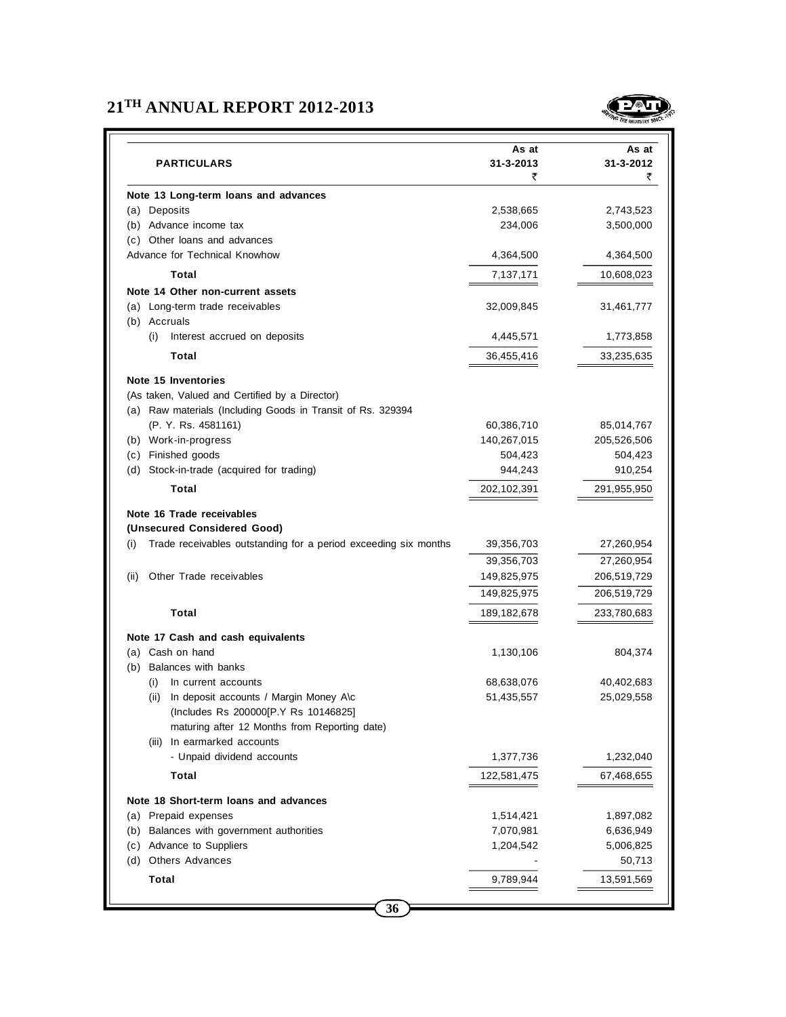# **21TH ANNUAL REPORT 2012-2013**



| <b>PARTICULARS</b>                                                     | As at<br>31-3-2013<br>₹ | As at<br>31-3-2012<br>₹ |
|------------------------------------------------------------------------|-------------------------|-------------------------|
| Note 13 Long-term loans and advances                                   |                         |                         |
| (a) Deposits                                                           | 2,538,665               | 2,743,523               |
| (b) Advance income tax                                                 | 234,006                 | 3,500,000               |
| (c) Other loans and advances                                           |                         |                         |
| Advance for Technical Knowhow                                          | 4,364,500               | 4,364,500               |
| Total                                                                  | 7,137,171               | 10,608,023              |
| Note 14 Other non-current assets                                       |                         |                         |
| (a) Long-term trade receivables                                        | 32,009,845              | 31,461,777              |
| (b) Accruals                                                           |                         |                         |
| (i)<br>Interest accrued on deposits                                    | 4,445,571               | 1,773,858               |
| Total                                                                  | 36,455,416              | 33,235,635              |
| Note 15 Inventories                                                    |                         |                         |
| (As taken, Valued and Certified by a Director)                         |                         |                         |
| (a) Raw materials (Including Goods in Transit of Rs. 329394            |                         |                         |
| (P. Y. Rs. 4581161)                                                    | 60,386,710              | 85,014,767              |
| (b) Work-in-progress                                                   | 140,267,015             | 205,526,506             |
| (c) Finished goods                                                     | 504,423                 | 504,423                 |
| (d) Stock-in-trade (acquired for trading)                              | 944,243                 | 910,254                 |
| Total                                                                  | 202,102,391             | 291,955,950             |
| Note 16 Trade receivables<br>(Unsecured Considered Good)               |                         |                         |
| Trade receivables outstanding for a period exceeding six months<br>(i) | 39,356,703              | 27,260,954              |
|                                                                        | 39,356,703              | 27,260,954              |
| Other Trade receivables<br>(ii)                                        | 149,825,975             | 206,519,729             |
|                                                                        | 149,825,975             | 206,519,729             |
|                                                                        |                         |                         |
| Total                                                                  | 189, 182, 678           | 233,780,683             |
| Note 17 Cash and cash equivalents                                      |                         |                         |
| (a) Cash on hand                                                       | 1,130,106               | 804,374                 |
| (b) Balances with banks                                                |                         |                         |
| (i)<br>In current accounts<br>In deposit accounts / Margin Money A\c   | 68,638,076              | 40,402,683              |
| (ii)<br>(Includes Rs 200000[P.Y Rs 10146825]                           | 51,435,557              | 25,029,558              |
| maturing after 12 Months from Reporting date)                          |                         |                         |
| In earmarked accounts<br>(iii)                                         |                         |                         |
| - Unpaid dividend accounts                                             | 1,377,736               | 1,232,040               |
| Total                                                                  | 122,581,475             | 67,468,655              |
|                                                                        |                         |                         |
| Note 18 Short-term loans and advances                                  |                         |                         |
| (a) Prepaid expenses                                                   | 1,514,421               | 1,897,082               |
| Balances with government authorities<br>(b)                            | 7,070,981               | 6,636,949               |
| (c)<br>Advance to Suppliers                                            | 1,204,542               | 5,006,825               |
| (d) Others Advances                                                    |                         | 50,713                  |
| <b>Total</b>                                                           | 9,789,944               | 13,591,569              |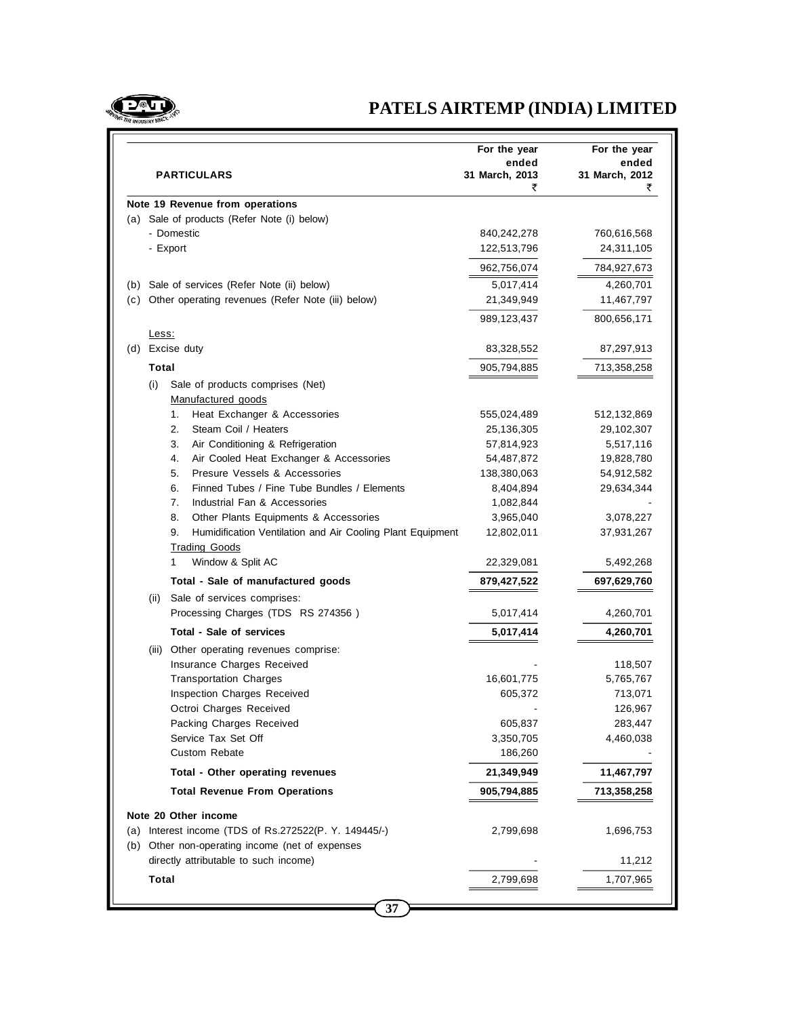

# **PATELS AIRTEMP (INDIA) LIMITED**

|     | PARTICULARS                                                                                                     | ended<br>31 March, 2013<br>₹ | ended<br>31 March, 2012<br>₹ |
|-----|-----------------------------------------------------------------------------------------------------------------|------------------------------|------------------------------|
|     | Note 19 Revenue from operations                                                                                 |                              |                              |
|     | (a) Sale of products (Refer Note (i) below)                                                                     |                              |                              |
|     | - Domestic                                                                                                      | 840,242,278                  | 760,616,568                  |
|     | - Export                                                                                                        | 122,513,796                  | 24,311,105                   |
|     |                                                                                                                 | 962,756,074                  | 784,927,673                  |
| (b) | Sale of services (Refer Note (ii) below)                                                                        | 5,017,414                    | 4,260,701                    |
| (c) | Other operating revenues (Refer Note (iii) below)                                                               | 21,349,949                   | 11,467,797                   |
|     |                                                                                                                 | 989,123,437                  | 800,656,171                  |
|     | <u>Less:</u>                                                                                                    |                              |                              |
| (d) | Excise duty                                                                                                     | 83,328,552                   | 87,297,913                   |
|     | Total                                                                                                           | 905,794,885                  | 713,358,258                  |
|     | (i)<br>Sale of products comprises (Net)                                                                         |                              |                              |
|     | Manufactured goods                                                                                              |                              |                              |
|     | Heat Exchanger & Accessories<br>1.                                                                              | 555,024,489                  | 512,132,869                  |
|     | 2.<br>Steam Coil / Heaters                                                                                      | 25,136,305                   | 29,102,307                   |
|     | 3.<br>Air Conditioning & Refrigeration                                                                          | 57,814,923                   | 5,517,116                    |
|     | 4.<br>Air Cooled Heat Exchanger & Accessories                                                                   | 54,487,872                   | 19,828,780                   |
|     | 5.<br>Presure Vessels & Accessories                                                                             | 138,380,063                  | 54,912,582                   |
|     | 6.<br>Finned Tubes / Fine Tube Bundles / Elements                                                               | 8,404,894                    | 29,634,344                   |
|     | 7.<br>Industrial Fan & Accessories                                                                              | 1,082,844                    |                              |
|     | 8.<br>Other Plants Equipments & Accessories<br>9.<br>Humidification Ventilation and Air Cooling Plant Equipment | 3,965,040<br>12,802,011      | 3,078,227<br>37,931,267      |
|     | <b>Trading Goods</b>                                                                                            |                              |                              |
|     | Window & Split AC<br>1                                                                                          | 22,329,081                   | 5,492,268                    |
|     | Total - Sale of manufactured goods                                                                              | 879,427,522                  | 697,629,760                  |
|     | Sale of services comprises:<br>(ii)                                                                             |                              |                              |
|     | Processing Charges (TDS RS 274356)                                                                              | 5,017,414                    | 4,260,701                    |
|     | <b>Total - Sale of services</b>                                                                                 | 5,017,414                    | 4,260,701                    |
|     | Other operating revenues comprise:<br>(iii)                                                                     |                              |                              |
|     | Insurance Charges Received<br><b>Transportation Charges</b>                                                     | 16,601,775                   | 118,507<br>5,765,767         |
|     | Inspection Charges Received                                                                                     | 605,372                      | 713,071                      |
|     | Octroi Charges Received                                                                                         |                              | 126,967                      |
|     | Packing Charges Received                                                                                        | 605,837                      | 283,447                      |
|     | Service Tax Set Off                                                                                             | 3,350,705                    | 4,460,038                    |
|     | <b>Custom Rebate</b>                                                                                            | 186,260                      |                              |
|     | Total - Other operating revenues                                                                                | 21,349,949                   | 11,467,797                   |
|     | <b>Total Revenue From Operations</b>                                                                            | 905,794,885                  | 713,358,258                  |
|     | Note 20 Other income                                                                                            |                              |                              |
|     | (a) Interest income (TDS of Rs.272522(P. Y. 149445/-)                                                           | 2,799,698                    | 1,696,753                    |
| (b) | Other non-operating income (net of expenses                                                                     |                              |                              |
|     | directly attributable to such income)                                                                           |                              | 11,212                       |
|     |                                                                                                                 | 2,799,698                    | 1,707,965                    |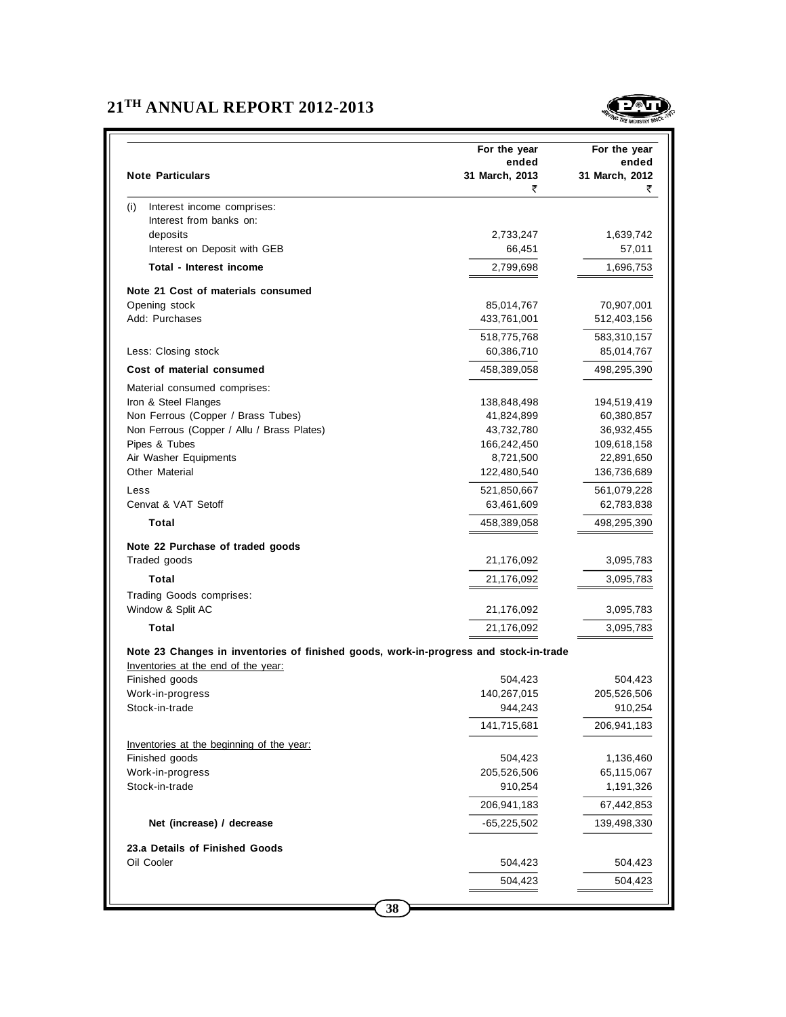# **21TH ANNUAL REPORT 2012-2013**



|                                                                                       | For the year        | For the year            |
|---------------------------------------------------------------------------------------|---------------------|-------------------------|
|                                                                                       | ended               | ended                   |
| <b>Note Particulars</b>                                                               | 31 March, 2013      | 31 March, 2012          |
|                                                                                       | ₹                   | ₹                       |
| Interest income comprises:<br>(i)                                                     |                     |                         |
| Interest from banks on:                                                               |                     |                         |
| deposits<br>Interest on Deposit with GEB                                              | 2,733,247<br>66,451 | 1,639,742<br>57,011     |
|                                                                                       |                     |                         |
| Total - Interest income                                                               | 2,799,698           | 1,696,753               |
| Note 21 Cost of materials consumed                                                    |                     |                         |
| Opening stock                                                                         | 85,014,767          | 70,907,001              |
| Add: Purchases                                                                        | 433,761,001         | 512,403,156             |
|                                                                                       | 518,775,768         | 583,310,157             |
| Less: Closing stock                                                                   | 60,386,710          | 85,014,767              |
| Cost of material consumed                                                             | 458,389,058         | 498,295,390             |
| Material consumed comprises:                                                          |                     |                         |
| Iron & Steel Flanges                                                                  | 138,848,498         | 194,519,419             |
| Non Ferrous (Copper / Brass Tubes)                                                    | 41,824,899          | 60,380,857              |
| Non Ferrous (Copper / Allu / Brass Plates)                                            | 43,732,780          | 36,932,455              |
| Pipes & Tubes                                                                         | 166,242,450         | 109,618,158             |
| Air Washer Equipments                                                                 | 8,721,500           | 22,891,650              |
| <b>Other Material</b>                                                                 | 122,480,540         | 136,736,689             |
| Less                                                                                  | 521,850,667         | 561,079,228             |
| Cenvat & VAT Setoff                                                                   | 63,461,609          | 62,783,838              |
| Total                                                                                 | 458,389,058         | 498,295,390             |
| Note 22 Purchase of traded goods                                                      |                     |                         |
| Traded goods                                                                          | 21,176,092          | 3,095,783               |
| Total                                                                                 | 21,176,092          | 3,095,783               |
| Trading Goods comprises:                                                              |                     |                         |
| Window & Split AC                                                                     | 21,176,092          | 3,095,783               |
| Total                                                                                 | 21,176,092          | 3,095,783               |
|                                                                                       |                     |                         |
| Note 23 Changes in inventories of finished goods, work-in-progress and stock-in-trade |                     |                         |
| Inventories at the end of the year:<br>Finished goods                                 | 504,423             | 504,423                 |
| Work-in-progress                                                                      | 140,267,015         | 205,526,506             |
| Stock-in-trade                                                                        | 944,243             | 910,254                 |
|                                                                                       | 141,715,681         | 206,941,183             |
|                                                                                       |                     |                         |
| Inventories at the beginning of the year:                                             | 504,423             |                         |
| Finished goods<br>Work-in-progress                                                    | 205,526,506         | 1,136,460<br>65,115,067 |
| Stock-in-trade                                                                        | 910,254             | 1,191,326               |
|                                                                                       |                     |                         |
|                                                                                       | 206,941,183         | 67,442,853              |
| Net (increase) / decrease                                                             | -65,225,502         | 139,498,330             |
| 23.a Details of Finished Goods                                                        |                     |                         |
| Oil Cooler                                                                            | 504,423             | 504,423                 |
|                                                                                       | 504,423             | 504,423                 |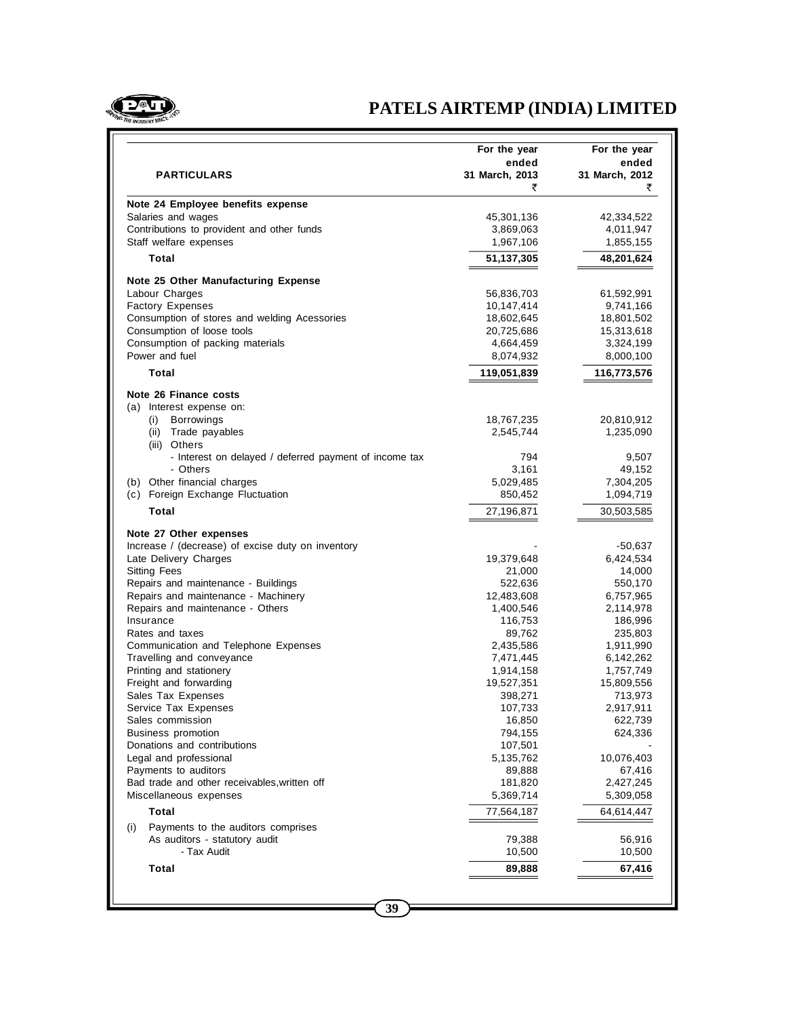

# **PATELS AIRTEMP (INDIA) LIMITED**

|                                                                             | For the year        | For the year         |
|-----------------------------------------------------------------------------|---------------------|----------------------|
|                                                                             | ended               | ended                |
| <b>PARTICULARS</b>                                                          | 31 March, 2013<br>₹ | 31 March, 2012<br>₹  |
| Note 24 Employee benefits expense                                           |                     |                      |
| Salaries and wages                                                          | 45,301,136          | 42,334,522           |
| Contributions to provident and other funds                                  | 3,869,063           | 4,011,947            |
| Staff welfare expenses                                                      | 1,967,106           | 1,855,155            |
| Total                                                                       | 51,137,305          | 48,201,624           |
| Note 25 Other Manufacturing Expense                                         |                     |                      |
| Labour Charges                                                              | 56,836,703          | 61,592,991           |
| <b>Factory Expenses</b>                                                     | 10,147,414          | 9,741,166            |
| Consumption of stores and welding Acessories                                | 18,602,645          | 18,801,502           |
| Consumption of loose tools                                                  | 20,725,686          | 15,313,618           |
| Consumption of packing materials                                            | 4,664,459           | 3,324,199            |
| Power and fuel                                                              | 8,074,932           | 8,000,100            |
| Total                                                                       | 119,051,839         | 116,773,576          |
| Note 26 Finance costs                                                       |                     |                      |
| (a) Interest expense on:                                                    |                     |                      |
| Borrowings<br>(i)                                                           | 18,767,235          | 20,810,912           |
| (ii)<br>Trade payables                                                      | 2,545,744           | 1,235,090            |
| (iii) Others<br>- Interest on delayed / deferred payment of income tax      | 794                 | 9,507                |
| - Others                                                                    | 3,161               | 49,152               |
| (b) Other financial charges                                                 | 5,029,485           | 7,304,205            |
| (c) Foreign Exchange Fluctuation                                            | 850,452             | 1,094,719            |
| Total                                                                       | 27,196,871          | 30,503,585           |
|                                                                             |                     |                      |
| Note 27 Other expenses<br>Increase / (decrease) of excise duty on inventory |                     |                      |
| Late Delivery Charges                                                       | 19,379,648          | -50,637<br>6,424,534 |
| Sitting Fees                                                                | 21,000              | 14,000               |
| Repairs and maintenance - Buildings                                         | 522,636             | 550,170              |
| Repairs and maintenance - Machinery                                         | 12,483,608          | 6,757,965            |
| Repairs and maintenance - Others                                            | 1,400,546           | 2,114,978            |
| Insurance                                                                   | 116,753             | 186,996              |
| Rates and taxes                                                             | 89,762              | 235,803              |
| Communication and Telephone Expenses                                        | 2,435,586           | 1,911,990            |
| Travelling and conveyance                                                   | 7,471,445           | 6,142,262            |
| Printing and stationery                                                     | 1,914,158           | 1,757,749            |
| Freight and forwarding                                                      | 19,527,351          | 15,809,556           |
| Sales Tax Expenses                                                          | 398,271             | 713,973              |
| Service Tax Expenses                                                        | 107,733             | 2,917,911            |
| Sales commission                                                            | 16,850              | 622,739              |
| <b>Business promotion</b>                                                   | 794,155             | 624,336              |
| Donations and contributions                                                 | 107,501             |                      |
| Legal and professional                                                      | 5,135,762           | 10,076,403           |
| Payments to auditors                                                        | 89,888              | 67,416               |
| Bad trade and other receivables, written off                                | 181,820             | 2,427,245            |
| Miscellaneous expenses                                                      | 5,369,714           | 5,309,058            |
| Total                                                                       | 77,564,187          | 64,614,447           |
| Payments to the auditors comprises<br>(i)                                   |                     |                      |
| As auditors - statutory audit                                               | 79,388              | 56,916               |
| - Tax Audit                                                                 | 10,500              | 10,500               |
| <b>Total</b>                                                                | 89,888              | 67,416               |
|                                                                             |                     |                      |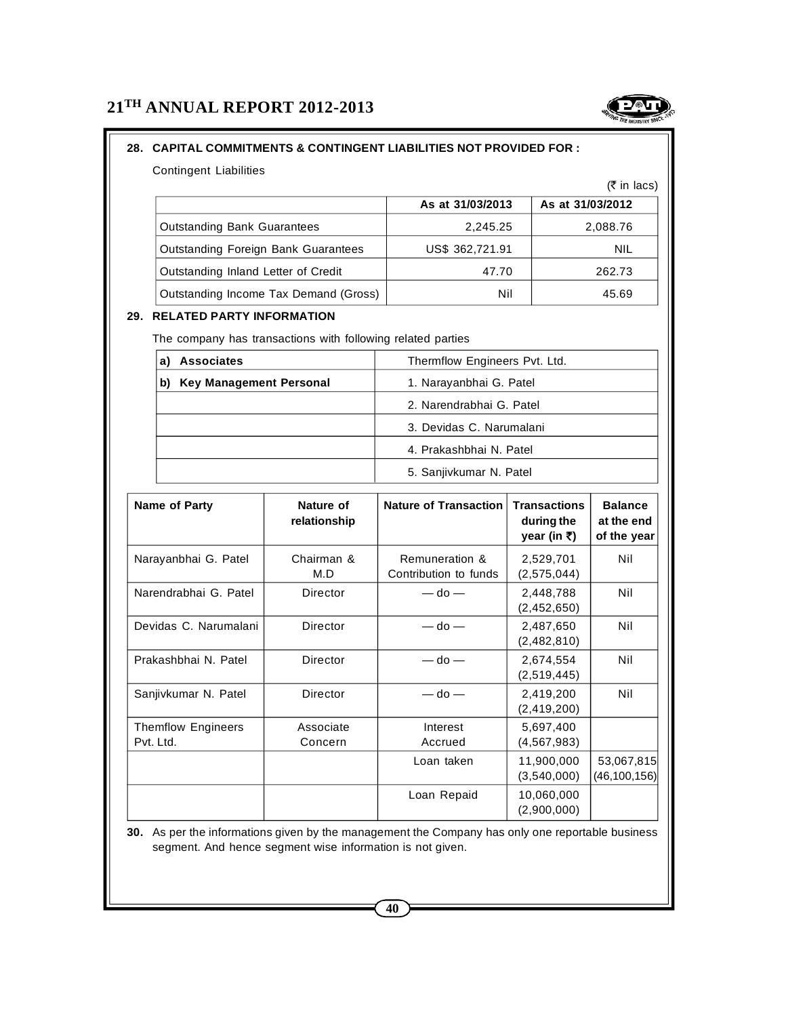# **28. CAPITAL COMMITMENTS & CONTINGENT LIABILITIES NOT PROVIDED FOR :**

Contingent Liabilities

|                                            |                  | $\cdots$         |
|--------------------------------------------|------------------|------------------|
|                                            | As at 31/03/2013 | As at 31/03/2012 |
| <b>Outstanding Bank Guarantees</b>         | 2.245.25         | 2,088.76         |
| <b>Outstanding Foreign Bank Guarantees</b> | US\$ 362,721.91  | NIL              |
| Outstanding Inland Letter of Credit        | 47.70            | 262.73           |
| Outstanding Income Tax Demand (Gross)      | Nil              | 45.69            |

# **29. RELATED PARTY INFORMATION**

The company has transactions with following related parties

| <b>Associates</b>                    | Thermflow Engineers Pvt. Ltd. |
|--------------------------------------|-------------------------------|
| <b>Key Management Personal</b><br>b) | 1. Narayanbhai G. Patel       |
|                                      | 2. Narendrabhai G. Patel      |
|                                      | 3. Devidas C. Narumalani      |
|                                      | 4. Prakashbhai N. Patel       |
|                                      | 5. Sanjivkumar N. Patel       |

| Name of Party                          | Nature of<br>relationship | <b>Nature of Transaction</b>            | <b>Transactions</b><br>during the<br>year (in ₹) | <b>Balance</b><br>at the end<br>of the year |
|----------------------------------------|---------------------------|-----------------------------------------|--------------------------------------------------|---------------------------------------------|
| Narayanbhai G. Patel                   | Chairman &<br>M.D         | Remuneration &<br>Contribution to funds | 2,529,701<br>(2,575,044)                         | Nil                                         |
| Narendrabhai G. Patel<br>Director      |                           | $-$ do $-$                              | 2,448,788<br>(2,452,650)                         | Nil                                         |
| Devidas C. Narumalani<br>Director      |                           | $-$ do $-$                              | 2,487,650<br>(2,482,810)                         | Nil                                         |
| Prakashbhai N. Patel<br>Director       |                           | $-$ do $-$                              | 2,674,554<br>(2,519,445)                         | Nil                                         |
| Sanjivkumar N. Patel<br>Director       |                           | $-$ do $-$                              | 2,419,200<br>(2, 419, 200)                       | Nil                                         |
| <b>Themflow Engineers</b><br>Pvt. Ltd. | Associate<br>Concern      | Interest<br>Accrued                     | 5,697,400<br>(4,567,983)                         |                                             |
|                                        |                           | Loan taken                              | 11,900,000<br>(3,540,000)                        | 53,067,815<br>(46,100,156)                  |
|                                        |                           | Loan Repaid                             | 10,060,000<br>(2,900,000)                        |                                             |

**30.** As per the informations given by the management the Company has only one reportable business segment. And hence segment wise information is not given.



 $(\bar{\bar{\tau}}$  in lacs)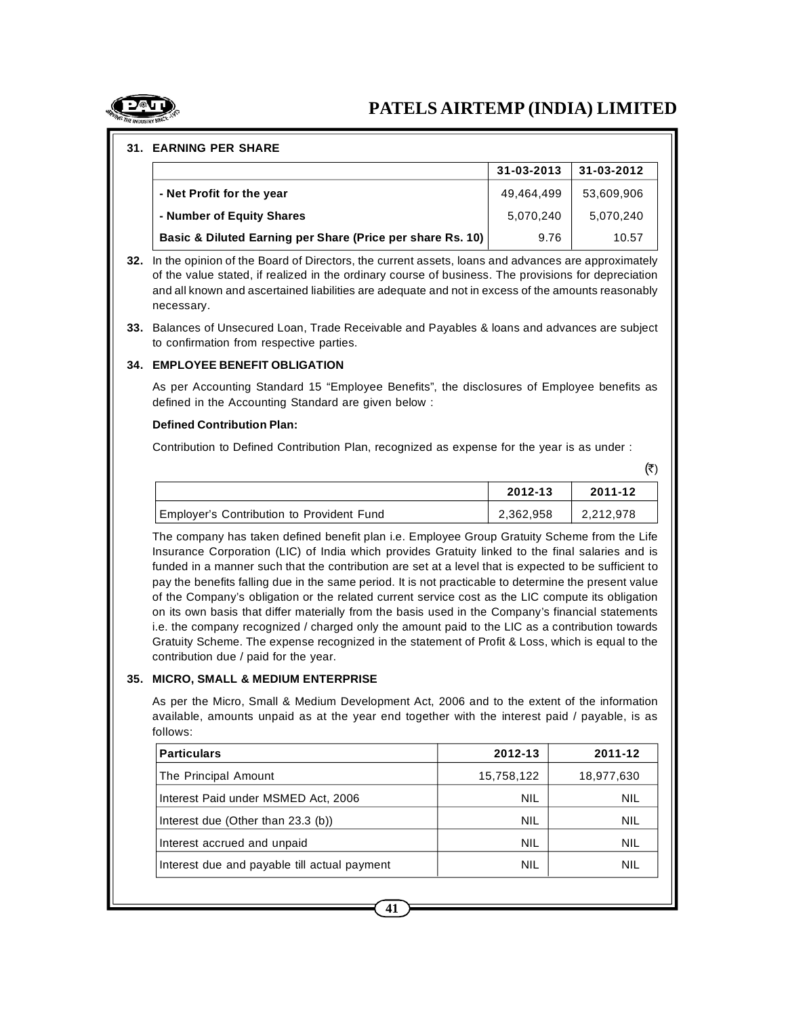# **PATELS AIRTEMP (INDIA) LIMITED**

#### **31. EARNING PER SHARE**

|                                                            | 31-03-2013 | 31-03-2012 |
|------------------------------------------------------------|------------|------------|
| - Net Profit for the year                                  | 49,464,499 | 53,609,906 |
| - Number of Equity Shares                                  | 5,070,240  | 5,070,240  |
| Basic & Diluted Earning per Share (Price per share Rs. 10) | 9.76       | 10.57      |

- **32.** In the opinion of the Board of Directors, the current assets, loans and advances are approximately of the value stated, if realized in the ordinary course of business. The provisions for depreciation and all known and ascertained liabilities are adequate and not in excess of the amounts reasonably necessary.
- **33.** Balances of Unsecured Loan, Trade Receivable and Payables & loans and advances are subject to confirmation from respective parties.

#### **34. EMPLOYEE BENEFIT OBLIGATION**

As per Accounting Standard 15 "Employee Benefits", the disclosures of Employee benefits as defined in the Accounting Standard are given below :

#### **Defined Contribution Plan:**

Contribution to Defined Contribution Plan, recognized as expense for the year is as under :

|                                           | 2012-13   | 2011-12   |
|-------------------------------------------|-----------|-----------|
| Employer's Contribution to Provident Fund | 2,362,958 | 2,212,978 |

The company has taken defined benefit plan i.e. Employee Group Gratuity Scheme from the Life Insurance Corporation (LIC) of India which provides Gratuity linked to the final salaries and is funded in a manner such that the contribution are set at a level that is expected to be sufficient to pay the benefits falling due in the same period. It is not practicable to determine the present value of the Company's obligation or the related current service cost as the LIC compute its obligation on its own basis that differ materially from the basis used in the Company's financial statements i.e. the company recognized / charged only the amount paid to the LIC as a contribution towards Gratuity Scheme. The expense recognized in the statement of Profit & Loss, which is equal to the contribution due / paid for the year.

#### **35. MICRO, SMALL & MEDIUM ENTERPRISE**

As per the Micro, Small & Medium Development Act, 2006 and to the extent of the information available, amounts unpaid as at the year end together with the interest paid / payable, is as follows:

| <b>Particulars</b>                           | 2012-13    | 2011-12    |
|----------------------------------------------|------------|------------|
| The Principal Amount                         | 15,758,122 | 18,977,630 |
| Interest Paid under MSMED Act, 2006          | NIL        | <b>NIL</b> |
| Interest due (Other than $23.3$ (b))         | NIL        | <b>NIL</b> |
| Interest accrued and unpaid                  | NIL        | <b>NIL</b> |
| Interest due and payable till actual payment | NIL        | NIL        |



 $(\bar{\tau})$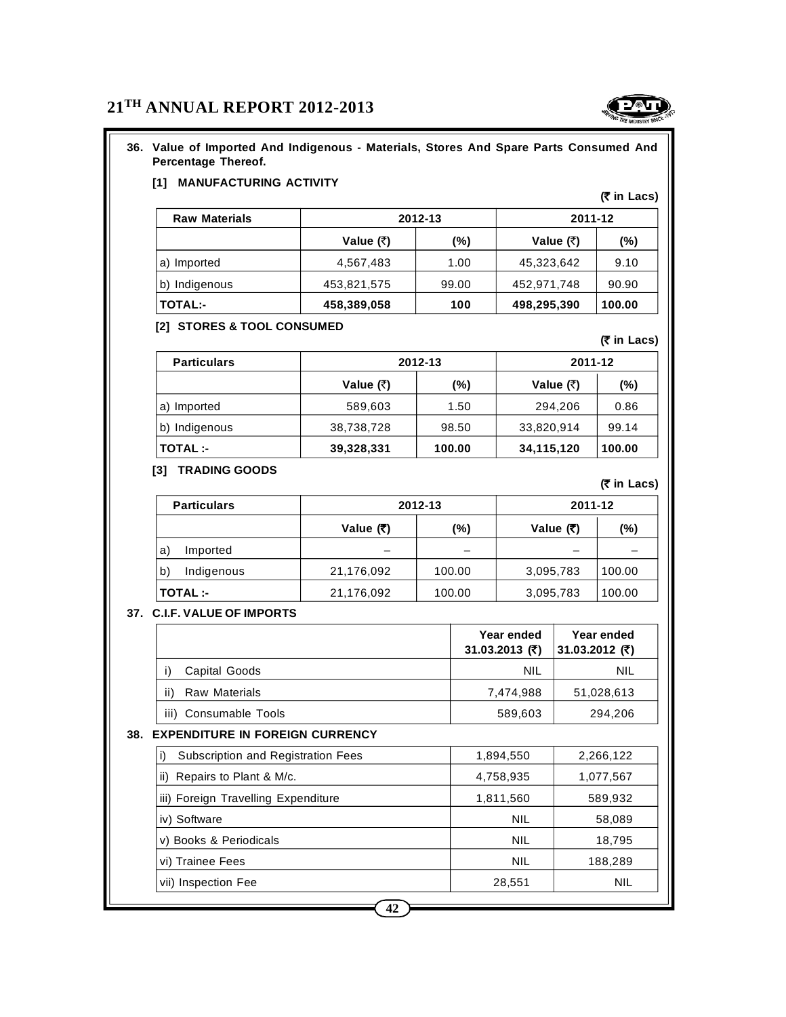# **36. Value of Imported And Indigenous - Materials, Stores And Spare Parts Consumed And Percentage Thereof.**

# **[1] MANUFACTURING ACTIVITY**

| <b>Raw Materials</b> |             | 2012-13 | 2011-12     |        |
|----------------------|-------------|---------|-------------|--------|
|                      | Value (₹)   | (%)     | Value $(3)$ | (%)    |
| a) Imported          | 4,567,483   | 1.00    | 45,323,642  | 9.10   |
| b) Indigenous        | 453,821,575 | 99.00   | 452,971,748 | 90.90  |
| <b>TOTAL:-</b>       | 458,389,058 | 100     | 498,295,390 | 100.00 |

### **[2] STORES & TOOL CONSUMED**

| <b>Particulars</b> |            | 2012-13 | 2011-12           |        |
|--------------------|------------|---------|-------------------|--------|
|                    | Value (₹)  | $(\%)$  | Value $(\bar{x})$ | (%)    |
| Imported<br>a)     | 589,603    | 1.50    | 294,206           | 0.86   |
| b) Indigenous      | 38,738,728 | 98.50   | 33,820,914        | 99.14  |
| <b>TOTAL:-</b>     | 39,328,331 | 100.00  | 34,115,120        | 100.00 |

### **[3] TRADING GOODS**

| <b>Particulars</b> |             | 2012-13 | 2011-12     |        |  |
|--------------------|-------------|---------|-------------|--------|--|
|                    | Value $(3)$ | $(\%)$  | Value $(3)$ | (%)    |  |
| a)<br>Imported     | -           | -       | –           |        |  |
| b)<br>Indigenous   | 21,176,092  | 100.00  | 3,095,783   | 100.00 |  |
| <b>TOTAL:-</b>     | 21,176,092  | 100.00  | 3,095,783   | 100.00 |  |

### **37. C.I.F. VALUE OF IMPORTS**

|                                                 | Year ended<br>31.03.2013 (₹) | Year ended<br>31.03.2012 (₹) |
|-------------------------------------------------|------------------------------|------------------------------|
| Capital Goods<br>i)                             | <b>NIL</b>                   | <b>NIL</b>                   |
| <b>Raw Materials</b><br>ii)                     | 7,474,988                    | 51,028,613                   |
| iii) Consumable Tools                           | 589,603                      | 294,206                      |
| <b>EXPENDITURE IN FOREIGN CURRENCY</b><br>38.   |                              |                              |
| i)<br><b>Subscription and Registration Fees</b> | 1,894,550                    | 2,266,122                    |
| Repairs to Plant & M/c.<br>ii)                  | 4,758,935                    | 1,077,567                    |
| iii) Foreign Travelling Expenditure             | 1,811,560                    | 589,932                      |
| iv) Software                                    | <b>NIL</b>                   | 58,089                       |
| v) Books & Periodicals                          | <b>NIL</b>                   | 18,795                       |
| vi) Trainee Fees                                | <b>NIL</b>                   | 188,289                      |
| vii) Inspection Fee                             | 28,551                       | NIL                          |

**(` in Lacs)**

**(` in Lacs)**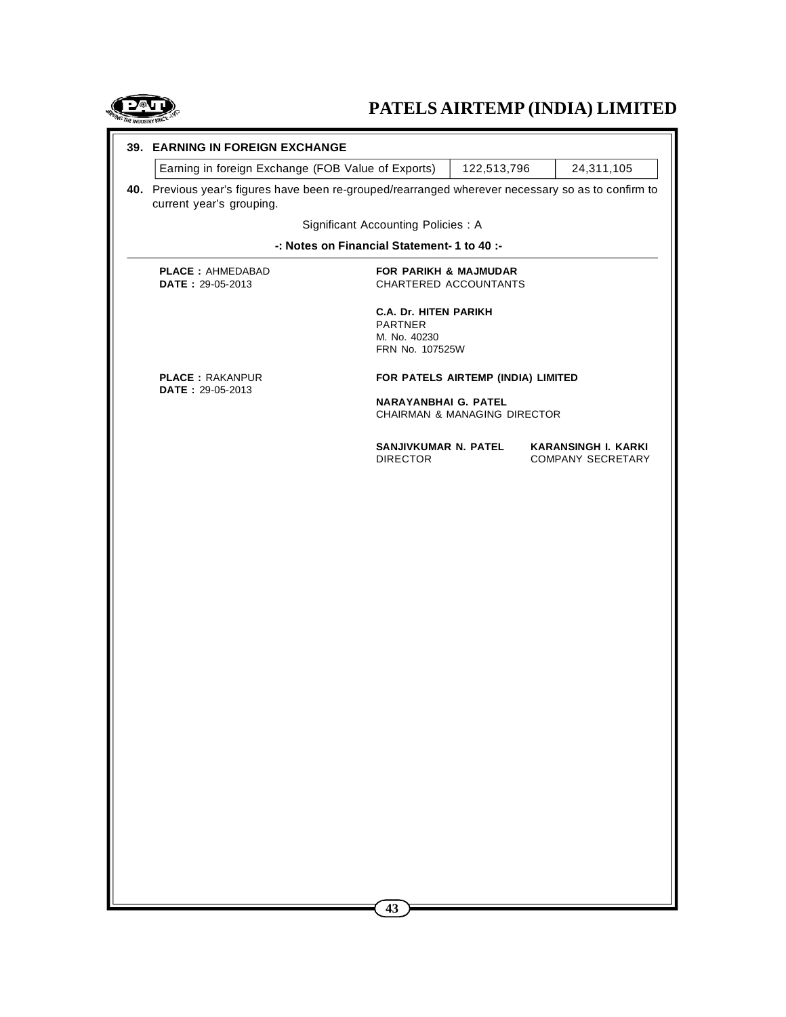

# **PATELS AIRTEMP (INDIA) LIMITED**

|  | 39. EARNING IN FOREIGN EXCHANGE                    |                                                   |                                                                                                                                                                                                                                                                                                                                                                                        |            |  |  |  |  |
|--|----------------------------------------------------|---------------------------------------------------|----------------------------------------------------------------------------------------------------------------------------------------------------------------------------------------------------------------------------------------------------------------------------------------------------------------------------------------------------------------------------------------|------------|--|--|--|--|
|  | Earning in foreign Exchange (FOB Value of Exports) |                                                   | 122,513,796                                                                                                                                                                                                                                                                                                                                                                            | 24,311,105 |  |  |  |  |
|  | current year's grouping.                           |                                                   |                                                                                                                                                                                                                                                                                                                                                                                        |            |  |  |  |  |
|  |                                                    | Significant Accounting Policies : A               |                                                                                                                                                                                                                                                                                                                                                                                        |            |  |  |  |  |
|  |                                                    | -: Notes on Financial Statement- 1 to 40 :-       |                                                                                                                                                                                                                                                                                                                                                                                        |            |  |  |  |  |
|  | <b>PLACE: AHMEDABAD</b><br>DATE: 29-05-2013        |                                                   |                                                                                                                                                                                                                                                                                                                                                                                        |            |  |  |  |  |
|  |                                                    | <b>PARTNER</b><br>M. No. 40230<br>FRN No. 107525W | 40. Previous year's figures have been re-grouped/rearranged wherever necessary so as to confirm to<br><b>FOR PARIKH &amp; MAJMUDAR</b><br>CHARTERED ACCOUNTANTS<br><b>C.A. Dr. HITEN PARIKH</b><br>FOR PATELS AIRTEMP (INDIA) LIMITED<br><b>NARAYANBHAI G. PATEL</b><br>CHAIRMAN & MANAGING DIRECTOR<br>SANJIVKUMAR N. PATEL<br><b>KARANSINGH I. KARKI</b><br><b>COMPANY SECRETARY</b> |            |  |  |  |  |
|  | <b>PLACE: RAKANPUR</b><br>DATE: 29-05-2013         |                                                   |                                                                                                                                                                                                                                                                                                                                                                                        |            |  |  |  |  |
|  |                                                    |                                                   |                                                                                                                                                                                                                                                                                                                                                                                        |            |  |  |  |  |
|  |                                                    | <b>DIRECTOR</b>                                   |                                                                                                                                                                                                                                                                                                                                                                                        |            |  |  |  |  |
|  |                                                    |                                                   |                                                                                                                                                                                                                                                                                                                                                                                        |            |  |  |  |  |
|  |                                                    |                                                   |                                                                                                                                                                                                                                                                                                                                                                                        |            |  |  |  |  |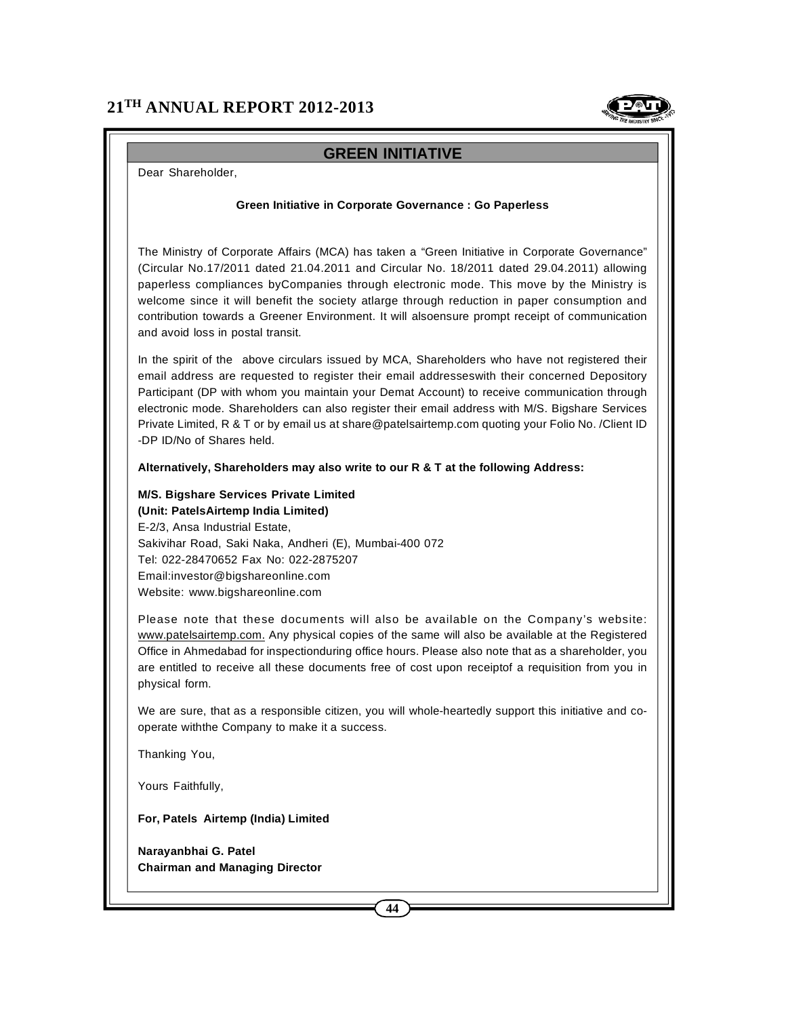

# **GREEN INITIATIVE**

Dear Shareholder,

#### **Green Initiative in Corporate Governance : Go Paperless**

The Ministry of Corporate Affairs (MCA) has taken a "Green Initiative in Corporate Governance" (Circular No.17/2011 dated 21.04.2011 and Circular No. 18/2011 dated 29.04.2011) allowing paperless compliances byCompanies through electronic mode. This move by the Ministry is welcome since it will benefit the society atlarge through reduction in paper consumption and contribution towards a Greener Environment. It will alsoensure prompt receipt of communication and avoid loss in postal transit.

In the spirit of the above circulars issued by MCA, Shareholders who have not registered their email address are requested to register their email addresseswith their concerned Depository Participant (DP with whom you maintain your Demat Account) to receive communication through electronic mode. Shareholders can also register their email address with M/S. Bigshare Services Private Limited, R & T or by email us at share@patelsairtemp.com quoting your Folio No. /Client ID -DP ID/No of Shares held.

#### **Alternatively, Shareholders may also write to our R & T at the following Address:**

# **M/S. Bigshare Services Private Limited (Unit: PatelsAirtemp India Limited)**

E-2/3, Ansa Industrial Estate, Sakivihar Road, Saki Naka, Andheri (E), Mumbai-400 072 Tel: 022-28470652 Fax No: 022-2875207 Email:investor@bigshareonline.com Website: www.bigshareonline.com

Please note that these documents will also be available on the Company's website: www.patelsairtemp.com. Any physical copies of the same will also be available at the Registered Office in Ahmedabad for inspectionduring office hours. Please also note that as a shareholder, you are entitled to receive all these documents free of cost upon receiptof a requisition from you in physical form.

We are sure, that as a responsible citizen, you will whole-heartedly support this initiative and cooperate withthe Company to make it a success.

Thanking You,

Yours Faithfully,

**For, Patels Airtemp (India) Limited**

**Narayanbhai G. Patel Chairman and Managing Director**

**44**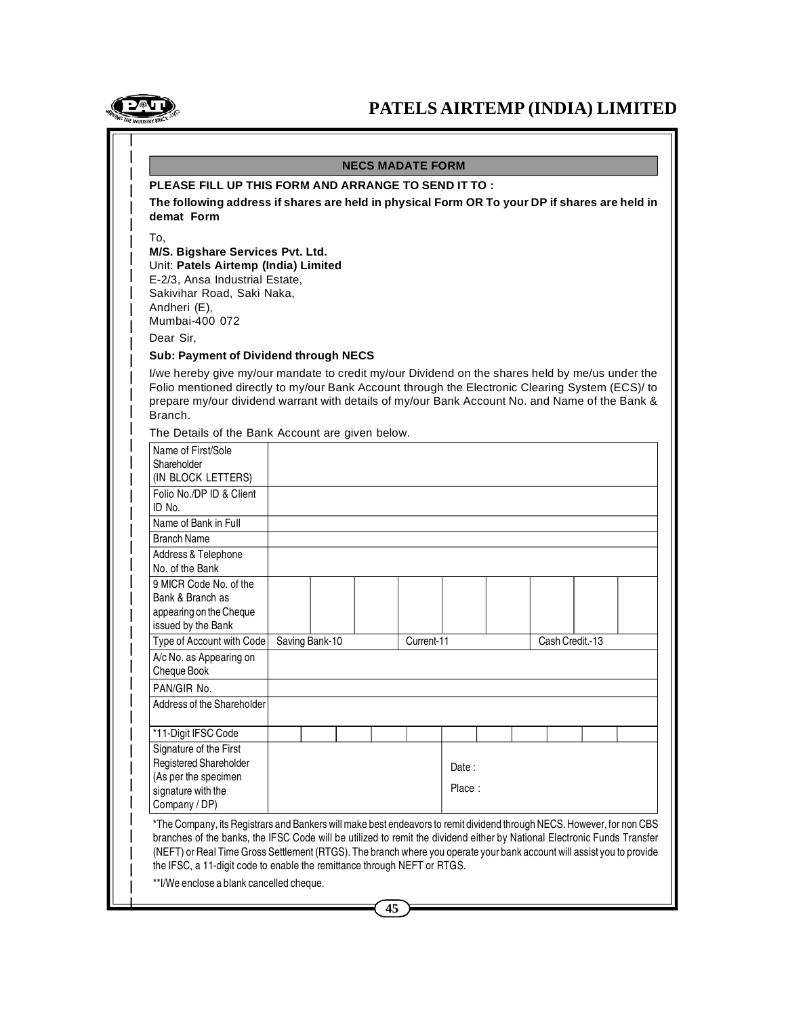

## **NECS MADATE FORM**

#### **PLEASE FILL UP THIS FORM AND ARRANGE TO SEND IT TO :**

**The following address if shares are held in physical Form OR To your DP if shares are held in demat Form**

To,

# **M/S. Bigshare Services Pvt. Ltd.**

Unit: **Patels Airtemp (India) Limited**

E-2/3, Ansa Industrial Estate,

Sakivihar Road, Saki Naka,

Andheri (E), Mumbai-400 072

Dear Sir,

#### **Sub: Payment of Dividend through NECS**

I/we hereby give my/our mandate to credit my/our Dividend on the shares held by me/us under the Folio mentioned directly to my/our Bank Account through the Electronic Clearing System (ECS)/ to prepare my/our dividend warrant with details of my/our Bank Account No. and Name of the Bank & Branch.

The Details of the Bank Account are given below.

| Name of First/Sole<br>Shareholder |                |  |  |            |  |  |                 |  |  |
|-----------------------------------|----------------|--|--|------------|--|--|-----------------|--|--|
| (IN BLOCK LETTERS)                |                |  |  |            |  |  |                 |  |  |
| Folio No./DP ID & Client          |                |  |  |            |  |  |                 |  |  |
| ID No.                            |                |  |  |            |  |  |                 |  |  |
| Name of Bank in Full              |                |  |  |            |  |  |                 |  |  |
| <b>Branch Name</b>                |                |  |  |            |  |  |                 |  |  |
| Address & Telephone               |                |  |  |            |  |  |                 |  |  |
| No. of the Bank                   |                |  |  |            |  |  |                 |  |  |
| 9 MICR Code No. of the            |                |  |  |            |  |  |                 |  |  |
| Bank & Branch as                  |                |  |  |            |  |  |                 |  |  |
| appearing on the Cheque           |                |  |  |            |  |  |                 |  |  |
| issued by the Bank                |                |  |  |            |  |  |                 |  |  |
| Type of Account with Code         | Saving Bank-10 |  |  | Current-11 |  |  | Cash Credit.-13 |  |  |
| A/c No. as Appearing on           |                |  |  |            |  |  |                 |  |  |
| Cheque Book                       |                |  |  |            |  |  |                 |  |  |
| PAN/GIR No.                       |                |  |  |            |  |  |                 |  |  |
| Address of the Shareholder        |                |  |  |            |  |  |                 |  |  |
|                                   |                |  |  |            |  |  |                 |  |  |
| *11-Digit IFSC Code               |                |  |  |            |  |  |                 |  |  |
| Signature of the First            |                |  |  |            |  |  |                 |  |  |
| Registered Shareholder            |                |  |  | Date:      |  |  |                 |  |  |
| (As per the specimen              |                |  |  |            |  |  |                 |  |  |
| signature with the                |                |  |  | Place:     |  |  |                 |  |  |
|                                   |                |  |  |            |  |  |                 |  |  |
| Company / DP)                     |                |  |  |            |  |  |                 |  |  |

branches of the banks, the IFSC Code will be utilized to remit the dividend either by National Electronic Funds Transfer (NEFT) or Real Time Gross Settlement (RTGS). The branch where you operate your bank account will assist you to provide the IFSC, a 11-digit code to enable the remittance through NEFT or RTGS.

\*\*I/We enclose a blank cancelled cheque.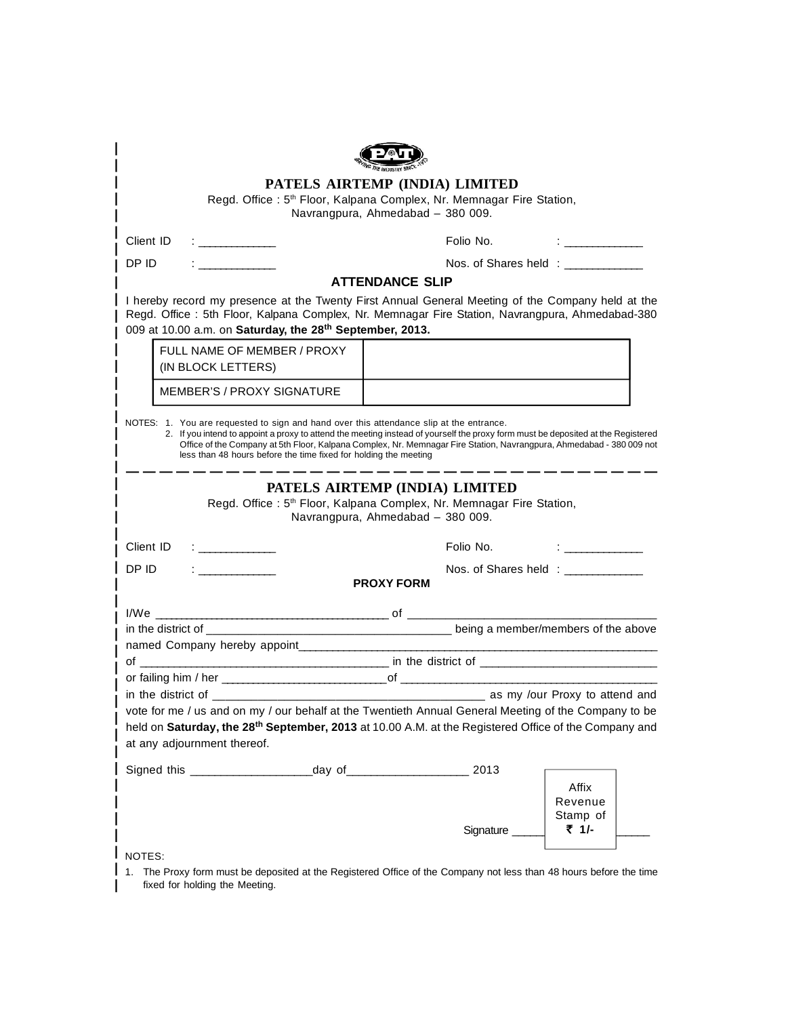|                                     |                                                                                                                                                                                                                                                                              | PATELS AIRTEMP (INDIA) LIMITED                                      |                                |          |  |  |
|-------------------------------------|------------------------------------------------------------------------------------------------------------------------------------------------------------------------------------------------------------------------------------------------------------------------------|---------------------------------------------------------------------|--------------------------------|----------|--|--|
|                                     | Regd. Office: 5 <sup>th</sup> Floor, Kalpana Complex, Nr. Memnagar Fire Station,                                                                                                                                                                                             |                                                                     |                                |          |  |  |
|                                     |                                                                                                                                                                                                                                                                              | Navrangpura, Ahmedabad - 380 009.                                   |                                |          |  |  |
|                                     | Client ID<br>the company of the company                                                                                                                                                                                                                                      |                                                                     | Folio No.                      |          |  |  |
| DP ID                               |                                                                                                                                                                                                                                                                              |                                                                     | Nos. of Shares held : ________ |          |  |  |
|                                     |                                                                                                                                                                                                                                                                              | <b>ATTENDANCE SLIP</b>                                              |                                |          |  |  |
|                                     | I hereby record my presence at the Twenty First Annual General Meeting of the Company held at the<br>Regd. Office: 5th Floor, Kalpana Complex, Nr. Memnagar Fire Station, Navrangpura, Ahmedabad-380<br>009 at 10.00 a.m. on Saturday, the 28th September, 2013.             |                                                                     |                                |          |  |  |
|                                     | FULL NAME OF MEMBER / PROXY                                                                                                                                                                                                                                                  |                                                                     |                                |          |  |  |
|                                     | (IN BLOCK LETTERS)                                                                                                                                                                                                                                                           |                                                                     |                                |          |  |  |
|                                     | <b>MEMBER'S / PROXY SIGNATURE</b>                                                                                                                                                                                                                                            |                                                                     |                                |          |  |  |
|                                     | Office of the Company at 5th Floor, Kalpana Complex, Nr. Memnagar Fire Station, Navrangpura, Ahmedabad - 380 009 not<br>less than 48 hours before the time fixed for holding the meeting<br>Regd. Office: 5 <sup>th</sup> Floor, Kalpana Complex, Nr. Memnagar Fire Station, | PATELS AIRTEMP (INDIA) LIMITED<br>Navrangpura, Ahmedabad - 380 009. |                                |          |  |  |
|                                     | Client ID                                                                                                                                                                                                                                                                    |                                                                     | Folio No.                      |          |  |  |
| DP ID<br>the company of the company |                                                                                                                                                                                                                                                                              | <b>PROXY FORM</b>                                                   | Nos. of Shares held :          |          |  |  |
|                                     |                                                                                                                                                                                                                                                                              |                                                                     |                                |          |  |  |
|                                     |                                                                                                                                                                                                                                                                              |                                                                     |                                |          |  |  |
|                                     | named Company hereby appoint___________                                                                                                                                                                                                                                      |                                                                     |                                |          |  |  |
|                                     |                                                                                                                                                                                                                                                                              |                                                                     |                                |          |  |  |
| in the district of ________         |                                                                                                                                                                                                                                                                              |                                                                     | as my /our Proxy to attend and |          |  |  |
|                                     | vote for me / us and on my / our behalf at the Twentieth Annual General Meeting of the Company to be                                                                                                                                                                         |                                                                     |                                |          |  |  |
|                                     | held on Saturday, the 28 <sup>th</sup> September, 2013 at 10.00 A.M. at the Registered Office of the Company and<br>at any adjournment thereof.                                                                                                                              |                                                                     |                                |          |  |  |
|                                     |                                                                                                                                                                                                                                                                              |                                                                     |                                |          |  |  |
|                                     |                                                                                                                                                                                                                                                                              |                                                                     |                                | Affix    |  |  |
|                                     |                                                                                                                                                                                                                                                                              |                                                                     |                                | Revenue  |  |  |
|                                     |                                                                                                                                                                                                                                                                              |                                                                     |                                | Stamp of |  |  |
|                                     |                                                                                                                                                                                                                                                                              |                                                                     | Signature _                    | ₹ 1/-    |  |  |

I NOTES:

I

1. The Proxy form must be deposited at the Registered Office of the Company not less than 48 hours before the time fixed for holding the Meeting.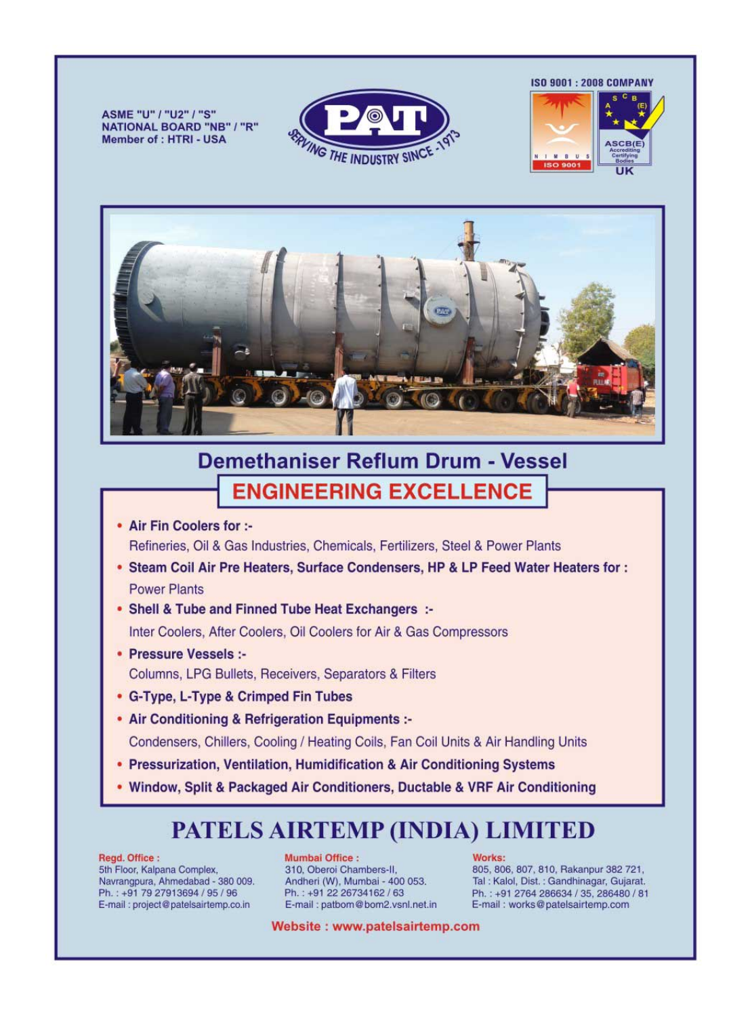ASME "U" / "U2" / "S" **NATIONAL BOARD "NB" / "R" Member of : HTRI - USA** 



**ISO 9001: 2008 COMPANY** 





# **Demethaniser Reflum Drum - Vessel ENGINEERING EXCELLENCE**

- Air Fin Coolers for :-Refineries, Oil & Gas Industries, Chemicals, Fertilizers, Steel & Power Plants
- . Steam Coil Air Pre Heaters, Surface Condensers, HP & LP Feed Water Heaters for: **Power Plants**
- Shell & Tube and Finned Tube Heat Exchangers :-Inter Coolers, After Coolers, Oil Coolers for Air & Gas Compressors
- Pressure Vessels :-Columns, LPG Bullets, Receivers, Separators & Filters
- G-Type, L-Type & Crimped Fin Tubes
- Air Conditioning & Refrigeration Equipments :-Condensers, Chillers, Cooling / Heating Coils, Fan Coil Units & Air Handling Units
- Pressurization, Ventilation, Humidification & Air Conditioning Systems
- . Window, Split & Packaged Air Conditioners, Ductable & VRF Air Conditioning

# **PATELS AIRTEMP (INDIA) LIMITED**

#### Regd. Office:

5th Floor, Kalpana Complex, Navrangpura, Ahmedabad - 380 009. Ph.: +91 79 27913694 / 95 / 96 E-mail: project@patelsairtemp.co.in

**Mumbai Office:** 310. Oberoi Chambers-II. Andheri (W), Mumbai - 400 053. Ph.: +91 22 26734162 / 63 E-mail: patbom@bom2.vsnl.net.in

#### Works:

805, 806, 807, 810, Rakanpur 382 721, Tal: Kalol, Dist.: Gandhinagar, Gujarat. Ph.: +91 2764 286634 / 35, 286480 / 81 E-mail: works@patelsairtemp.com

Website: www.patelsairtemp.com